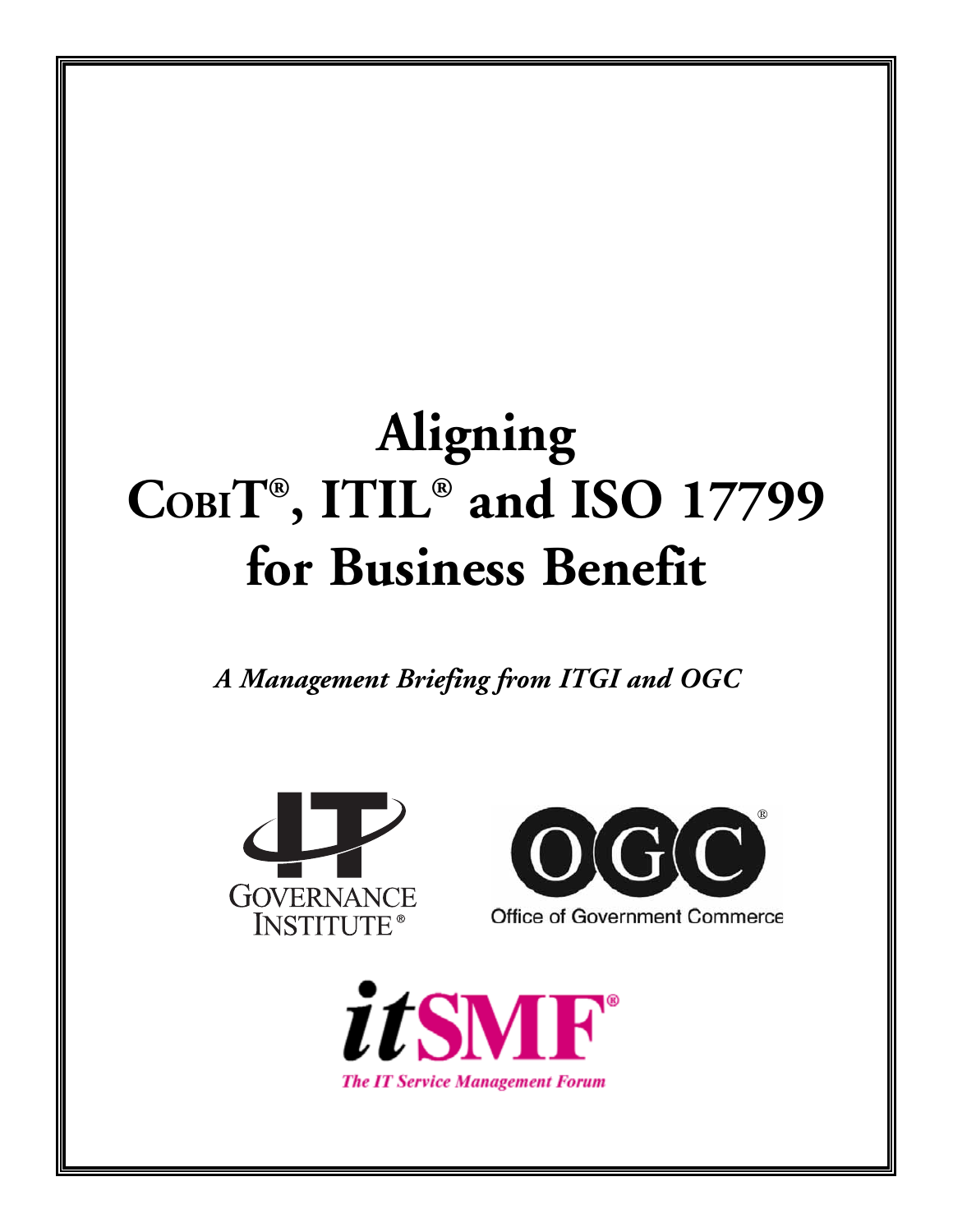# **Aligning COBIT®, ITIL® and ISO 17799 for Business Benefit**

*A Management Briefing from ITGI and OGC*





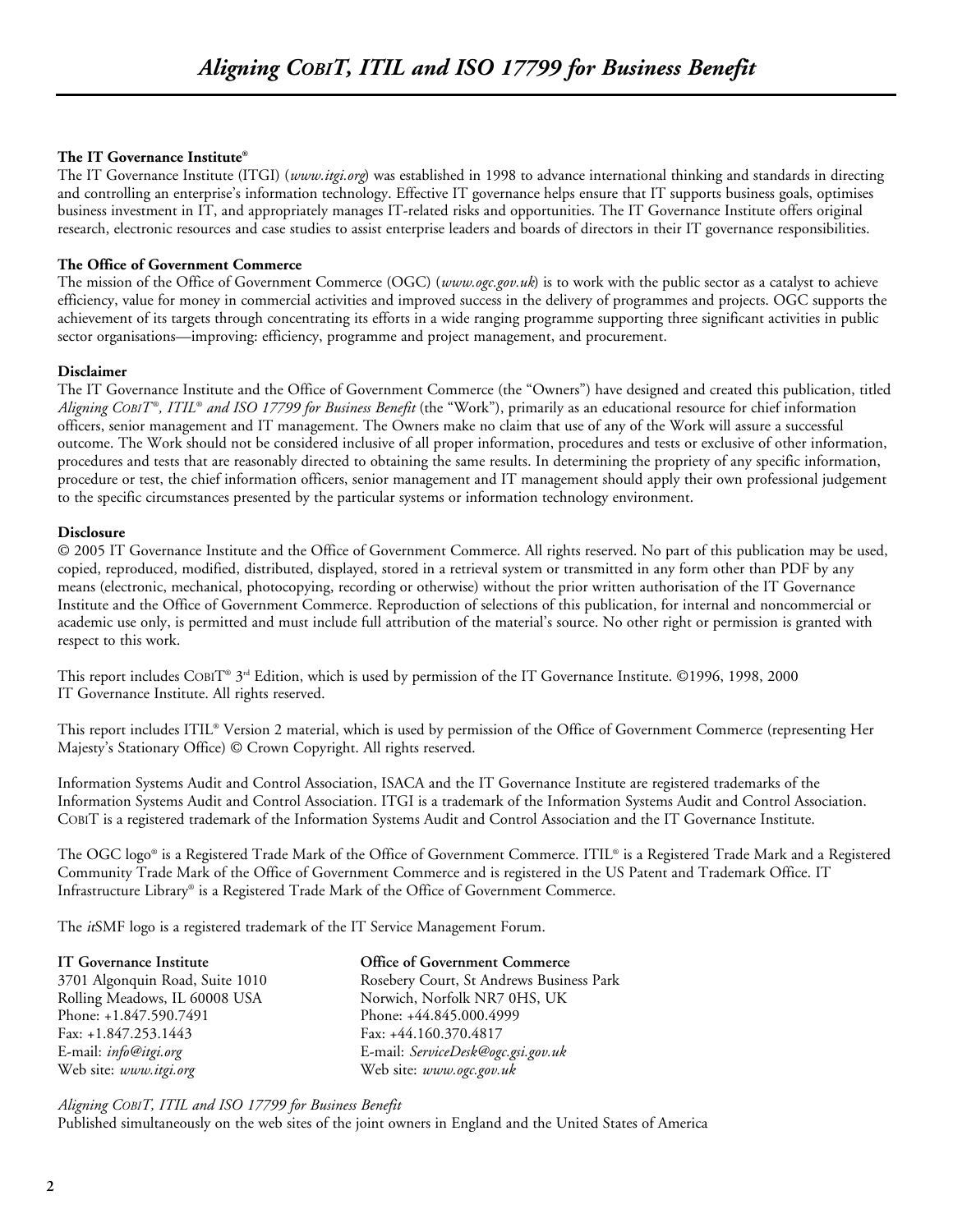#### **The IT Governance Institute®**

The IT Governance Institute (ITGI) (*www.itgi.org*) was established in 1998 to advance international thinking and standards in directing and controlling an enterprise's information technology. Effective IT governance helps ensure that IT supports business goals, optimises business investment in IT, and appropriately manages IT-related risks and opportunities. The IT Governance Institute offers original research, electronic resources and case studies to assist enterprise leaders and boards of directors in their IT governance responsibilities.

#### **The Office of Government Commerce**

The mission of the Office of Government Commerce (OGC) (*www.ogc.gov.uk*) is to work with the public sector as a catalyst to achieve efficiency, value for money in commercial activities and improved success in the delivery of programmes and projects. OGC supports the achievement of its targets through concentrating its efforts in a wide ranging programme supporting three significant activities in public sector organisations—improving: efficiency, programme and project management, and procurement.

#### **Disclaimer**

The IT Governance Institute and the Office of Government Commerce (the "Owners") have designed and created this publication, titled *Aligning COBIT ®, ITIL® and ISO 17799 for Business Benefit* (the "Work"), primarily as an educational resource for chief information officers, senior management and IT management. The Owners make no claim that use of any of the Work will assure a successful outcome. The Work should not be considered inclusive of all proper information, procedures and tests or exclusive of other information, procedures and tests that are reasonably directed to obtaining the same results. In determining the propriety of any specific information, procedure or test, the chief information officers, senior management and IT management should apply their own professional judgement to the specific circumstances presented by the particular systems or information technology environment.

#### **Disclosure**

© 2005 IT Governance Institute and the Office of Government Commerce. All rights reserved. No part of this publication may be used, copied, reproduced, modified, distributed, displayed, stored in a retrieval system or transmitted in any form other than PDF by any means (electronic, mechanical, photocopying, recording or otherwise) without the prior written authorisation of the IT Governance Institute and the Office of Government Commerce. Reproduction of selections of this publication, for internal and noncommercial or academic use only, is permitted and must include full attribution of the material's source. No other right or permission is granted with respect to this work.

This report includes COBIT® 3rd Edition, which is used by permission of the IT Governance Institute. ©1996, 1998, 2000 IT Governance Institute. All rights reserved.

This report includes ITIL® Version 2 material, which is used by permission of the Office of Government Commerce (representing Her Majesty's Stationary Office) © Crown Copyright. All rights reserved.

Information Systems Audit and Control Association, ISACA and the IT Governance Institute are registered trademarks of the Information Systems Audit and Control Association. ITGI is a trademark of the Information Systems Audit and Control Association. COBIT is a registered trademark of the Information Systems Audit and Control Association and the IT Governance Institute.

The OGC logo® is a Registered Trade Mark of the Office of Government Commerce. ITIL® is a Registered Trade Mark and a Registered Community Trade Mark of the Office of Government Commerce and is registered in the US Patent and Trademark Office. IT Infrastructure Library® is a Registered Trade Mark of the Office of Government Commerce.

The itSMF logo is a registered trademark of the IT Service Management Forum.

| IT Governance Institute         | Office of Government Commerce            |
|---------------------------------|------------------------------------------|
| 3701 Algonquin Road, Suite 1010 | Rosebery Court, St Andrews Business Park |
| Rolling Meadows, IL 60008 USA   | Norwich, Norfolk NR7 0HS, UK             |
| Phone: +1.847.590.7491          | Phone: +44.845.000.4999                  |
| Fax: $+1.847.253.1443$          | Fax: +44.160.370.4817                    |
| E-mail: <i>info@itgi.org</i>    | E-mail: ServiceDesk@ogc.gsi.gov.uk       |
| Web site: www.itgi.org          | Web site: www.ogc.gov.uk                 |

*Aligning COBIT, ITIL and ISO 17799 for Business Benefit*  Published simultaneously on the web sites of the joint owners in England and the United States of America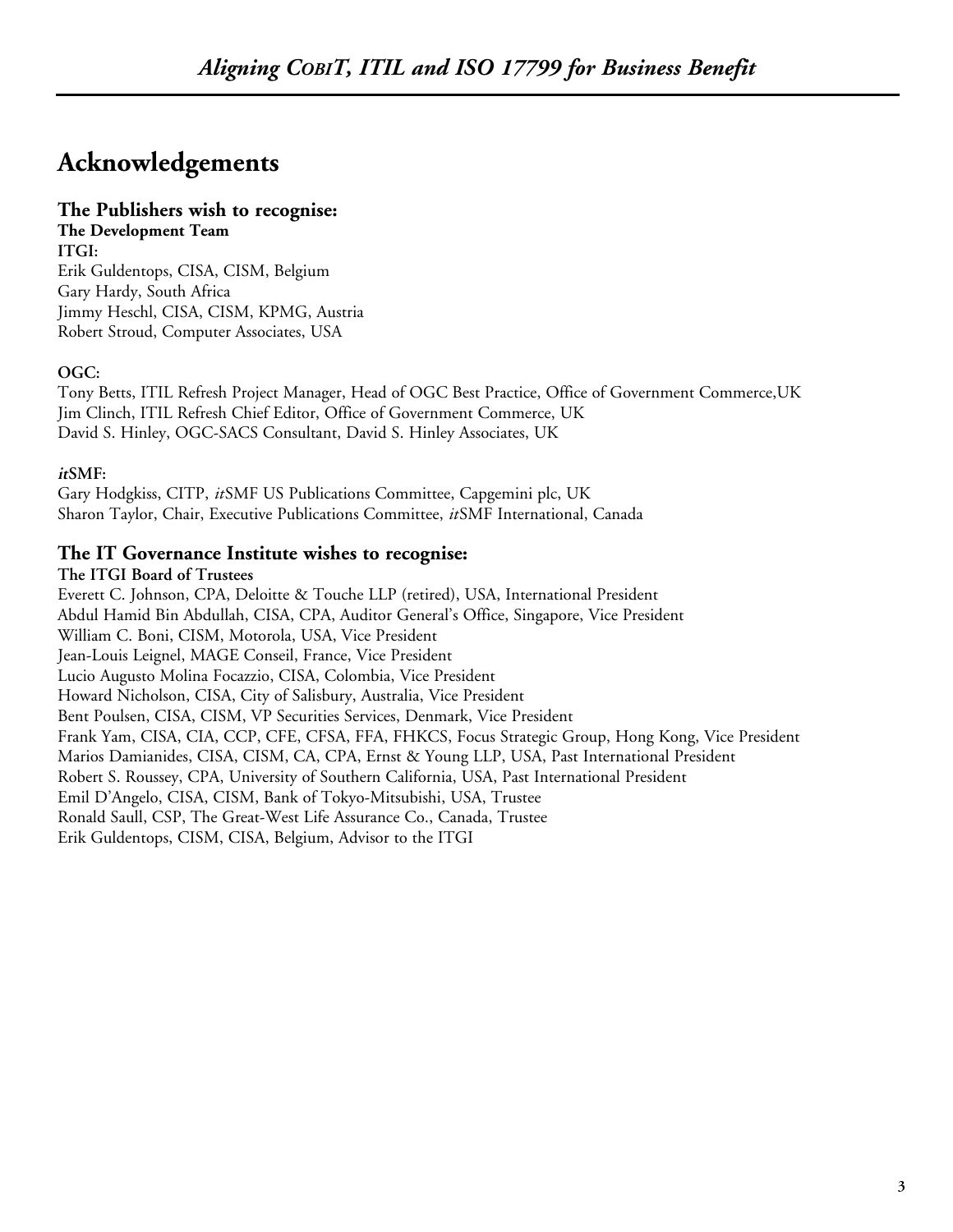# **Acknowledgements**

#### **The Publishers wish to recognise: The Development Team**

**ITGI:** Erik Guldentops, CISA, CISM, Belgium Gary Hardy, South Africa Jimmy Heschl, CISA, CISM, KPMG, Austria Robert Stroud, Computer Associates, USA

### **OGC:**

Tony Betts, ITIL Refresh Project Manager, Head of OGC Best Practice, Office of Government Commerce,UK Jim Clinch, ITIL Refresh Chief Editor, Office of Government Commerce, UK David S. Hinley, OGC-SACS Consultant, David S. Hinley Associates, UK

### **itSMF:**

Gary Hodgkiss, CITP, *it*SMF US Publications Committee, Capgemini plc, UK Sharon Taylor, Chair, Executive Publications Committee, *it*SMF International, Canada

### **The IT Governance Institute wishes to recognise:**

#### **The ITGI Board of Trustees**

Everett C. Johnson, CPA, Deloitte & Touche LLP (retired), USA, International President Abdul Hamid Bin Abdullah, CISA, CPA, Auditor General's Office, Singapore, Vice President William C. Boni, CISM, Motorola, USA, Vice President Jean-Louis Leignel, MAGE Conseil, France, Vice President Lucio Augusto Molina Focazzio, CISA, Colombia, Vice President Howard Nicholson, CISA, City of Salisbury, Australia, Vice President Bent Poulsen, CISA, CISM, VP Securities Services, Denmark, Vice President Frank Yam, CISA, CIA, CCP, CFE, CFSA, FFA, FHKCS, Focus Strategic Group, Hong Kong, Vice President Marios Damianides, CISA, CISM, CA, CPA, Ernst & Young LLP, USA, Past International President Robert S. Roussey, CPA, University of Southern California, USA, Past International President Emil D'Angelo, CISA, CISM, Bank of Tokyo-Mitsubishi, USA, Trustee Ronald Saull, CSP, The Great-West Life Assurance Co., Canada, Trustee Erik Guldentops, CISM, CISA, Belgium, Advisor to the ITGI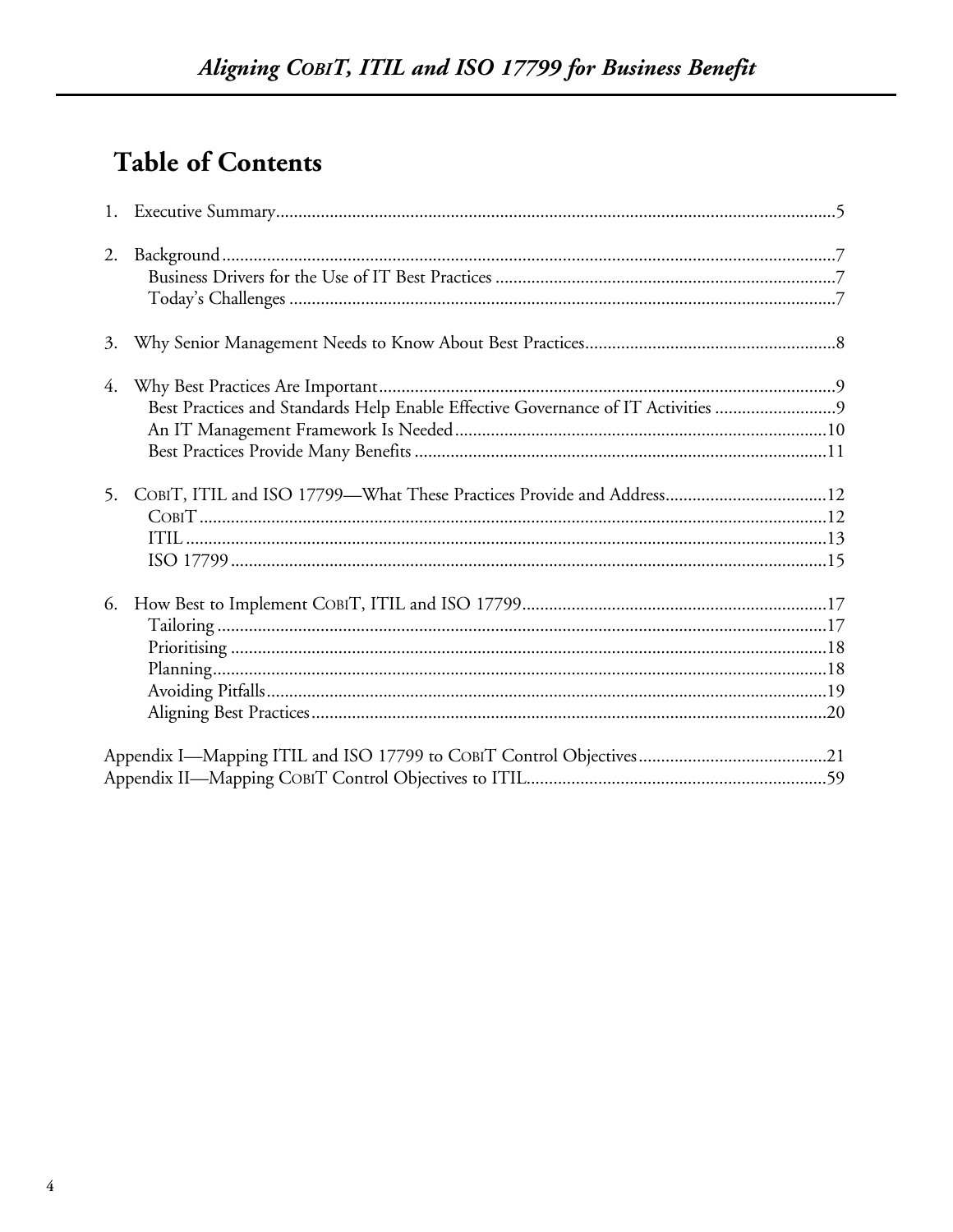# **Table of Contents**

| 2. |                                                                                  |  |
|----|----------------------------------------------------------------------------------|--|
|    |                                                                                  |  |
| 4. | Best Practices and Standards Help Enable Effective Governance of IT Activities 9 |  |
| 5. |                                                                                  |  |
| 6. |                                                                                  |  |
|    |                                                                                  |  |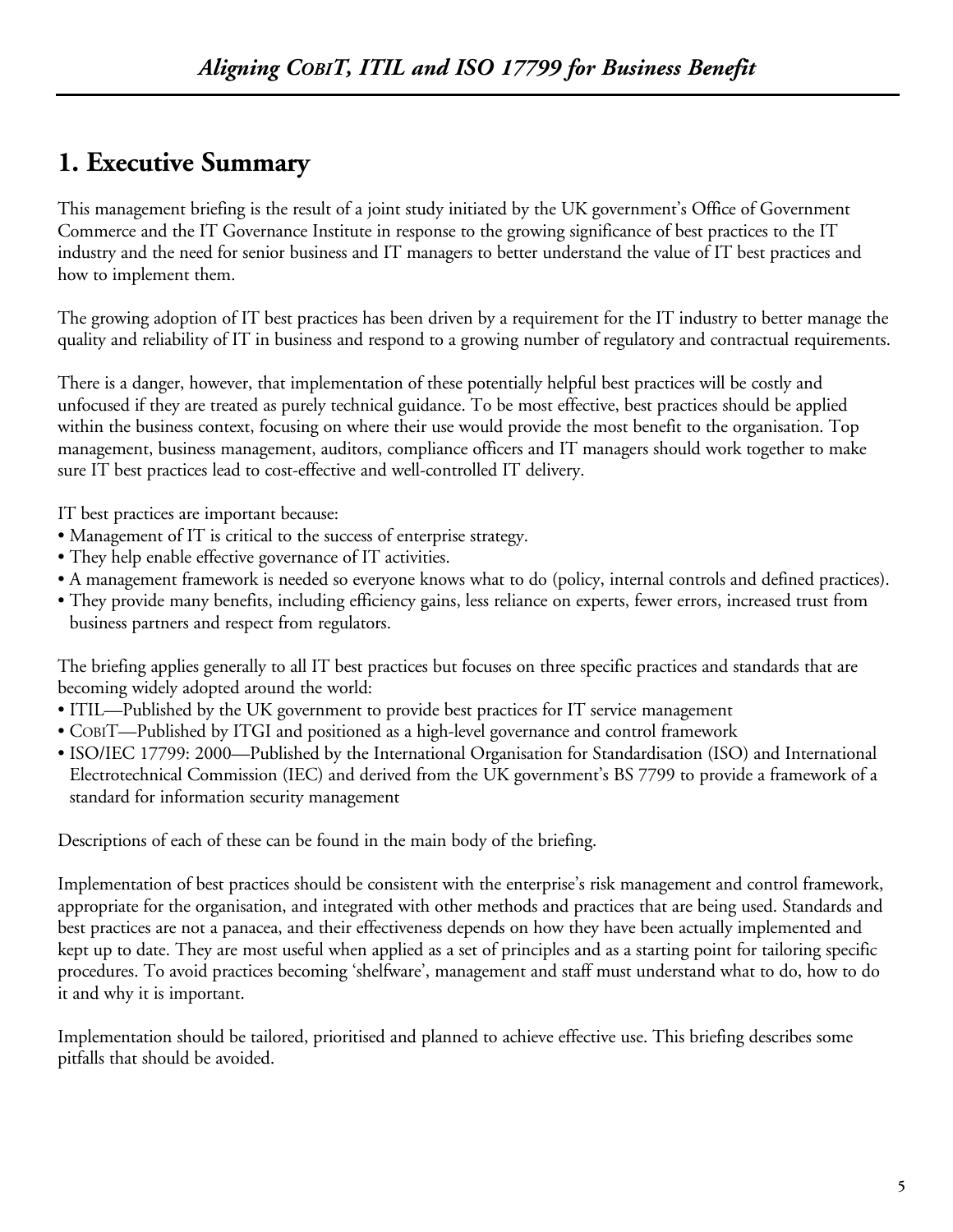# **1. Executive Summary**

This management briefing is the result of a joint study initiated by the UK government's Office of Government Commerce and the IT Governance Institute in response to the growing significance of best practices to the IT industry and the need for senior business and IT managers to better understand the value of IT best practices and how to implement them.

The growing adoption of IT best practices has been driven by a requirement for the IT industry to better manage the quality and reliability of IT in business and respond to a growing number of regulatory and contractual requirements.

There is a danger, however, that implementation of these potentially helpful best practices will be costly and unfocused if they are treated as purely technical guidance. To be most effective, best practices should be applied within the business context, focusing on where their use would provide the most benefit to the organisation. Top management, business management, auditors, compliance officers and IT managers should work together to make sure IT best practices lead to cost-effective and well-controlled IT delivery.

IT best practices are important because:

- Management of IT is critical to the success of enterprise strategy.
- They help enable effective governance of IT activities.
- A management framework is needed so everyone knows what to do (policy, internal controls and defined practices).
- They provide many benefits, including efficiency gains, less reliance on experts, fewer errors, increased trust from business partners and respect from regulators.

The briefing applies generally to all IT best practices but focuses on three specific practices and standards that are becoming widely adopted around the world:

- ITIL—Published by the UK government to provide best practices for IT service management
- COBIT—Published by ITGI and positioned as a high-level governance and control framework
- ISO/IEC 17799: 2000—Published by the International Organisation for Standardisation (ISO) and International Electrotechnical Commission (IEC) and derived from the UK government's BS 7799 to provide a framework of a standard for information security management

Descriptions of each of these can be found in the main body of the briefing.

Implementation of best practices should be consistent with the enterprise's risk management and control framework, appropriate for the organisation, and integrated with other methods and practices that are being used. Standards and best practices are not a panacea, and their effectiveness depends on how they have been actually implemented and kept up to date. They are most useful when applied as a set of principles and as a starting point for tailoring specific procedures. To avoid practices becoming 'shelfware', management and staff must understand what to do, how to do it and why it is important.

Implementation should be tailored, prioritised and planned to achieve effective use. This briefing describes some pitfalls that should be avoided.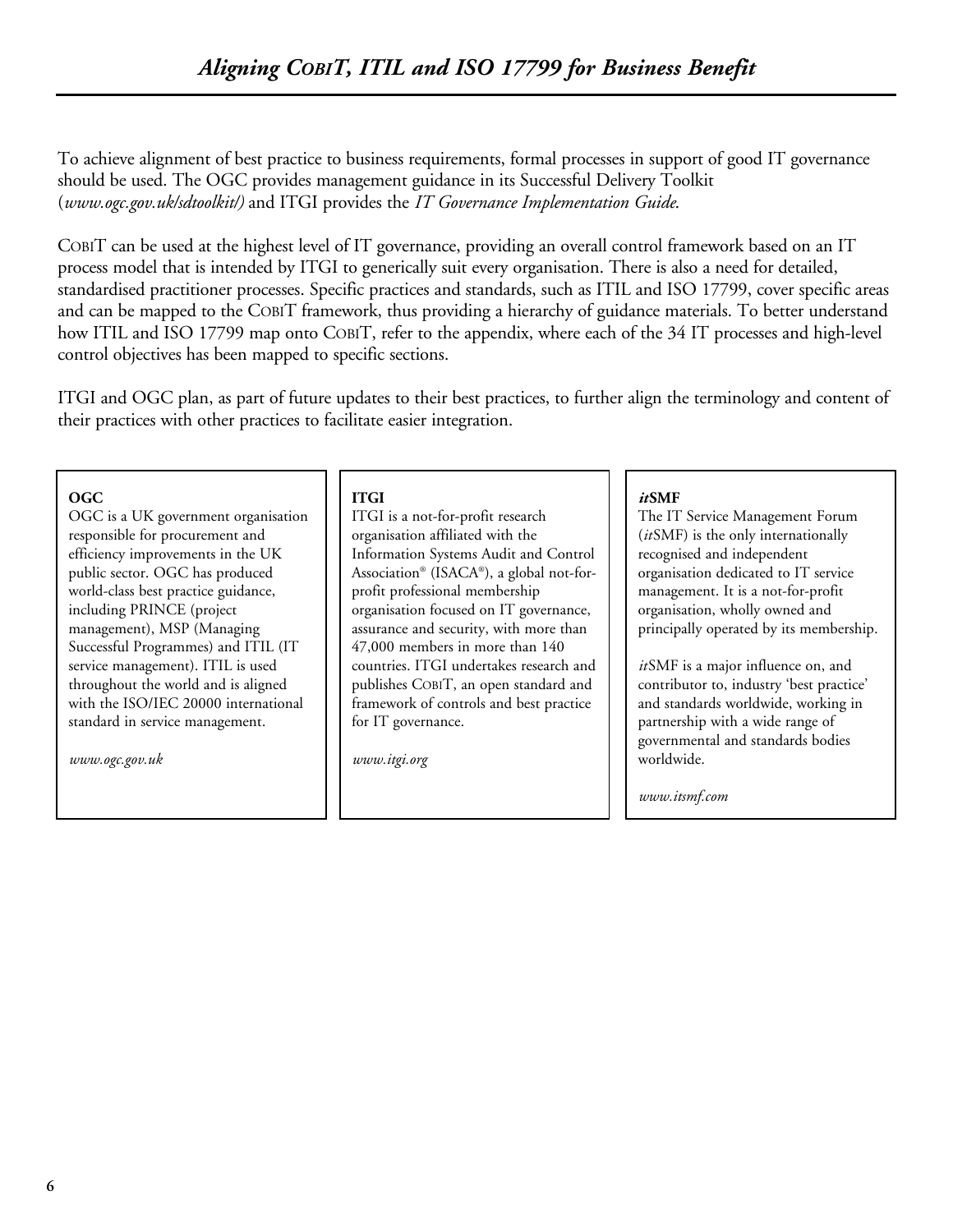To achieve alignment of best practice to business requirements, formal processes in support of good IT governance should be used. The OGC provides management guidance in its Successful Delivery Toolkit (*www.ogc.gov.uk/sdtoolkit/)* and ITGI provides the *IT Governance Implementation Guide*.

COBIT can be used at the highest level of IT governance, providing an overall control framework based on an IT process model that is intended by ITGI to generically suit every organisation. There is also a need for detailed, standardised practitioner processes. Specific practices and standards, such as ITIL and ISO 17799, cover specific areas and can be mapped to the COBIT framework, thus providing a hierarchy of guidance materials. To better understand how ITIL and ISO 17799 map onto COBIT, refer to the appendix, where each of the 34 IT processes and high-level control objectives has been mapped to specific sections.

ITGI and OGC plan, as part of future updates to their best practices, to further align the terminology and content of their practices with other practices to facilitate easier integration.

#### **OGC**

OGC is a UK government organisation responsible for procurement and efficiency improvements in the UK public sector. OGC has produced world-class best practice guidance, including PRINCE (project management), MSP (Managing Successful Programmes) and ITIL (IT service management). ITIL is used throughout the world and is aligned with the ISO/IEC 20000 international standard in service management.

*www.ogc.gov.uk*

#### **ITGI**

ITGI is a not-for-profit research organisation affiliated with the Information Systems Audit and Control Association® (ISACA®), a global not-forprofit professional membership organisation focused on IT governance, assurance and security, with more than 47,000 members in more than 140 countries. ITGI undertakes research and publishes COBIT, an open standard and framework of controls and best practice for IT governance.

*www.itgi.org*

#### *it***SMF**

The IT Service Management Forum (*it*SMF) is the only internationally recognised and independent organisation dedicated to IT service management. It is a not-for-profit organisation, wholly owned and principally operated by its membership.

*it*SMF is a major influence on, and contributor to, industry 'best practice' and standards worldwide, working in partnership with a wide range of governmental and standards bodies worldwide.

*www.itsmf.com*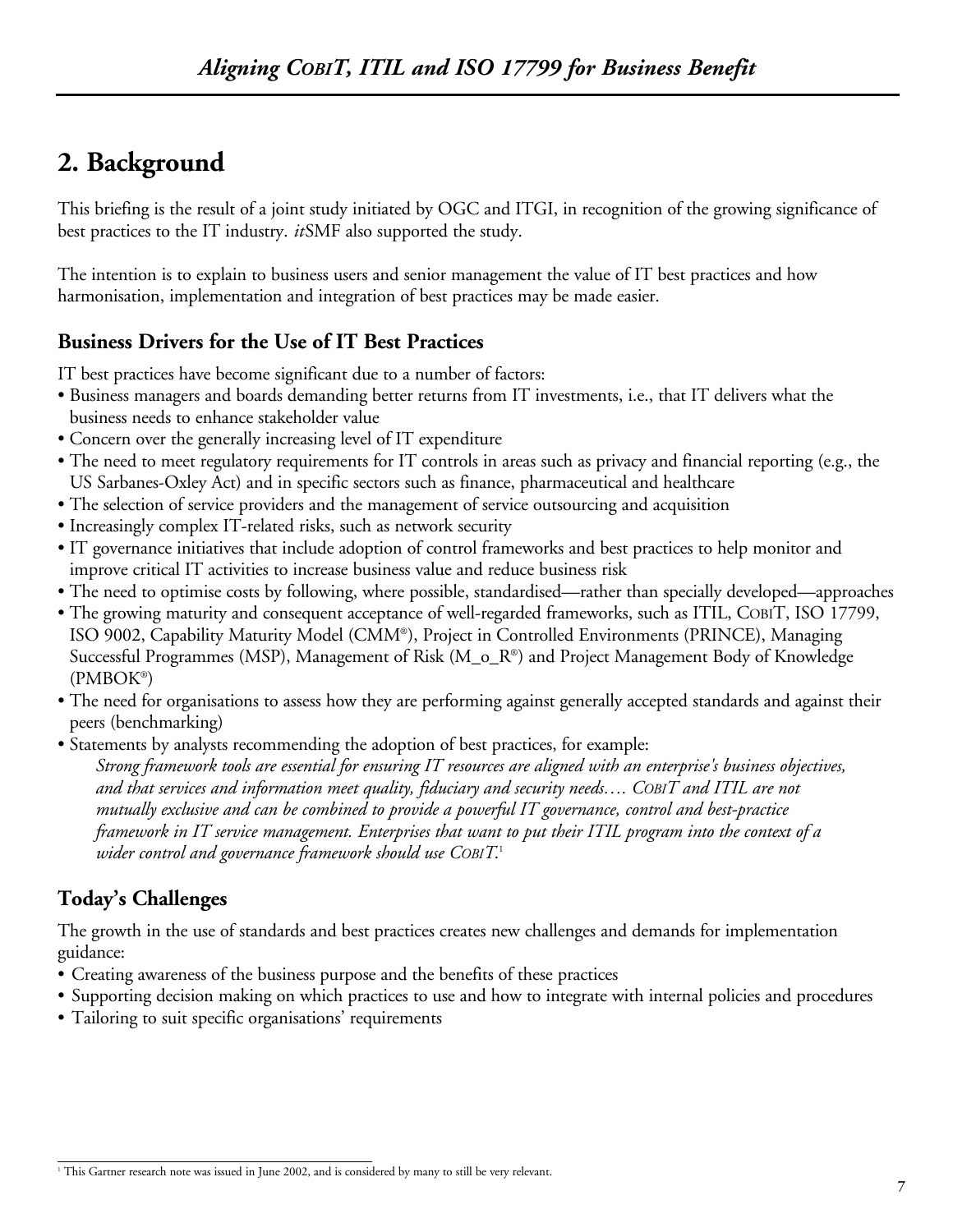# **2. Background**

This briefing is the result of a joint study initiated by OGC and ITGI, in recognition of the growing significance of best practices to the IT industry. *it*SMF also supported the study.

The intention is to explain to business users and senior management the value of IT best practices and how harmonisation, implementation and integration of best practices may be made easier.

## **Business Drivers for the Use of IT Best Practices**

IT best practices have become significant due to a number of factors:

- Business managers and boards demanding better returns from IT investments, i.e., that IT delivers what the business needs to enhance stakeholder value
- Concern over the generally increasing level of IT expenditure
- The need to meet regulatory requirements for IT controls in areas such as privacy and financial reporting (e.g., the US Sarbanes-Oxley Act) and in specific sectors such as finance, pharmaceutical and healthcare
- The selection of service providers and the management of service outsourcing and acquisition
- Increasingly complex IT-related risks, such as network security
- IT governance initiatives that include adoption of control frameworks and best practices to help monitor and improve critical IT activities to increase business value and reduce business risk
- The need to optimise costs by following, where possible, standardised—rather than specially developed—approaches
- The growing maturity and consequent acceptance of well-regarded frameworks, such as ITIL, COBIT, ISO 17799, ISO 9002, Capability Maturity Model (CMM®), Project in Controlled Environments (PRINCE), Managing Successful Programmes (MSP), Management of Risk (M\_o\_R®) and Project Management Body of Knowledge (PMBOK®)
- The need for organisations to assess how they are performing against generally accepted standards and against their peers (benchmarking)
- Statements by analysts recommending the adoption of best practices, for example: *Strong framework tools are essential for ensuring IT resources are aligned with an enterprise's business objectives, and that services and information meet quality, fiduciary and security needs…. COBIT and ITIL are not mutually exclusive and can be combined to provide a powerful IT governance, control and best-practice framework in IT service management. Enterprises that want to put their ITIL program into the context of a wider control and governance framework should use COBIT*. 1

## **Today's Challenges**

The growth in the use of standards and best practices creates new challenges and demands for implementation guidance:

- Creating awareness of the business purpose and the benefits of these practices
- Supporting decision making on which practices to use and how to integrate with internal policies and procedures
- Tailoring to suit specific organisations' requirements

<sup>&</sup>lt;sup>1</sup> This Gartner research note was issued in June 2002, and is considered by many to still be very relevant.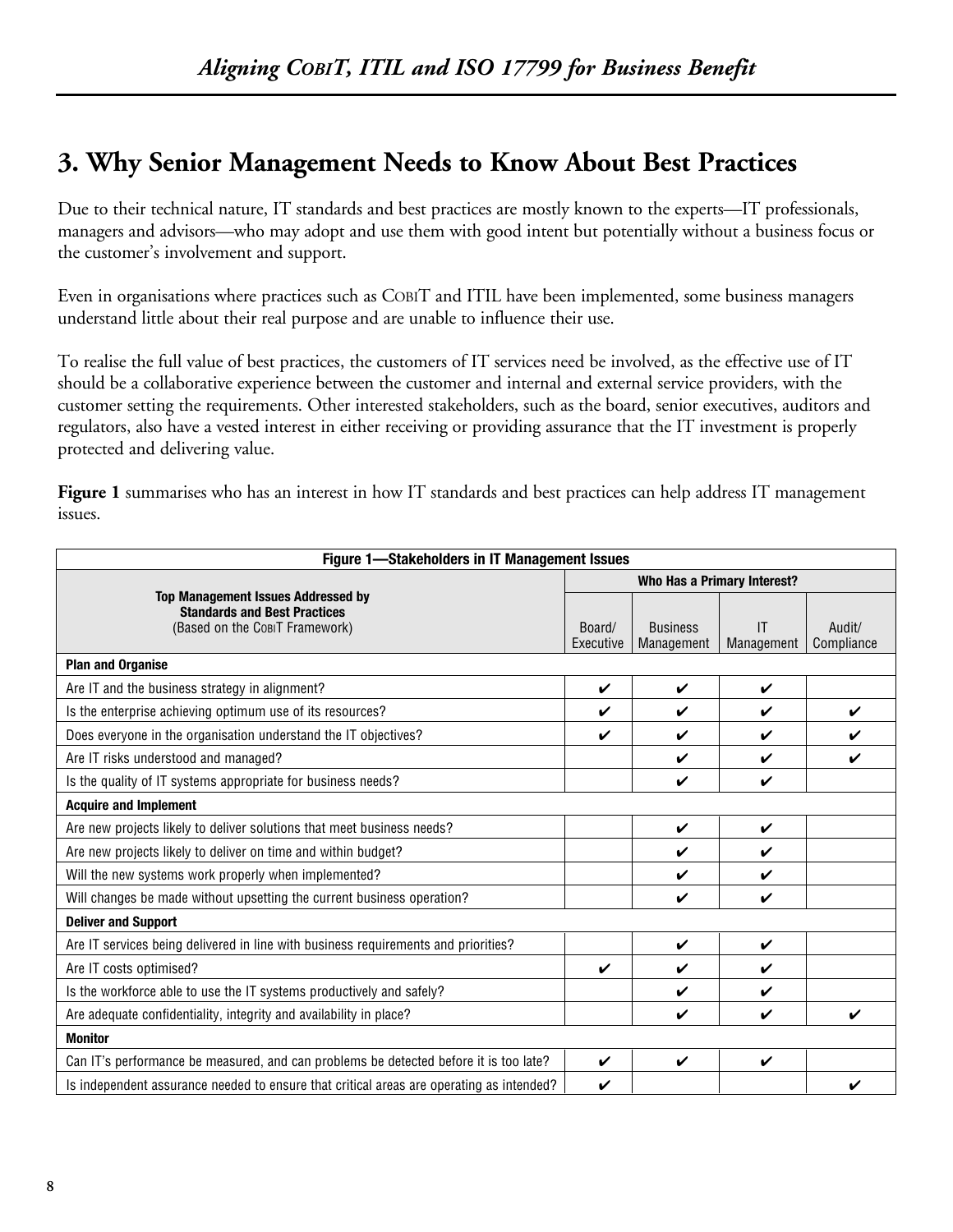# **3. Why Senior Management Needs to Know About Best Practices**

Due to their technical nature, IT standards and best practices are mostly known to the experts—IT professionals, managers and advisors—who may adopt and use them with good intent but potentially without a business focus or the customer's involvement and support.

Even in organisations where practices such as COBIT and ITIL have been implemented, some business managers understand little about their real purpose and are unable to influence their use.

To realise the full value of best practices, the customers of IT services need be involved, as the effective use of IT should be a collaborative experience between the customer and internal and external service providers, with the customer setting the requirements. Other interested stakeholders, such as the board, senior executives, auditors and regulators, also have a vested interest in either receiving or providing assurance that the IT investment is properly protected and delivering value.

**Figure 1** summarises who has an interest in how IT standards and best practices can help address IT management issues.

| Figure 1-Stakeholders in IT Management Issues                                                                      |                             |                               |                    |                      |  |  |
|--------------------------------------------------------------------------------------------------------------------|-----------------------------|-------------------------------|--------------------|----------------------|--|--|
|                                                                                                                    | Who Has a Primary Interest? |                               |                    |                      |  |  |
| <b>Top Management Issues Addressed by</b><br><b>Standards and Best Practices</b><br>(Based on the CobiT Framework) | Board/<br>Executive         | <b>Business</b><br>Management | IT<br>Management   | Audit/<br>Compliance |  |  |
| <b>Plan and Organise</b>                                                                                           |                             |                               |                    |                      |  |  |
| Are IT and the business strategy in alignment?                                                                     | V                           | $\mathbf{v}$                  | V                  |                      |  |  |
| Is the enterprise achieving optimum use of its resources?                                                          | V                           | ✓                             | V                  | ✓                    |  |  |
| Does everyone in the organisation understand the IT objectives?                                                    | V                           | ✓                             | ✓                  | ✓                    |  |  |
| Are IT risks understood and managed?                                                                               |                             | ✔                             | ✓                  | V                    |  |  |
| Is the quality of IT systems appropriate for business needs?                                                       |                             | ✔                             | V                  |                      |  |  |
| <b>Acquire and Implement</b>                                                                                       |                             |                               |                    |                      |  |  |
| Are new projects likely to deliver solutions that meet business needs?                                             |                             | V                             | ✓                  |                      |  |  |
| Are new projects likely to deliver on time and within budget?                                                      |                             | ✔                             | $\boldsymbol{\nu}$ |                      |  |  |
| Will the new systems work properly when implemented?                                                               |                             | V                             | ✓                  |                      |  |  |
| Will changes be made without upsetting the current business operation?                                             |                             | ✓                             | V                  |                      |  |  |
| <b>Deliver and Support</b>                                                                                         |                             |                               |                    |                      |  |  |
| Are IT services being delivered in line with business requirements and priorities?                                 |                             | V                             | V                  |                      |  |  |
| Are IT costs optimised?                                                                                            | ✓                           | ✓                             | ✓                  |                      |  |  |
| Is the workforce able to use the IT systems productively and safely?                                               |                             | ✓                             | ✓                  |                      |  |  |
| Are adequate confidentiality, integrity and availability in place?                                                 |                             | V                             | V                  | ✔                    |  |  |
| <b>Monitor</b>                                                                                                     |                             |                               |                    |                      |  |  |
| Can IT's performance be measured, and can problems be detected before it is too late?                              | V                           | ✓                             | ✓                  |                      |  |  |
| Is independent assurance needed to ensure that critical areas are operating as intended?                           | V                           |                               |                    |                      |  |  |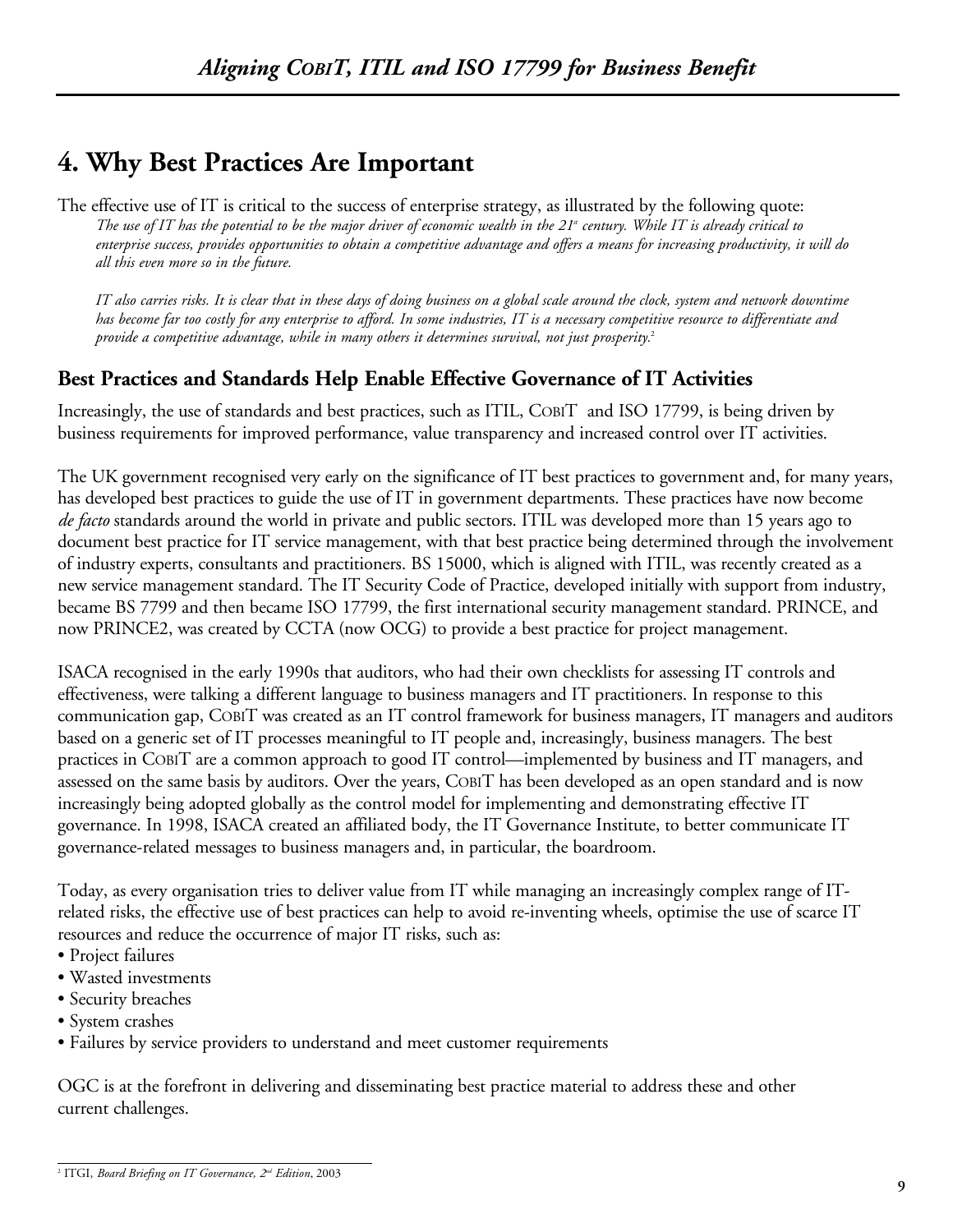# **4. Why Best Practices Are Important**

The effective use of IT is critical to the success of enterprise strategy, as illustrated by the following quote: *The use of IT has the potential to be the major driver of economic wealth in the 21st century. While IT is already critical to enterprise success, provides opportunities to obtain a competitive advantage and offers a means for increasing productivity, it will do all this even more so in the future.*

*IT also carries risks. It is clear that in these days of doing business on a global scale around the clock, system and network downtime has become far too costly for any enterprise to afford. In some industries, IT is a necessary competitive resource to differentiate and provide a competitive advantage, while in many others it determines survival, not just prosperity.*<sup>2</sup>

## **Best Practices and Standards Help Enable Effective Governance of IT Activities**

Increasingly, the use of standards and best practices, such as ITIL, COBIT and ISO 17799, is being driven by business requirements for improved performance, value transparency and increased control over IT activities.

The UK government recognised very early on the significance of IT best practices to government and, for many years, has developed best practices to guide the use of IT in government departments. These practices have now become *de facto* standards around the world in private and public sectors. ITIL was developed more than 15 years ago to document best practice for IT service management, with that best practice being determined through the involvement of industry experts, consultants and practitioners. BS 15000, which is aligned with ITIL, was recently created as a new service management standard. The IT Security Code of Practice, developed initially with support from industry, became BS 7799 and then became ISO 17799, the first international security management standard. PRINCE, and now PRINCE2, was created by CCTA (now OCG) to provide a best practice for project management.

ISACA recognised in the early 1990s that auditors, who had their own checklists for assessing IT controls and effectiveness, were talking a different language to business managers and IT practitioners. In response to this communication gap, COBIT was created as an IT control framework for business managers, IT managers and auditors based on a generic set of IT processes meaningful to IT people and, increasingly, business managers. The best practices in COBIT are a common approach to good IT control—implemented by business and IT managers, and assessed on the same basis by auditors. Over the years, COBIT has been developed as an open standard and is now increasingly being adopted globally as the control model for implementing and demonstrating effective IT governance. In 1998, ISACA created an affiliated body, the IT Governance Institute, to better communicate IT governance-related messages to business managers and, in particular, the boardroom.

Today, as every organisation tries to deliver value from IT while managing an increasingly complex range of ITrelated risks, the effective use of best practices can help to avoid re-inventing wheels, optimise the use of scarce IT resources and reduce the occurrence of major IT risks, such as:

- Project failures
- Wasted investments
- Security breaches
- System crashes
- Failures by service providers to understand and meet customer requirements

OGC is at the forefront in delivering and disseminating best practice material to address these and other current challenges.

<sup>2</sup> ITGI, *Board Briefing on IT Governance, 2nd Edition*, 2003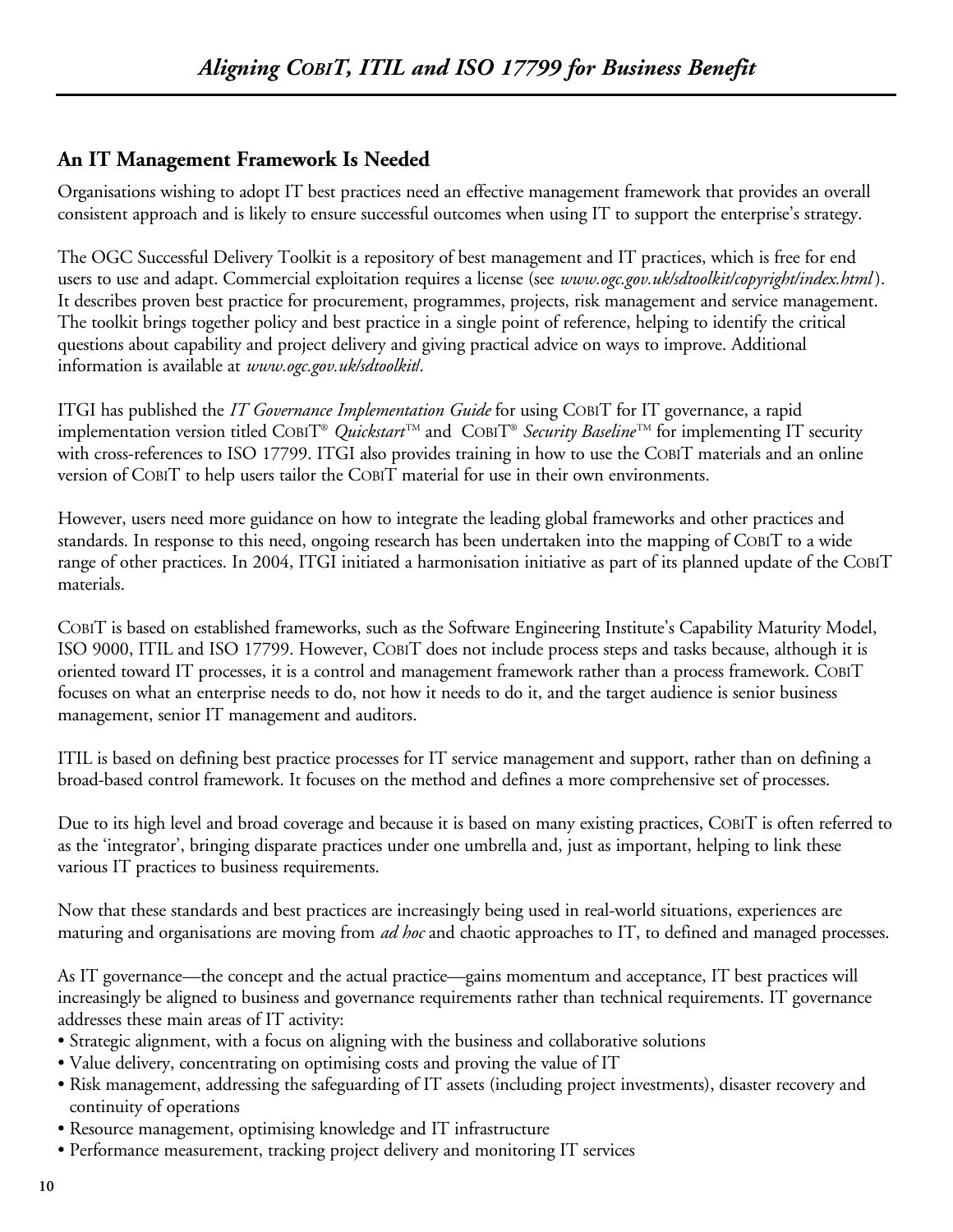## **An IT Management Framework Is Needed**

Organisations wishing to adopt IT best practices need an effective management framework that provides an overall consistent approach and is likely to ensure successful outcomes when using IT to support the enterprise's strategy.

The OGC Successful Delivery Toolkit is a repository of best management and IT practices, which is free for end users to use and adapt. Commercial exploitation requires a license (see *www.ogc.gov.uk/sdtoolkit/copyright/index.html* ). It describes proven best practice for procurement, programmes, projects, risk management and service management. The toolkit brings together policy and best practice in a single point of reference, helping to identify the critical questions about capability and project delivery and giving practical advice on ways to improve. Additional information is available at *www.ogc.gov.uk/sdtoolkit*/.

ITGI has published the *IT Governance Implementation Guide* for using COBIT for IT governance, a rapid implementation version titled COBIT® *Quickstart* TM and COBIT® *Security Baseline* TM for implementing IT security with cross-references to ISO 17799. ITGI also provides training in how to use the COBIT materials and an online version of COBIT to help users tailor the COBIT material for use in their own environments.

However, users need more guidance on how to integrate the leading global frameworks and other practices and standards. In response to this need, ongoing research has been undertaken into the mapping of COBIT to a wide range of other practices. In 2004, ITGI initiated a harmonisation initiative as part of its planned update of the COBIT materials.

COBIT is based on established frameworks, such as the Software Engineering Institute's Capability Maturity Model, ISO 9000, ITIL and ISO 17799. However, COBIT does not include process steps and tasks because, although it is oriented toward IT processes, it is a control and management framework rather than a process framework. COBIT focuses on what an enterprise needs to do, not how it needs to do it, and the target audience is senior business management, senior IT management and auditors.

ITIL is based on defining best practice processes for IT service management and support, rather than on defining a broad-based control framework. It focuses on the method and defines a more comprehensive set of processes.

Due to its high level and broad coverage and because it is based on many existing practices, COBIT is often referred to as the 'integrator', bringing disparate practices under one umbrella and, just as important, helping to link these various IT practices to business requirements.

Now that these standards and best practices are increasingly being used in real-world situations, experiences are maturing and organisations are moving from *ad hoc* and chaotic approaches to IT, to defined and managed processes.

As IT governance—the concept and the actual practice—gains momentum and acceptance, IT best practices will increasingly be aligned to business and governance requirements rather than technical requirements. IT governance addresses these main areas of IT activity:

- Strategic alignment, with a focus on aligning with the business and collaborative solutions
- Value delivery, concentrating on optimising costs and proving the value of IT
- Risk management, addressing the safeguarding of IT assets (including project investments), disaster recovery and continuity of operations
- Resource management, optimising knowledge and IT infrastructure
- Performance measurement, tracking project delivery and monitoring IT services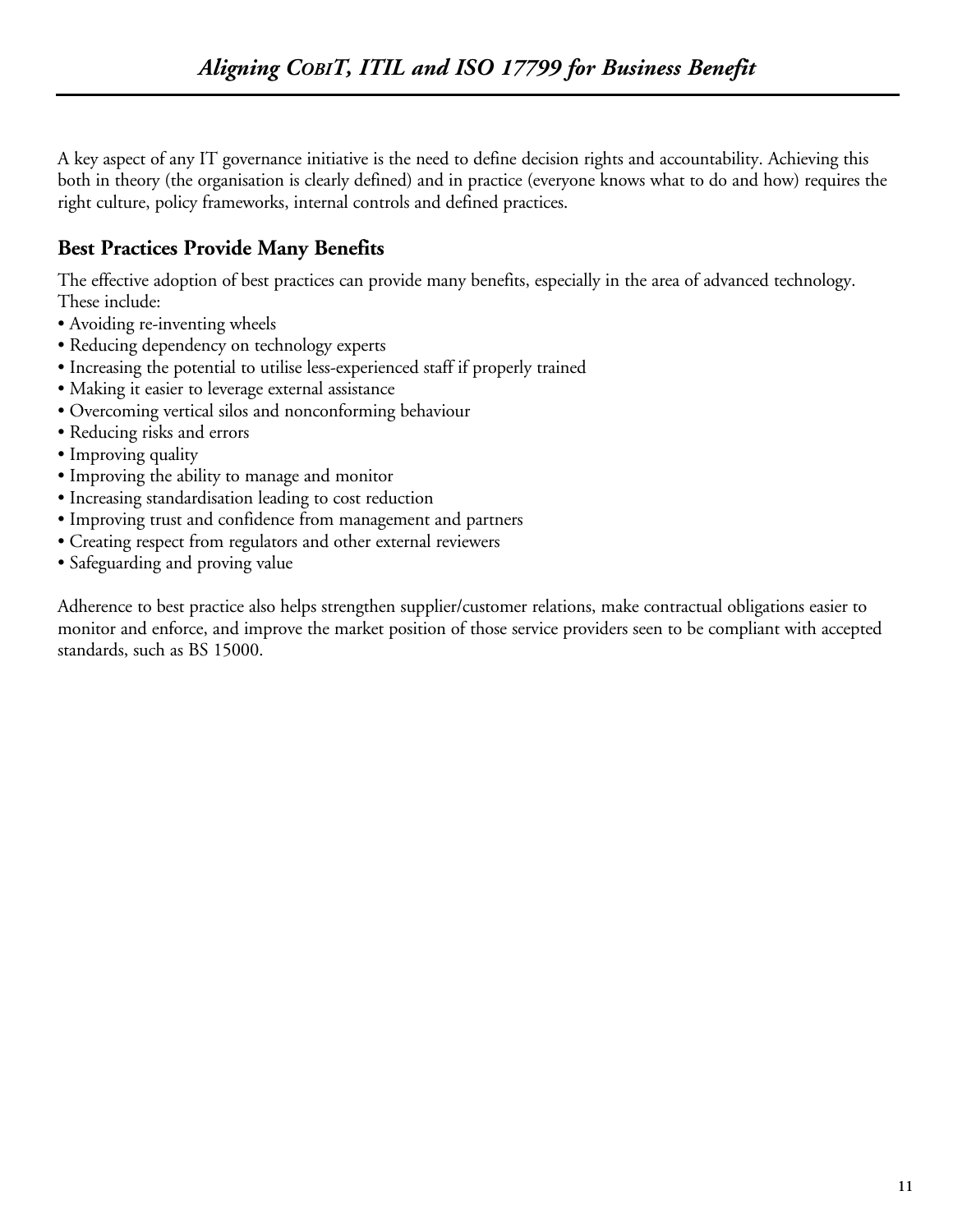A key aspect of any IT governance initiative is the need to define decision rights and accountability. Achieving this both in theory (the organisation is clearly defined) and in practice (everyone knows what to do and how) requires the right culture, policy frameworks, internal controls and defined practices.

## **Best Practices Provide Many Benefits**

The effective adoption of best practices can provide many benefits, especially in the area of advanced technology. These include:

- Avoiding re-inventing wheels
- Reducing dependency on technology experts
- Increasing the potential to utilise less-experienced staff if properly trained
- Making it easier to leverage external assistance
- Overcoming vertical silos and nonconforming behaviour
- Reducing risks and errors
- Improving quality
- Improving the ability to manage and monitor
- Increasing standardisation leading to cost reduction
- Improving trust and confidence from management and partners
- Creating respect from regulators and other external reviewers
- Safeguarding and proving value

Adherence to best practice also helps strengthen supplier/customer relations, make contractual obligations easier to monitor and enforce, and improve the market position of those service providers seen to be compliant with accepted standards, such as BS 15000.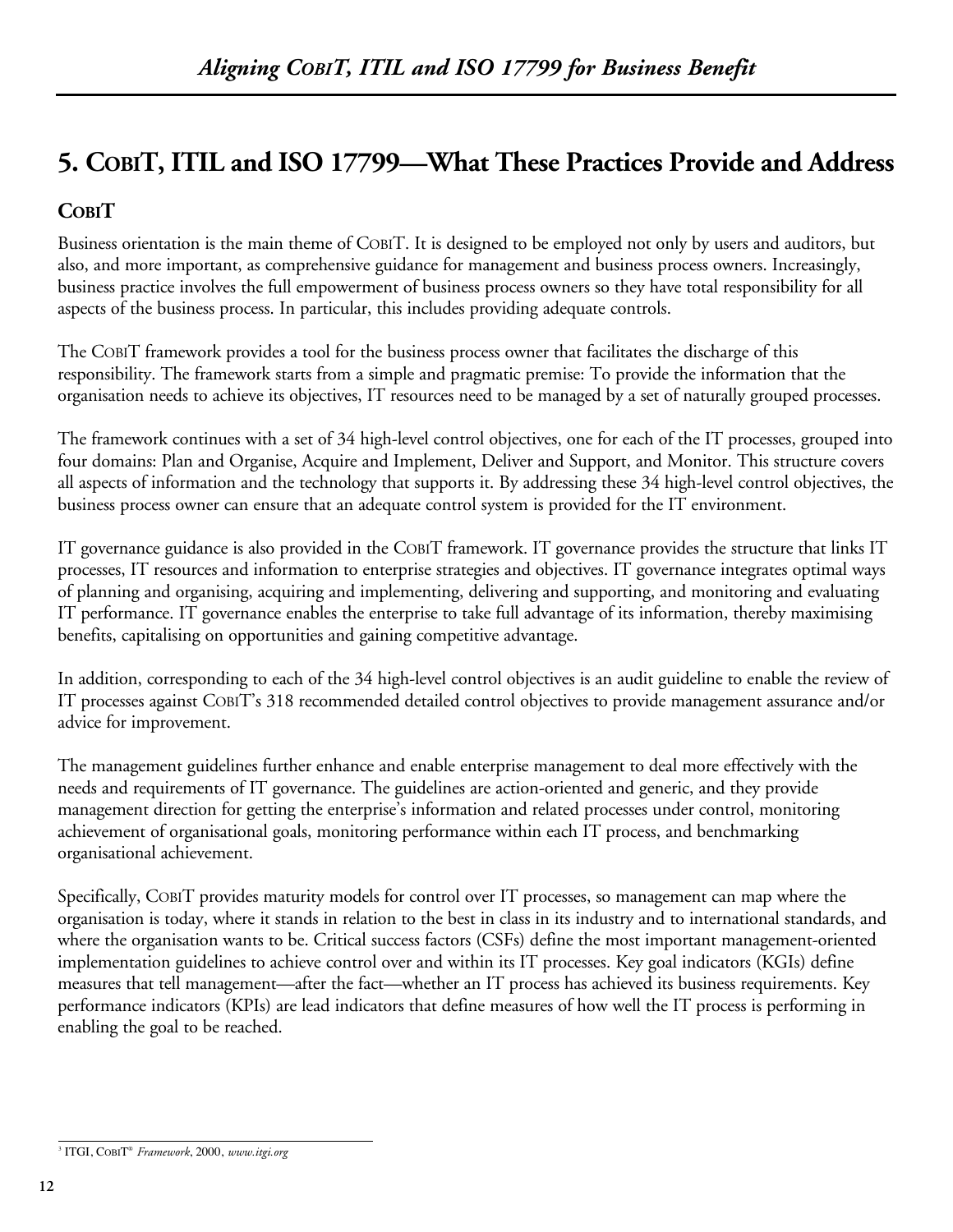# **5. COBIT, ITIL and ISO 17799—What These Practices Provide and Address**

## **COBIT**

Business orientation is the main theme of COBIT. It is designed to be employed not only by users and auditors, but also, and more important, as comprehensive guidance for management and business process owners. Increasingly, business practice involves the full empowerment of business process owners so they have total responsibility for all aspects of the business process. In particular, this includes providing adequate controls.

The COBIT framework provides a tool for the business process owner that facilitates the discharge of this responsibility. The framework starts from a simple and pragmatic premise: To provide the information that the organisation needs to achieve its objectives, IT resources need to be managed by a set of naturally grouped processes.

The framework continues with a set of 34 high-level control objectives, one for each of the IT processes, grouped into four domains: Plan and Organise, Acquire and Implement, Deliver and Support, and Monitor. This structure covers all aspects of information and the technology that supports it. By addressing these 34 high-level control objectives, the business process owner can ensure that an adequate control system is provided for the IT environment.

IT governance guidance is also provided in the COBIT framework. IT governance provides the structure that links IT processes, IT resources and information to enterprise strategies and objectives. IT governance integrates optimal ways of planning and organising, acquiring and implementing, delivering and supporting, and monitoring and evaluating IT performance. IT governance enables the enterprise to take full advantage of its information, thereby maximising benefits, capitalising on opportunities and gaining competitive advantage.

In addition, corresponding to each of the 34 high-level control objectives is an audit guideline to enable the review of IT processes against COBIT's 318 recommended detailed control objectives to provide management assurance and/or advice for improvement.

The management guidelines further enhance and enable enterprise management to deal more effectively with the needs and requirements of IT governance. The guidelines are action-oriented and generic, and they provide management direction for getting the enterprise's information and related processes under control, monitoring achievement of organisational goals, monitoring performance within each IT process, and benchmarking organisational achievement.

Specifically, COBIT provides maturity models for control over IT processes, so management can map where the organisation is today, where it stands in relation to the best in class in its industry and to international standards, and where the organisation wants to be. Critical success factors (CSFs) define the most important management-oriented implementation guidelines to achieve control over and within its IT processes. Key goal indicators (KGIs) define measures that tell management—after the fact—whether an IT process has achieved its business requirements. Key performance indicators (KPIs) are lead indicators that define measures of how well the IT process is performing in enabling the goal to be reached.

<sup>3</sup> ITGI, COBIT® *Framework*, 2000, *www.itgi.org*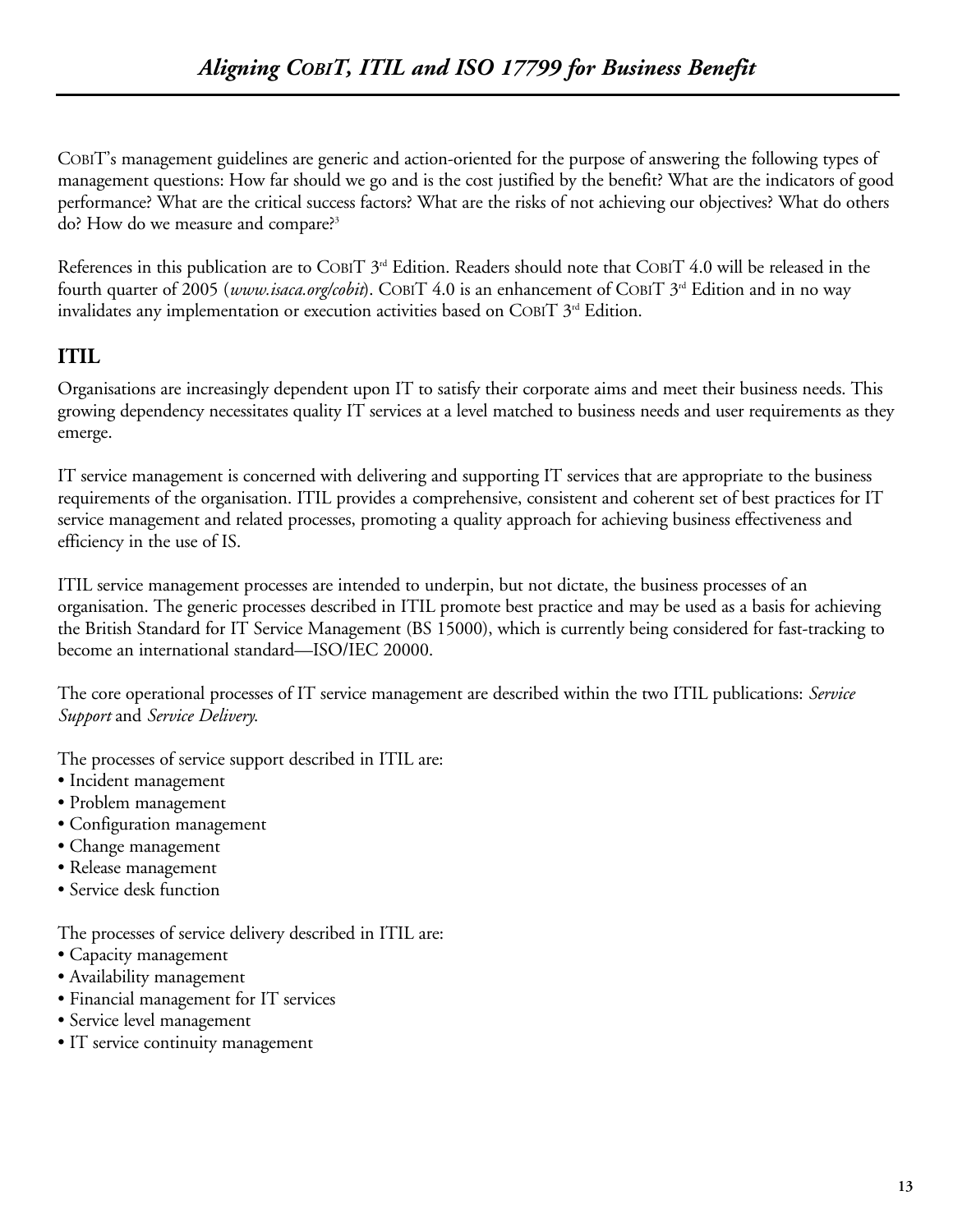COBIT's management guidelines are generic and action-oriented for the purpose of answering the following types of management questions: How far should we go and is the cost justified by the benefit? What are the indicators of good performance? What are the critical success factors? What are the risks of not achieving our objectives? What do others do? How do we measure and compare?<sup>3</sup>

References in this publication are to COBIT 3<sup>rd</sup> Edition. Readers should note that COBIT 4.0 will be released in the fourth quarter of 2005 (*www.isaca.org/cobit*). COBIT 4.0 is an enhancement of COBIT 3<sup>rd</sup> Edition and in no way invalidates any implementation or execution activities based on COBIT  $3^{rd}$  Edition.

## **ITIL**

Organisations are increasingly dependent upon IT to satisfy their corporate aims and meet their business needs. This growing dependency necessitates quality IT services at a level matched to business needs and user requirements as they emerge.

IT service management is concerned with delivering and supporting IT services that are appropriate to the business requirements of the organisation. ITIL provides a comprehensive, consistent and coherent set of best practices for IT service management and related processes, promoting a quality approach for achieving business effectiveness and efficiency in the use of IS.

ITIL service management processes are intended to underpin, but not dictate, the business processes of an organisation. The generic processes described in ITIL promote best practice and may be used as a basis for achieving the British Standard for IT Service Management (BS 15000), which is currently being considered for fast-tracking to become an international standard—ISO/IEC 20000.

The core operational processes of IT service management are described within the two ITIL publications: *Service Support* and *Service Delivery*.

The processes of service support described in ITIL are:

- Incident management
- Problem management
- Configuration management
- Change management
- Release management
- Service desk function

The processes of service delivery described in ITIL are:

- Capacity management
- Availability management
- Financial management for IT services
- Service level management
- IT service continuity management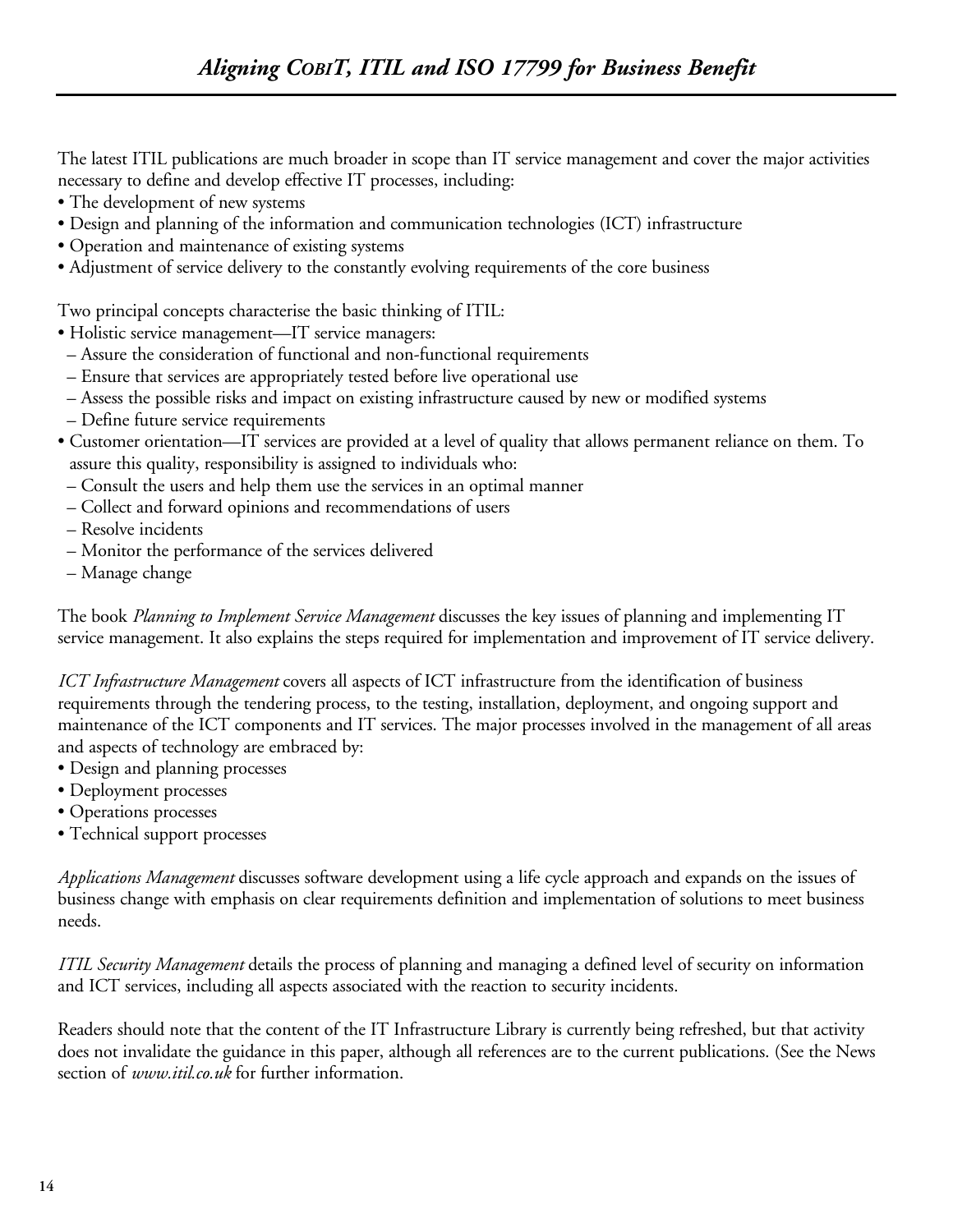The latest ITIL publications are much broader in scope than IT service management and cover the major activities necessary to define and develop effective IT processes, including:

- The development of new systems
- Design and planning of the information and communication technologies (ICT) infrastructure
- Operation and maintenance of existing systems
- Adjustment of service delivery to the constantly evolving requirements of the core business

Two principal concepts characterise the basic thinking of ITIL:

- Holistic service management—IT service managers:
- Assure the consideration of functional and non-functional requirements
- Ensure that services are appropriately tested before live operational use
- Assess the possible risks and impact on existing infrastructure caused by new or modified systems
- Define future service requirements
- Customer orientation—IT services are provided at a level of quality that allows permanent reliance on them. To assure this quality, responsibility is assigned to individuals who:
- Consult the users and help them use the services in an optimal manner
- Collect and forward opinions and recommendations of users
- Resolve incidents
- Monitor the performance of the services delivered
- Manage change

The book *Planning to Implement Service Management* discusses the key issues of planning and implementing IT service management. It also explains the steps required for implementation and improvement of IT service delivery.

*ICT Infrastructure Management* covers all aspects of ICT infrastructure from the identification of business requirements through the tendering process, to the testing, installation, deployment, and ongoing support and maintenance of the ICT components and IT services. The major processes involved in the management of all areas and aspects of technology are embraced by:

- Design and planning processes
- Deployment processes
- Operations processes
- Technical support processes

*Applications Management* discusses software development using a life cycle approach and expands on the issues of business change with emphasis on clear requirements definition and implementation of solutions to meet business needs.

*ITIL Security Management* details the process of planning and managing a defined level of security on information and ICT services, including all aspects associated with the reaction to security incidents.

Readers should note that the content of the IT Infrastructure Library is currently being refreshed, but that activity does not invalidate the guidance in this paper, although all references are to the current publications. (See the News section of *www.itil.co.uk* for further information.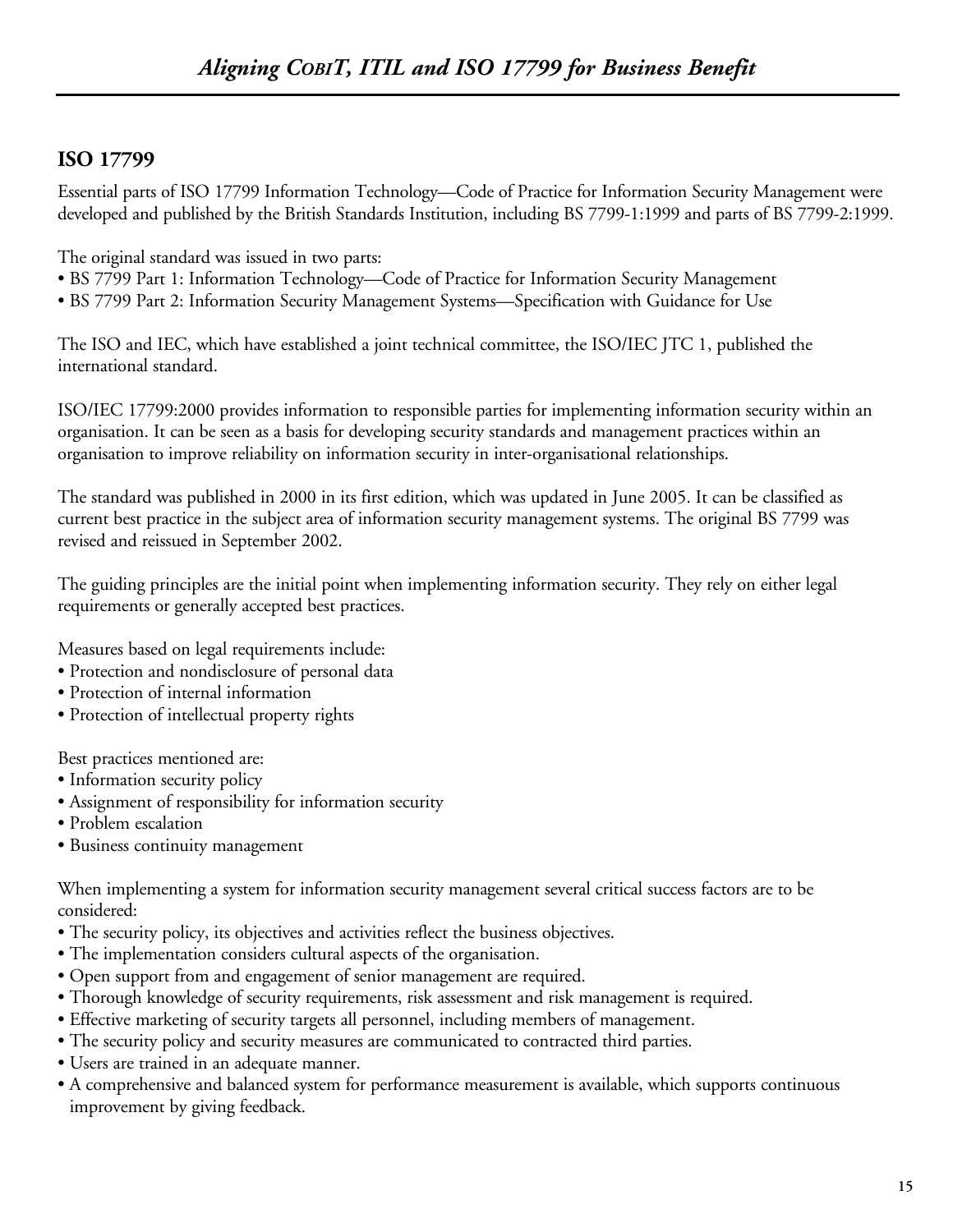## **ISO 17799**

Essential parts of ISO 17799 Information Technology—Code of Practice for Information Security Management were developed and published by the British Standards Institution, including BS 7799-1:1999 and parts of BS 7799-2:1999.

The original standard was issued in two parts:

- BS 7799 Part 1: Information Technology—Code of Practice for Information Security Management
- BS 7799 Part 2: Information Security Management Systems—Specification with Guidance for Use

The ISO and IEC, which have established a joint technical committee, the ISO/IEC JTC 1, published the international standard.

ISO/IEC 17799:2000 provides information to responsible parties for implementing information security within an organisation. It can be seen as a basis for developing security standards and management practices within an organisation to improve reliability on information security in inter-organisational relationships.

The standard was published in 2000 in its first edition, which was updated in June 2005. It can be classified as current best practice in the subject area of information security management systems. The original BS 7799 was revised and reissued in September 2002.

The guiding principles are the initial point when implementing information security. They rely on either legal requirements or generally accepted best practices.

Measures based on legal requirements include:

- Protection and nondisclosure of personal data
- Protection of internal information
- Protection of intellectual property rights

Best practices mentioned are:

- Information security policy
- Assignment of responsibility for information security
- Problem escalation
- Business continuity management

When implementing a system for information security management several critical success factors are to be considered:

- The security policy, its objectives and activities reflect the business objectives.
- The implementation considers cultural aspects of the organisation.
- Open support from and engagement of senior management are required.
- Thorough knowledge of security requirements, risk assessment and risk management is required.
- Effective marketing of security targets all personnel, including members of management.
- The security policy and security measures are communicated to contracted third parties.
- Users are trained in an adequate manner.
- A comprehensive and balanced system for performance measurement is available, which supports continuous improvement by giving feedback.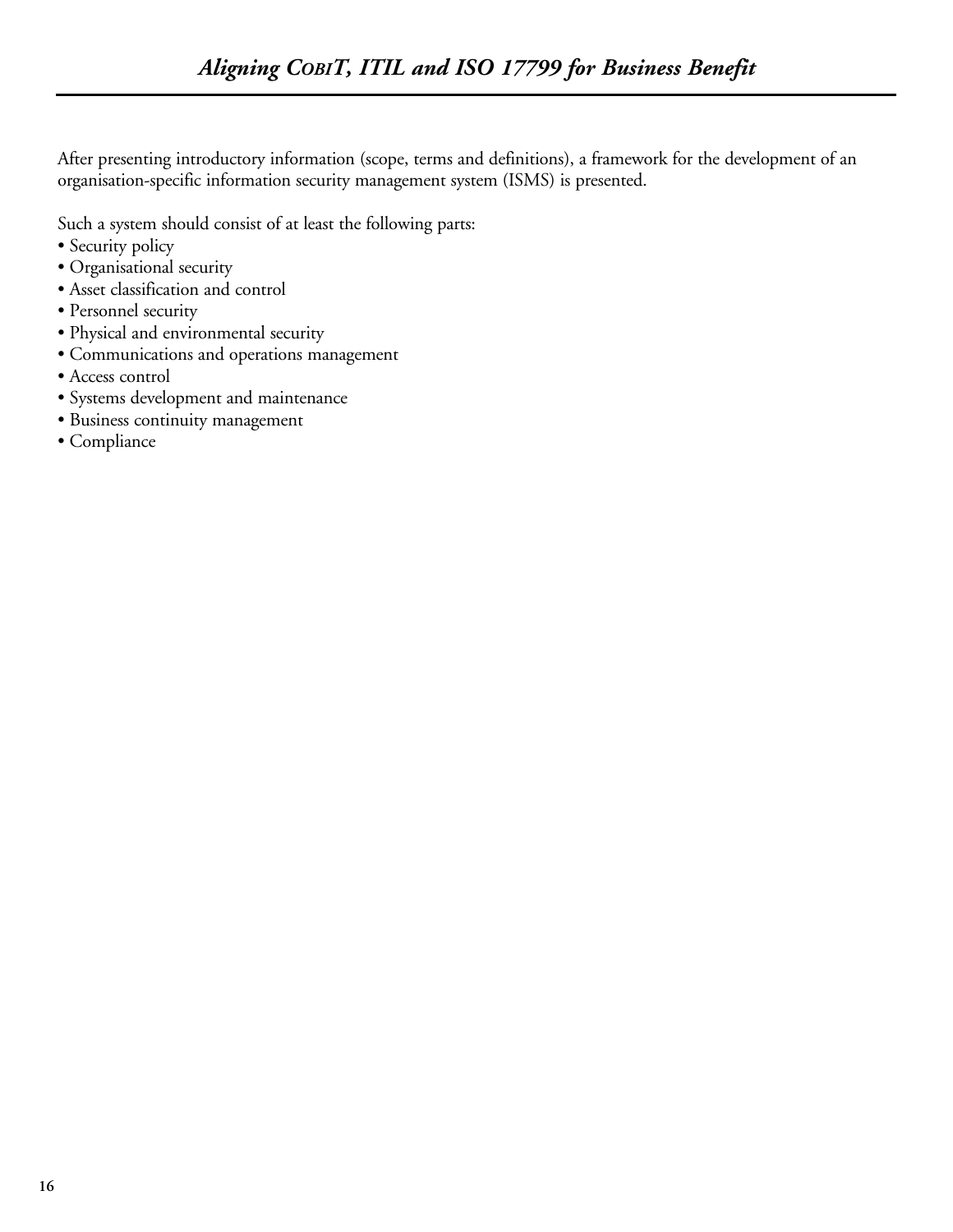After presenting introductory information (scope, terms and definitions), a framework for the development of an organisation-specific information security management system (ISMS) is presented.

Such a system should consist of at least the following parts:

- Security policy
- Organisational security
- Asset classification and control
- Personnel security
- Physical and environmental security
- Communications and operations management
- Access control
- Systems development and maintenance
- Business continuity management
- Compliance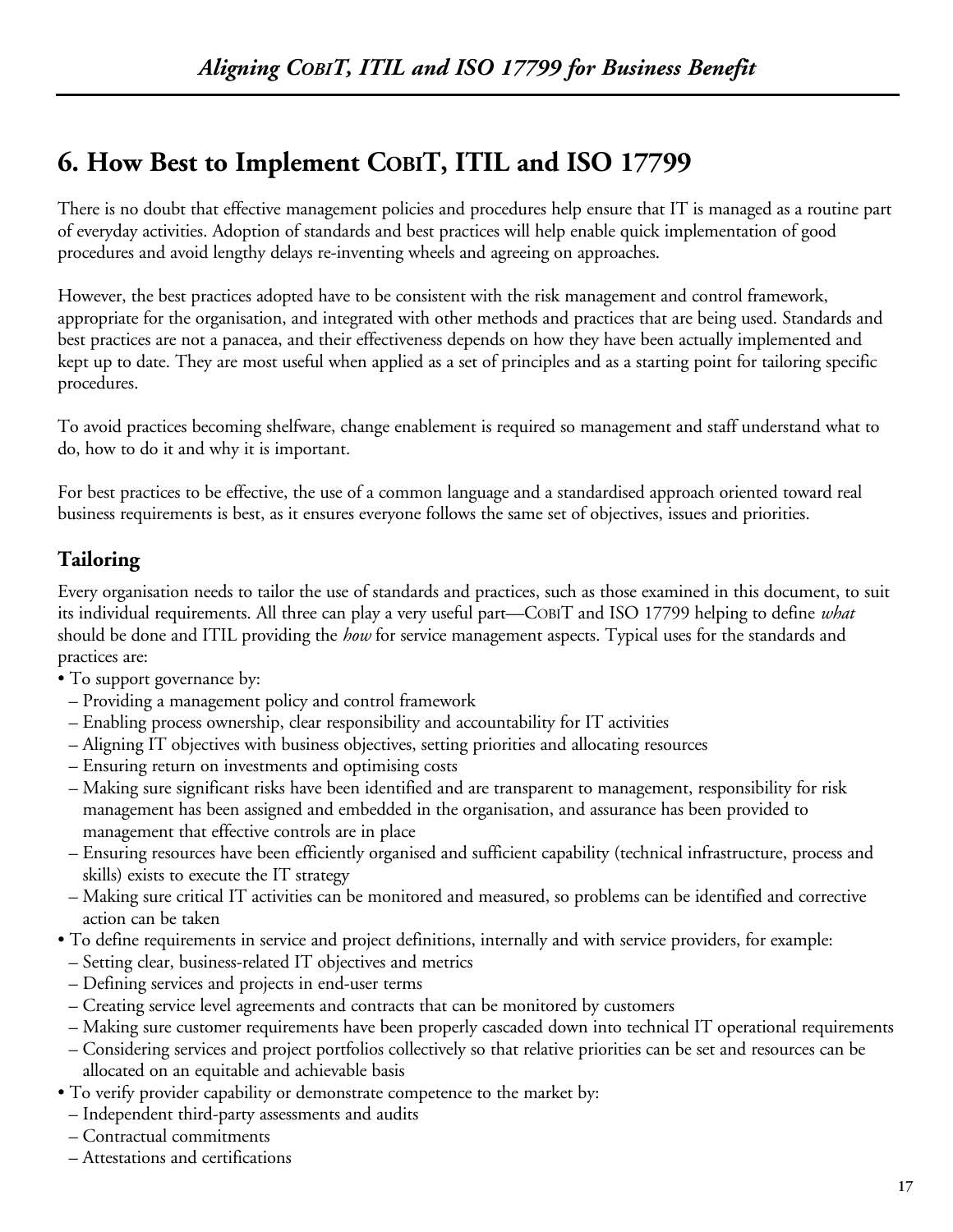# **6. How Best to Implement COBIT, ITIL and ISO 17799**

There is no doubt that effective management policies and procedures help ensure that IT is managed as a routine part of everyday activities. Adoption of standards and best practices will help enable quick implementation of good procedures and avoid lengthy delays re-inventing wheels and agreeing on approaches.

However, the best practices adopted have to be consistent with the risk management and control framework, appropriate for the organisation, and integrated with other methods and practices that are being used. Standards and best practices are not a panacea, and their effectiveness depends on how they have been actually implemented and kept up to date. They are most useful when applied as a set of principles and as a starting point for tailoring specific procedures.

To avoid practices becoming shelfware, change enablement is required so management and staff understand what to do, how to do it and why it is important.

For best practices to be effective, the use of a common language and a standardised approach oriented toward real business requirements is best, as it ensures everyone follows the same set of objectives, issues and priorities.

## **Tailoring**

Every organisation needs to tailor the use of standards and practices, such as those examined in this document, to suit its individual requirements. All three can play a very useful part—COBIT and ISO 17799 helping to define *what* should be done and ITIL providing the *how* for service management aspects. Typical uses for the standards and practices are:

- To support governance by:
- Providing a management policy and control framework
- Enabling process ownership, clear responsibility and accountability for IT activities
- Aligning IT objectives with business objectives, setting priorities and allocating resources
- Ensuring return on investments and optimising costs
- Making sure significant risks have been identified and are transparent to management, responsibility for risk management has been assigned and embedded in the organisation, and assurance has been provided to management that effective controls are in place
- Ensuring resources have been efficiently organised and sufficient capability (technical infrastructure, process and skills) exists to execute the IT strategy
- Making sure critical IT activities can be monitored and measured, so problems can be identified and corrective action can be taken
- To define requirements in service and project definitions, internally and with service providers, for example:
- Setting clear, business-related IT objectives and metrics
- Defining services and projects in end-user terms
- Creating service level agreements and contracts that can be monitored by customers
- Making sure customer requirements have been properly cascaded down into technical IT operational requirements
- Considering services and project portfolios collectively so that relative priorities can be set and resources can be allocated on an equitable and achievable basis
- To verify provider capability or demonstrate competence to the market by:
- Independent third-party assessments and audits
- Contractual commitments
- Attestations and certifications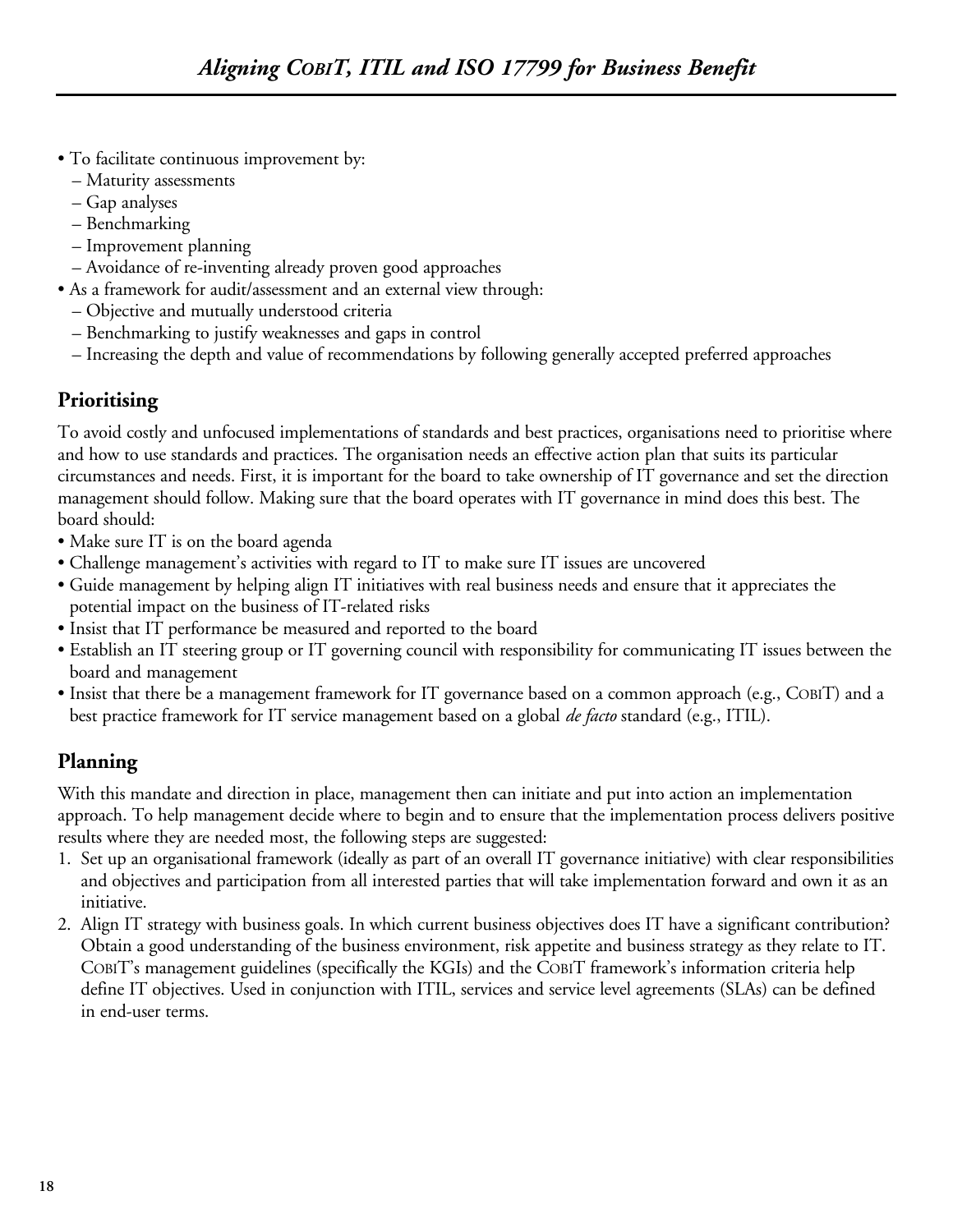- To facilitate continuous improvement by:
	- Maturity assessments
	- Gap analyses
	- Benchmarking
	- Improvement planning
	- Avoidance of re-inventing already proven good approaches
- As a framework for audit/assessment and an external view through:
	- Objective and mutually understood criteria
	- Benchmarking to justify weaknesses and gaps in control
	- Increasing the depth and value of recommendations by following generally accepted preferred approaches

## **Prioritising**

To avoid costly and unfocused implementations of standards and best practices, organisations need to prioritise where and how to use standards and practices. The organisation needs an effective action plan that suits its particular circumstances and needs. First, it is important for the board to take ownership of IT governance and set the direction management should follow. Making sure that the board operates with IT governance in mind does this best. The board should:

- Make sure IT is on the board agenda
- Challenge management's activities with regard to IT to make sure IT issues are uncovered
- Guide management by helping align IT initiatives with real business needs and ensure that it appreciates the potential impact on the business of IT-related risks
- Insist that IT performance be measured and reported to the board
- Establish an IT steering group or IT governing council with responsibility for communicating IT issues between the board and management
- Insist that there be a management framework for IT governance based on a common approach (e.g., COBIT) and a best practice framework for IT service management based on a global *de facto* standard (e.g., ITIL).

## **Planning**

With this mandate and direction in place, management then can initiate and put into action an implementation approach. To help management decide where to begin and to ensure that the implementation process delivers positive results where they are needed most, the following steps are suggested:

- 1. Set up an organisational framework (ideally as part of an overall IT governance initiative) with clear responsibilities and objectives and participation from all interested parties that will take implementation forward and own it as an initiative.
- 2. Align IT strategy with business goals. In which current business objectives does IT have a significant contribution? Obtain a good understanding of the business environment, risk appetite and business strategy as they relate to IT. COBIT's management guidelines (specifically the KGIs) and the COBIT framework's information criteria help define IT objectives. Used in conjunction with ITIL, services and service level agreements (SLAs) can be defined in end-user terms.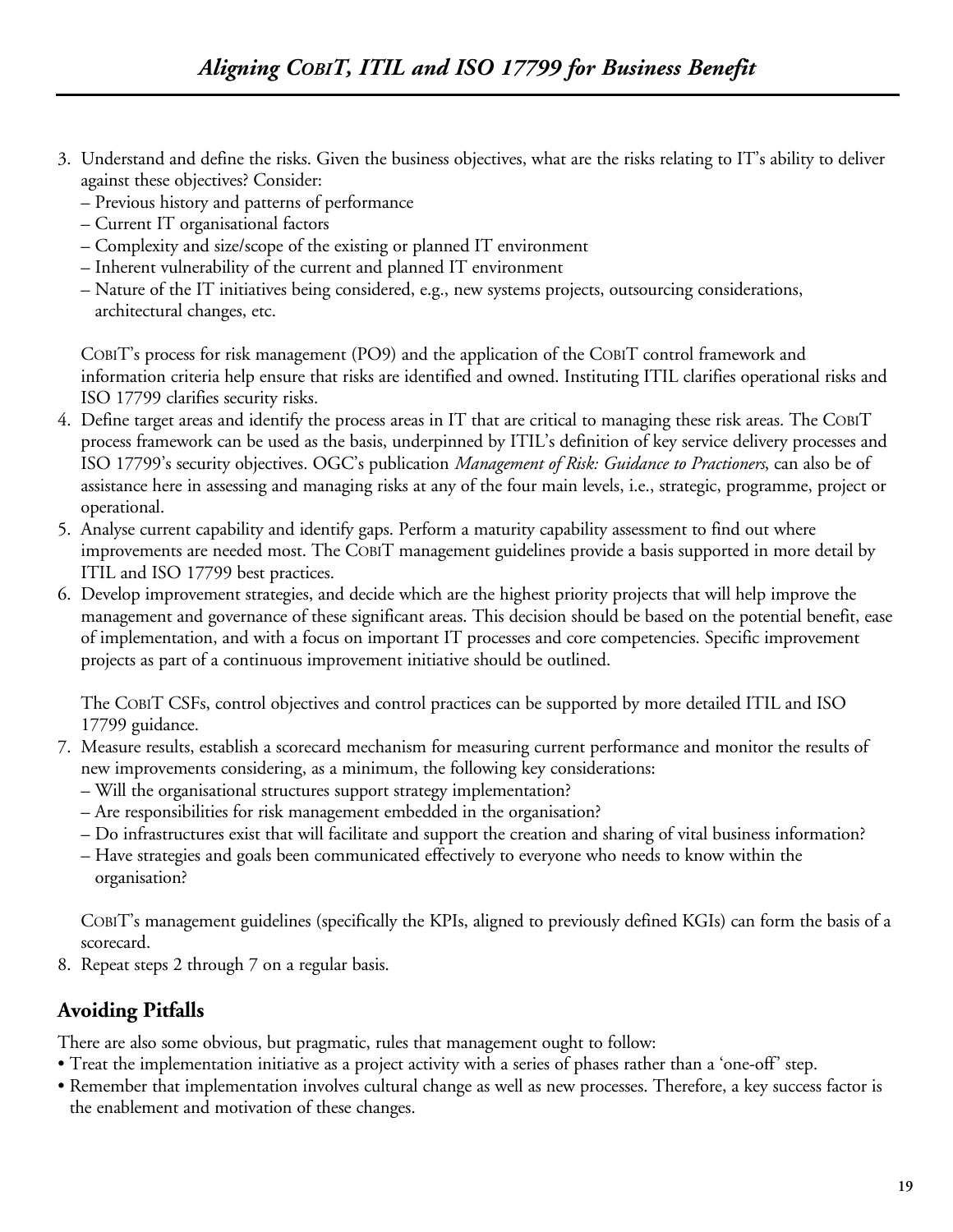- 3. Understand and define the risks. Given the business objectives, what are the risks relating to IT's ability to deliver against these objectives? Consider:
	- Previous history and patterns of performance
	- Current IT organisational factors
	- Complexity and size/scope of the existing or planned IT environment
	- Inherent vulnerability of the current and planned IT environment
	- Nature of the IT initiatives being considered, e.g., new systems projects, outsourcing considerations, architectural changes, etc.

COBIT's process for risk management (PO9) and the application of the COBIT control framework and information criteria help ensure that risks are identified and owned. Instituting ITIL clarifies operational risks and ISO 17799 clarifies security risks.

- 4. Define target areas and identify the process areas in IT that are critical to managing these risk areas. The COBIT process framework can be used as the basis, underpinned by ITIL's definition of key service delivery processes and ISO 17799's security objectives. OGC's publication *Management of Risk: Guidance to Practioners*, can also be of assistance here in assessing and managing risks at any of the four main levels, i.e., strategic, programme, project or operational.
- 5. Analyse current capability and identify gaps. Perform a maturity capability assessment to find out where improvements are needed most. The COBIT management guidelines provide a basis supported in more detail by ITIL and ISO 17799 best practices.
- 6. Develop improvement strategies, and decide which are the highest priority projects that will help improve the management and governance of these significant areas. This decision should be based on the potential benefit, ease of implementation, and with a focus on important IT processes and core competencies. Specific improvement projects as part of a continuous improvement initiative should be outlined.

The COBIT CSFs, control objectives and control practices can be supported by more detailed ITIL and ISO 17799 guidance.

- 7. Measure results, establish a scorecard mechanism for measuring current performance and monitor the results of new improvements considering, as a minimum, the following key considerations:
	- Will the organisational structures support strategy implementation?
	- Are responsibilities for risk management embedded in the organisation?
	- Do infrastructures exist that will facilitate and support the creation and sharing of vital business information?
	- Have strategies and goals been communicated effectively to everyone who needs to know within the organisation?

COBIT's management guidelines (specifically the KPIs, aligned to previously defined KGIs) can form the basis of a scorecard.

8. Repeat steps 2 through 7 on a regular basis.

## **Avoiding Pitfalls**

There are also some obvious, but pragmatic, rules that management ought to follow:

- Treat the implementation initiative as a project activity with a series of phases rather than a 'one-off' step.
- Remember that implementation involves cultural change as well as new processes. Therefore, a key success factor is the enablement and motivation of these changes.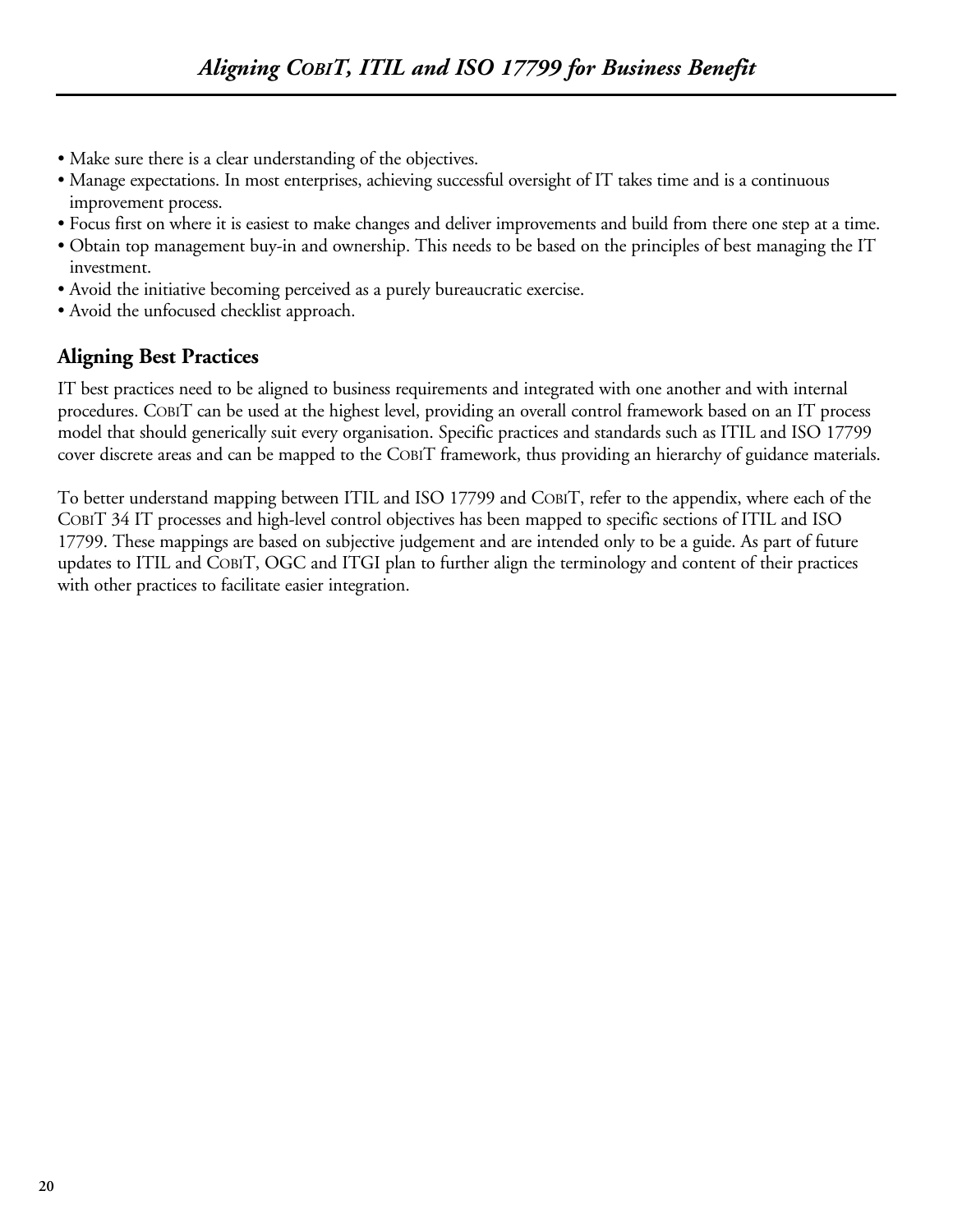- Make sure there is a clear understanding of the objectives.
- Manage expectations. In most enterprises, achieving successful oversight of IT takes time and is a continuous improvement process.
- Focus first on where it is easiest to make changes and deliver improvements and build from there one step at a time.
- Obtain top management buy-in and ownership. This needs to be based on the principles of best managing the IT investment.
- Avoid the initiative becoming perceived as a purely bureaucratic exercise.
- Avoid the unfocused checklist approach.

## **Aligning Best Practices**

IT best practices need to be aligned to business requirements and integrated with one another and with internal procedures. COBIT can be used at the highest level, providing an overall control framework based on an IT process model that should generically suit every organisation. Specific practices and standards such as ITIL and ISO 17799 cover discrete areas and can be mapped to the COBIT framework, thus providing an hierarchy of guidance materials.

To better understand mapping between ITIL and ISO 17799 and COBIT, refer to the appendix, where each of the COBIT 34 IT processes and high-level control objectives has been mapped to specific sections of ITIL and ISO 17799. These mappings are based on subjective judgement and are intended only to be a guide. As part of future updates to ITIL and COBIT, OGC and ITGI plan to further align the terminology and content of their practices with other practices to facilitate easier integration.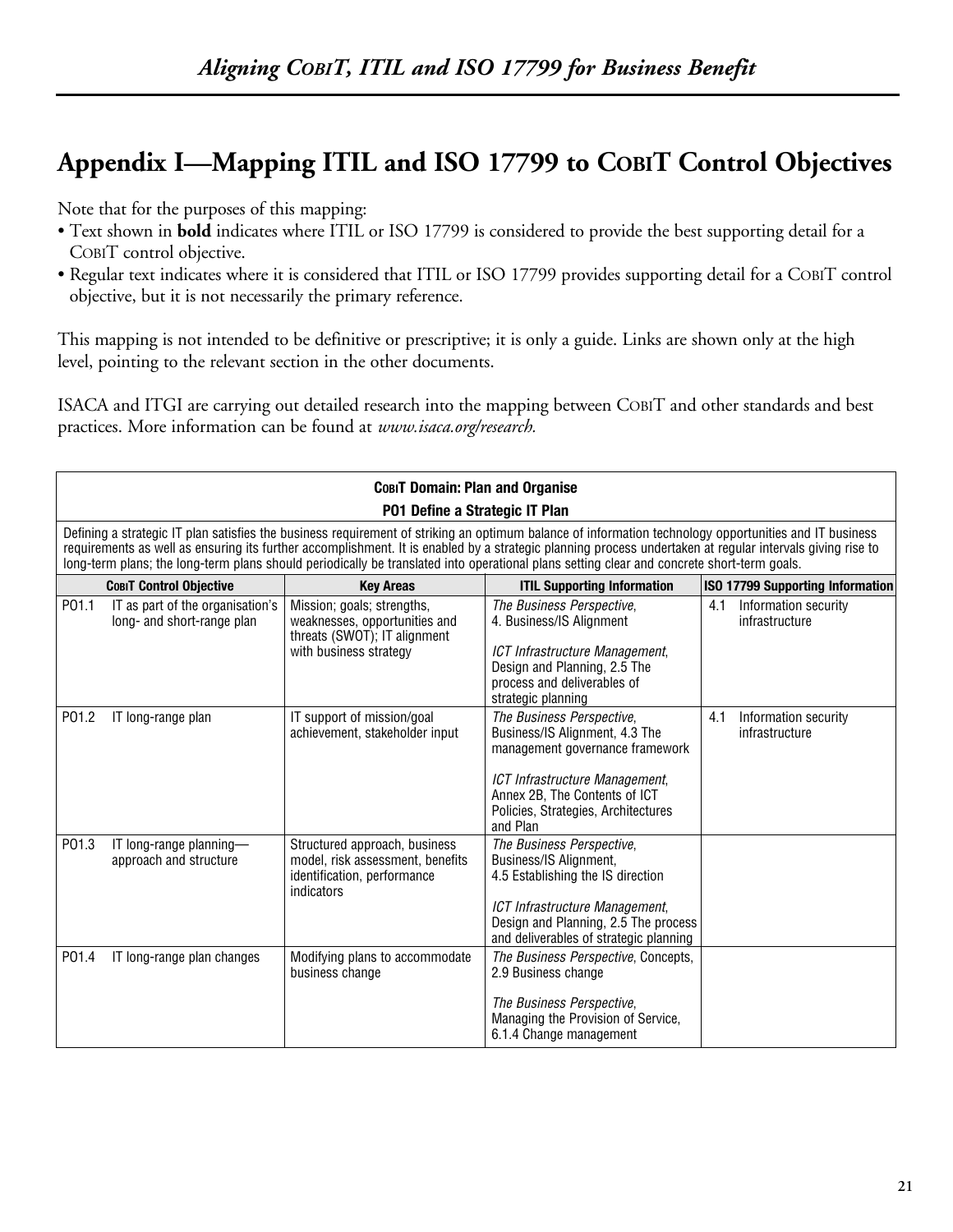# **Appendix I—Mapping ITIL and ISO 17799 to COBIT Control Objectives**

Note that for the purposes of this mapping:

- Text shown in **bold** indicates where ITIL or ISO 17799 is considered to provide the best supporting detail for a COBIT control objective.
- Regular text indicates where it is considered that ITIL or ISO 17799 provides supporting detail for a COBIT control objective, but it is not necessarily the primary reference.

This mapping is not intended to be definitive or prescriptive; it is only a guide. Links are shown only at the high level, pointing to the relevant section in the other documents.

ISACA and ITGI are carrying out detailed research into the mapping between COBIT and other standards and best practices. More information can be found at *www.isaca.org/research.*

| <b>СовіТ Domain: Plan and Organise</b> |                                                                                                                                                                                                                                                                                                                                                                                                                                                                   |                                                                                                                       |                                                                                                                                                                                                                      |     |                                        |  |
|----------------------------------------|-------------------------------------------------------------------------------------------------------------------------------------------------------------------------------------------------------------------------------------------------------------------------------------------------------------------------------------------------------------------------------------------------------------------------------------------------------------------|-----------------------------------------------------------------------------------------------------------------------|----------------------------------------------------------------------------------------------------------------------------------------------------------------------------------------------------------------------|-----|----------------------------------------|--|
|                                        |                                                                                                                                                                                                                                                                                                                                                                                                                                                                   | P01 Define a Strategic IT Plan                                                                                        |                                                                                                                                                                                                                      |     |                                        |  |
|                                        | Defining a strategic IT plan satisfies the business requirement of striking an optimum balance of information technology opportunities and IT business<br>requirements as well as ensuring its further accomplishment. It is enabled by a strategic planning process undertaken at regular intervals giving rise to<br>long-term plans; the long-term plans should periodically be translated into operational plans setting clear and concrete short-term goals. |                                                                                                                       |                                                                                                                                                                                                                      |     |                                        |  |
|                                        | <b>COBIT Control Objective</b>                                                                                                                                                                                                                                                                                                                                                                                                                                    | <b>Key Areas</b>                                                                                                      | <b>ITIL Supporting Information</b>                                                                                                                                                                                   |     | ISO 17799 Supporting Information       |  |
| P01.1                                  | IT as part of the organisation's<br>long- and short-range plan                                                                                                                                                                                                                                                                                                                                                                                                    | Mission; goals; strengths,<br>weaknesses, opportunities and<br>threats (SWOT); IT alignment<br>with business strategy | The Business Perspective,<br>4. Business/IS Alignment<br>ICT Infrastructure Management,<br>Design and Planning, 2.5 The<br>process and deliverables of<br>strategic planning                                         | 4.1 | Information security<br>infrastructure |  |
| P01.2                                  | IT long-range plan                                                                                                                                                                                                                                                                                                                                                                                                                                                | IT support of mission/goal<br>achievement, stakeholder input                                                          | The Business Perspective,<br>Business/IS Alignment, 4.3 The<br>management governance framework<br>ICT Infrastructure Management,<br>Annex 2B, The Contents of ICT<br>Policies, Strategies, Architectures<br>and Plan | 4.1 | Information security<br>infrastructure |  |
| P01.3                                  | IT long-range planning-<br>approach and structure                                                                                                                                                                                                                                                                                                                                                                                                                 | Structured approach, business<br>model, risk assessment, benefits<br>identification, performance<br>indicators        | The Business Perspective,<br>Business/IS Alignment,<br>4.5 Establishing the IS direction<br>ICT Infrastructure Management,<br>Design and Planning, 2.5 The process<br>and deliverables of strategic planning         |     |                                        |  |
| P01.4                                  | IT long-range plan changes                                                                                                                                                                                                                                                                                                                                                                                                                                        | Modifying plans to accommodate<br>business change                                                                     | The Business Perspective, Concepts,<br>2.9 Business change<br>The Business Perspective,<br>Managing the Provision of Service,<br>6.1.4 Change management                                                             |     |                                        |  |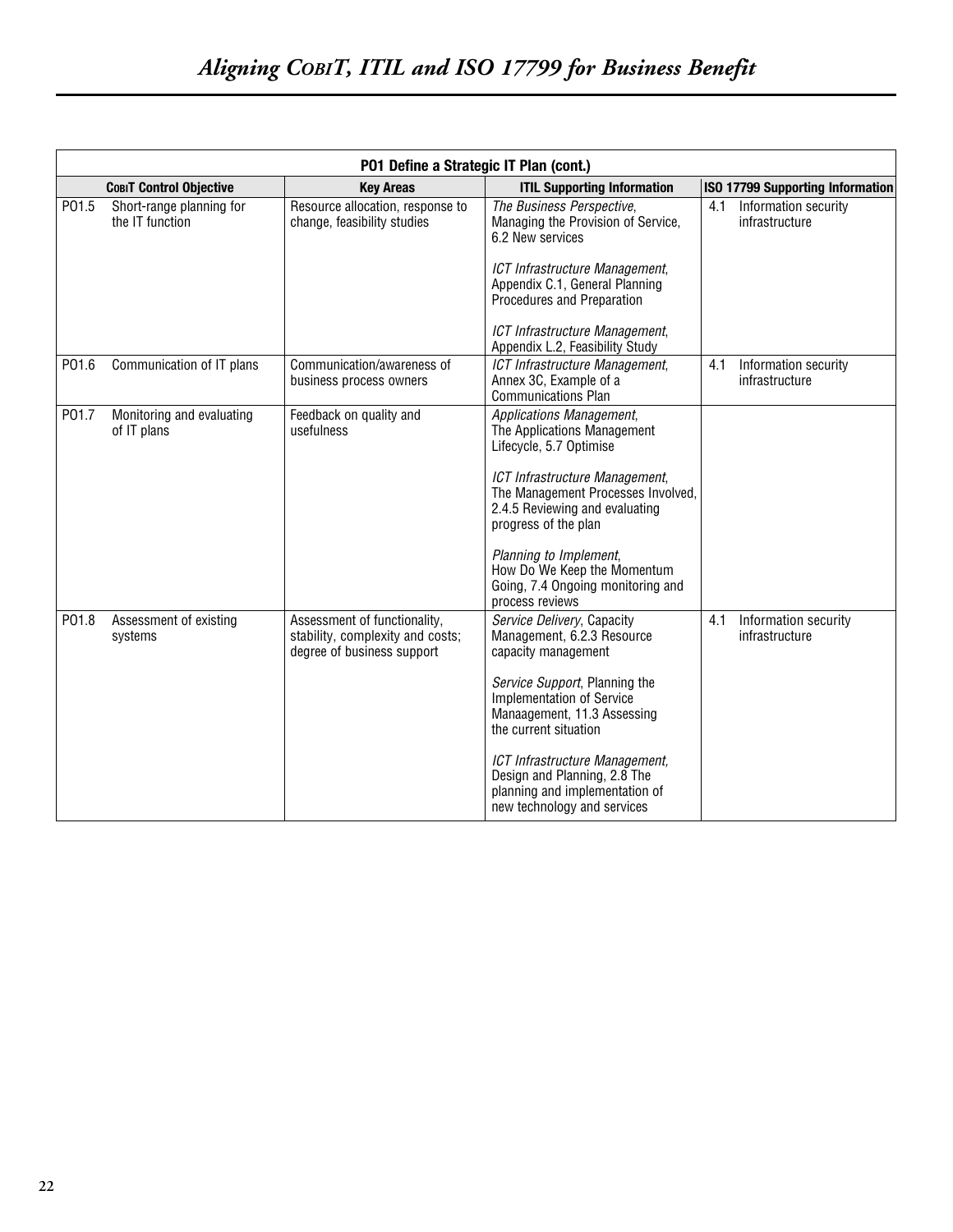|       | P01 Define a Strategic IT Plan (cont.)      |                                                                                                |                                                                                                                                 |                                               |  |
|-------|---------------------------------------------|------------------------------------------------------------------------------------------------|---------------------------------------------------------------------------------------------------------------------------------|-----------------------------------------------|--|
|       | <b>СовіТ Control Objective</b>              | <b>Key Areas</b>                                                                               | <b>ITIL Supporting Information</b>                                                                                              | ISO 17799 Supporting Information              |  |
| P01.5 | Short-range planning for<br>the IT function | Resource allocation, response to<br>change, feasibility studies                                | The Business Perspective,<br>Managing the Provision of Service,<br>6.2 New services<br>ICT Infrastructure Management,           | Information security<br>4.1<br>infrastructure |  |
|       |                                             |                                                                                                | Appendix C.1, General Planning<br>Procedures and Preparation                                                                    |                                               |  |
|       |                                             |                                                                                                | ICT Infrastructure Management,<br>Appendix L.2, Feasibility Study                                                               |                                               |  |
| P01.6 | Communication of IT plans                   | Communication/awareness of<br>business process owners                                          | ICT Infrastructure Management,<br>Annex 3C, Example of a<br><b>Communications Plan</b>                                          | 4.1<br>Information security<br>infrastructure |  |
| P01.7 | Monitoring and evaluating<br>of IT plans    | Feedback on quality and<br>usefulness                                                          | Applications Management,<br>The Applications Management<br>Lifecycle, 5.7 Optimise                                              |                                               |  |
|       |                                             |                                                                                                | ICT Infrastructure Management,<br>The Management Processes Involved,<br>2.4.5 Reviewing and evaluating<br>progress of the plan  |                                               |  |
|       |                                             |                                                                                                | Planning to Implement,<br>How Do We Keep the Momentum<br>Going, 7.4 Ongoing monitoring and<br>process reviews                   |                                               |  |
| P01.8 | Assessment of existing<br>systems           | Assessment of functionality,<br>stability, complexity and costs;<br>degree of business support | Service Delivery, Capacity<br>Management, 6.2.3 Resource<br>capacity management                                                 | Information security<br>4.1<br>infrastructure |  |
|       |                                             |                                                                                                | Service Support, Planning the<br><b>Implementation of Service</b><br>Manaagement, 11.3 Assessing<br>the current situation       |                                               |  |
|       |                                             |                                                                                                | ICT Infrastructure Management,<br>Design and Planning, 2.8 The<br>planning and implementation of<br>new technology and services |                                               |  |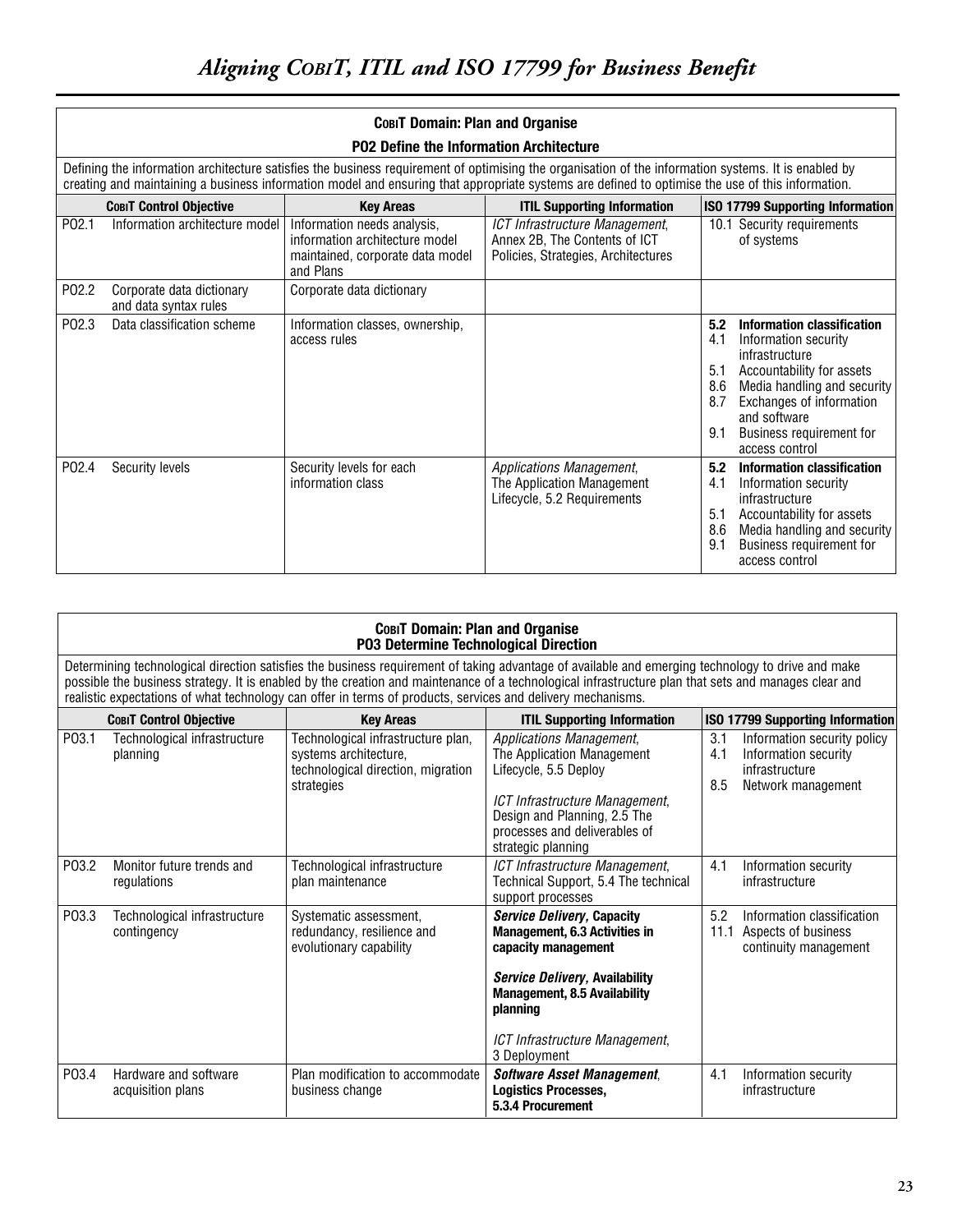|                   | COBIT Domain: Plan and Organise                    |                                                                                                                |                                                                                                                                                                                                                                                                                                          |                                                                                                                                                                                                                                                                      |  |
|-------------------|----------------------------------------------------|----------------------------------------------------------------------------------------------------------------|----------------------------------------------------------------------------------------------------------------------------------------------------------------------------------------------------------------------------------------------------------------------------------------------------------|----------------------------------------------------------------------------------------------------------------------------------------------------------------------------------------------------------------------------------------------------------------------|--|
|                   |                                                    | <b>P02 Define the Information Architecture</b>                                                                 | Defining the information architecture satisfies the business requirement of optimising the organisation of the information systems. It is enabled by<br>creating and maintaining a business information model and ensuring that appropriate systems are defined to optimise the use of this information. |                                                                                                                                                                                                                                                                      |  |
|                   | <b>COBIT Control Objective</b>                     | <b>Key Areas</b>                                                                                               | <b>ITIL Supporting Information</b>                                                                                                                                                                                                                                                                       | ISO 17799 Supporting Information                                                                                                                                                                                                                                     |  |
| P <sub>02.1</sub> | Information architecture model                     | Information needs analysis,<br>information architecture model<br>maintained, corporate data model<br>and Plans | ICT Infrastructure Management,<br>Annex 2B, The Contents of ICT<br>Policies, Strategies, Architectures                                                                                                                                                                                                   | 10.1 Security requirements<br>of systems                                                                                                                                                                                                                             |  |
| P02.2             | Corporate data dictionary<br>and data syntax rules | Corporate data dictionary                                                                                      |                                                                                                                                                                                                                                                                                                          |                                                                                                                                                                                                                                                                      |  |
| P02.3             | Data classification scheme                         | Information classes, ownership,<br>access rules                                                                |                                                                                                                                                                                                                                                                                                          | Information classification<br>5.2<br>4.1<br>Information security<br>infrastructure<br>Accountability for assets<br>5.1<br>8.6<br>Media handling and security<br>Exchanges of information<br>8.7<br>and software<br>Business requirement for<br>9.1<br>access control |  |
| P02.4             | Security levels                                    | Security levels for each<br>information class                                                                  | Applications Management,<br>The Application Management<br>Lifecycle, 5.2 Requirements                                                                                                                                                                                                                    | 5.2<br>Information classification<br>4.1<br>Information security<br>infrastructure<br>Accountability for assets<br>5.1<br>8.6<br>Media handling and security<br>9.1<br>Business requirement for<br>access control                                                    |  |

|                    | <b>СовіТ Domain: Plan and Organise</b><br>P03 Determine Technological Direction                                                                                                                                                                                                                                                                                                                                          |                                                                                                                 |                                                                                                                                                                                                                                  |                   |                                                                                             |  |
|--------------------|--------------------------------------------------------------------------------------------------------------------------------------------------------------------------------------------------------------------------------------------------------------------------------------------------------------------------------------------------------------------------------------------------------------------------|-----------------------------------------------------------------------------------------------------------------|----------------------------------------------------------------------------------------------------------------------------------------------------------------------------------------------------------------------------------|-------------------|---------------------------------------------------------------------------------------------|--|
|                    | Determining technological direction satisfies the business requirement of taking advantage of available and emerging technology to drive and make<br>possible the business strategy. It is enabled by the creation and maintenance of a technological infrastructure plan that sets and manages clear and<br>realistic expectations of what technology can offer in terms of products, services and delivery mechanisms. |                                                                                                                 |                                                                                                                                                                                                                                  |                   |                                                                                             |  |
|                    | <b>COBIT Control Objective</b>                                                                                                                                                                                                                                                                                                                                                                                           | <b>Key Areas</b>                                                                                                | <b>ITIL Supporting Information</b>                                                                                                                                                                                               |                   | <b>ISO 17799 Supporting Information</b>                                                     |  |
| P <sub>03.1</sub>  | Technological infrastructure<br>planning                                                                                                                                                                                                                                                                                                                                                                                 | Technological infrastructure plan,<br>systems architecture,<br>technological direction, migration<br>strategies | <b>Applications Management,</b><br>The Application Management<br>Lifecycle, 5.5 Deploy<br>ICT Infrastructure Management,<br>Design and Planning, 2.5 The<br>processes and deliverables of<br>strategic planning                  | 3.1<br>4.1<br>8.5 | Information security policy<br>Information security<br>infrastructure<br>Network management |  |
| P03.2              | Monitor future trends and<br>regulations                                                                                                                                                                                                                                                                                                                                                                                 | Technological infrastructure<br>plan maintenance                                                                | ICT Infrastructure Management,<br>Technical Support, 5.4 The technical<br>support processes                                                                                                                                      | 4.1               | Information security<br>infrastructure                                                      |  |
| P03.3              | Technological infrastructure<br>contingency                                                                                                                                                                                                                                                                                                                                                                              | Systematic assessment,<br>redundancy, resilience and<br>evolutionary capability                                 | <b>Service Delivery, Capacity</b><br>Management, 6.3 Activities in<br>capacity management<br>Service Delivery, Availability<br><b>Management, 8.5 Availability</b><br>planning<br>ICT Infrastructure Management,<br>3 Deployment | 5.2<br>11.1       | Information classification<br>Aspects of business<br>continuity management                  |  |
| P <sub>0</sub> 3.4 | Hardware and software<br>acquisition plans                                                                                                                                                                                                                                                                                                                                                                               | Plan modification to accommodate<br>business change                                                             | <b>Software Asset Management,</b><br><b>Logistics Processes,</b><br>5.3.4 Procurement                                                                                                                                            | 4.1               | Information security<br>infrastructure                                                      |  |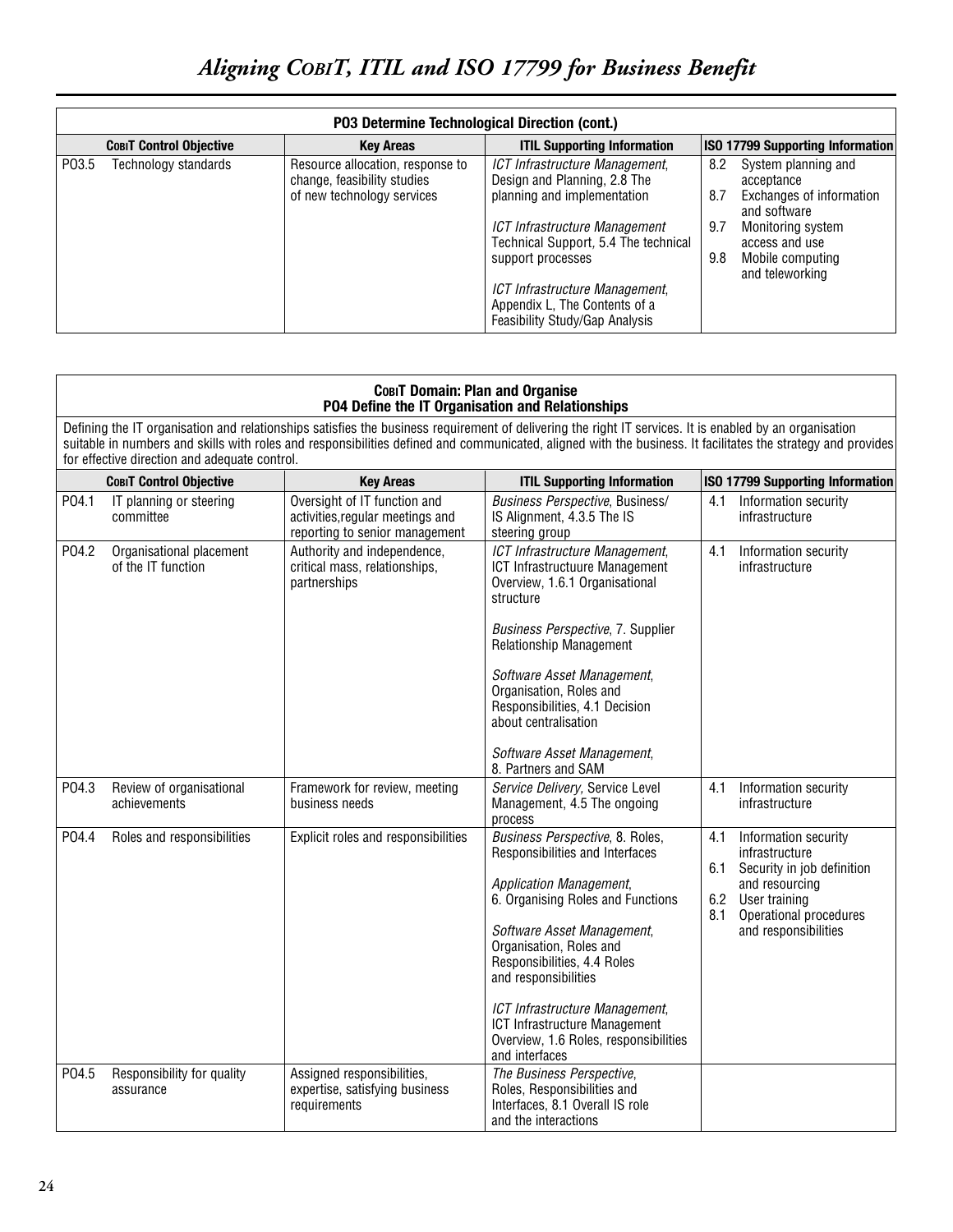## *Aligning COBIT, ITIL and ISO 17799 for Business Benefit*

|       | P03 Determine Technological Direction (cont.) |                                                                                               |                                                                                                   |                                                                                             |  |  |  |
|-------|-----------------------------------------------|-----------------------------------------------------------------------------------------------|---------------------------------------------------------------------------------------------------|---------------------------------------------------------------------------------------------|--|--|--|
|       | <b>COBIT Control Objective</b>                | <b>Key Areas</b>                                                                              | <b>ITIL Supporting Information</b>                                                                | <b>ISO 17799 Supporting Information</b>                                                     |  |  |  |
| P03.5 | Technology standards                          | Resource allocation, response to<br>change, feasibility studies<br>of new technology services | ICT Infrastructure Management,<br>Design and Planning, 2.8 The<br>planning and implementation     | System planning and<br>8.2<br>acceptance<br>Exchanges of information<br>8.7<br>and software |  |  |  |
|       |                                               |                                                                                               | ICT Infrastructure Management<br>Technical Support, 5.4 The technical<br>support processes        | 9.7<br>Monitoring system<br>access and use<br>9.8<br>Mobile computing<br>and teleworking    |  |  |  |
|       |                                               |                                                                                               | ICT Infrastructure Management,<br>Appendix L, The Contents of a<br>Feasibility Study/Gap Analysis |                                                                                             |  |  |  |

| COBIT Domain: Plan and Organise                  |  |
|--------------------------------------------------|--|
| P04 Define the IT Organisation and Relationships |  |

Defining the IT organisation and relationships satisfies the business requirement of delivering the right IT services. It is enabled by an organisation suitable in numbers and skills with roles and responsibilities defined and communicated, aligned with the business. It facilitates the strategy and provides for effective direction and adequate control.

|       | <b>COBIT Control Objective</b>                 | <b>Key Areas</b>                                                                                   | <b>ITIL Supporting Information</b>                                                                                                                                                                                                                                                                                                                                               | <b>ISO 17799 Supporting Information</b>                                                                                                                                               |
|-------|------------------------------------------------|----------------------------------------------------------------------------------------------------|----------------------------------------------------------------------------------------------------------------------------------------------------------------------------------------------------------------------------------------------------------------------------------------------------------------------------------------------------------------------------------|---------------------------------------------------------------------------------------------------------------------------------------------------------------------------------------|
| P04.1 | IT planning or steering<br>committee           | Oversight of IT function and<br>activities, regular meetings and<br>reporting to senior management | Business Perspective, Business/<br>IS Alignment, 4.3.5 The IS<br>steering group                                                                                                                                                                                                                                                                                                  | Information security<br>4.1<br>infrastructure                                                                                                                                         |
| P04.2 | Organisational placement<br>of the IT function | Authority and independence,<br>critical mass, relationships,<br>partnerships                       | ICT Infrastructure Management,<br><b>ICT Infrastructuure Management</b><br>Overview, 1.6.1 Organisational<br>structure<br>Business Perspective, 7. Supplier<br><b>Relationship Management</b><br>Software Asset Management,<br>Organisation, Roles and<br>Responsibilities, 4.1 Decision<br>about centralisation<br>Software Asset Management,<br>8. Partners and SAM            | 4.1<br>Information security<br>infrastructure                                                                                                                                         |
| P04.3 | Review of organisational<br>achievements       | Framework for review, meeting<br>business needs                                                    | Service Delivery, Service Level<br>Management, 4.5 The ongoing<br>process                                                                                                                                                                                                                                                                                                        | Information security<br>4.1<br>infrastructure                                                                                                                                         |
| P04.4 | Roles and responsibilities                     | Explicit roles and responsibilities                                                                | Business Perspective, 8. Roles,<br>Responsibilities and Interfaces<br>Application Management,<br>6. Organising Roles and Functions<br>Software Asset Management,<br>Organisation, Roles and<br>Responsibilities, 4.4 Roles<br>and responsibilities<br>ICT Infrastructure Management,<br>ICT Infrastructure Management<br>Overview, 1.6 Roles, responsibilities<br>and interfaces | Information security<br>4.1<br>infrastructure<br>6.1<br>Security in job definition<br>and resourcing<br>6.2<br>User training<br>Operational procedures<br>8.1<br>and responsibilities |
| P04.5 | Responsibility for quality<br>assurance        | Assigned responsibilities,<br>expertise, satisfying business<br>requirements                       | The Business Perspective,<br>Roles, Responsibilities and<br>Interfaces, 8.1 Overall IS role<br>and the interactions                                                                                                                                                                                                                                                              |                                                                                                                                                                                       |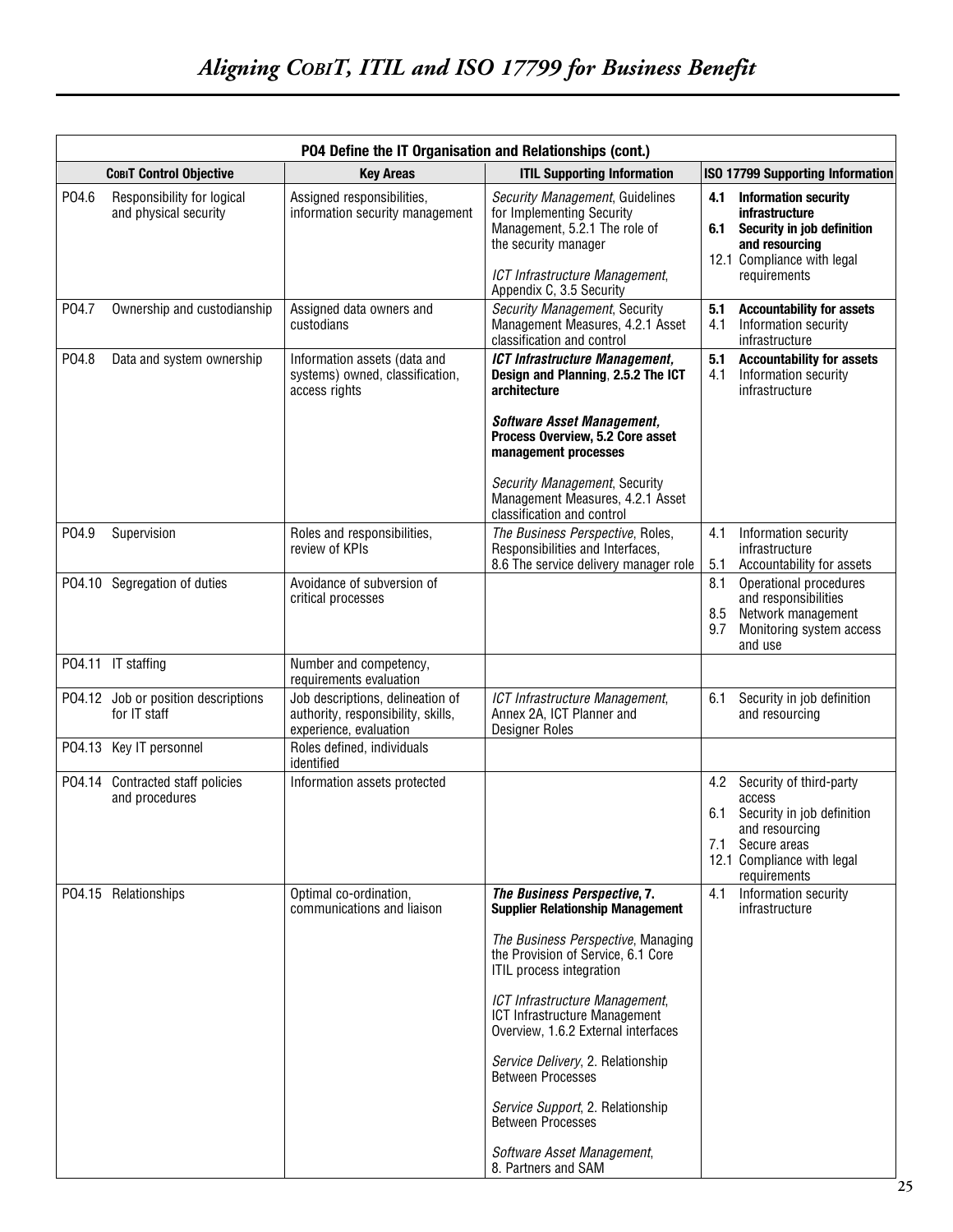|        | P04 Define the IT Organisation and Relationships (cont.) |                                                                                                  |                                                                                                                                                                                                                                                                                                                                                                                                                                                                                 |                   |                                                                                                                                                 |  |
|--------|----------------------------------------------------------|--------------------------------------------------------------------------------------------------|---------------------------------------------------------------------------------------------------------------------------------------------------------------------------------------------------------------------------------------------------------------------------------------------------------------------------------------------------------------------------------------------------------------------------------------------------------------------------------|-------------------|-------------------------------------------------------------------------------------------------------------------------------------------------|--|
|        | <b>СовіТ Control Objective</b>                           | <b>Kev Areas</b>                                                                                 | <b>ITIL Supporting Information</b>                                                                                                                                                                                                                                                                                                                                                                                                                                              |                   | <b>ISO 17799 Supporting Information</b>                                                                                                         |  |
| P04.6  | Responsibility for logical<br>and physical security      | Assigned responsibilities,<br>information security management                                    | Security Management, Guidelines<br>for Implementing Security<br>Management, 5.2.1 The role of<br>the security manager<br>ICT Infrastructure Management,                                                                                                                                                                                                                                                                                                                         | 4.1<br>6.1        | <b>Information security</b><br>infrastructure<br>Security in job definition<br>and resourcing<br>12.1 Compliance with legal<br>requirements     |  |
| P04.7  | Ownership and custodianship                              | Assigned data owners and<br>custodians                                                           | Appendix C, 3.5 Security<br>Security Management, Security<br>Management Measures, 4.2.1 Asset<br>classification and control                                                                                                                                                                                                                                                                                                                                                     | 5.1<br>4.1        | <b>Accountability for assets</b><br>Information security<br>infrastructure                                                                      |  |
| P04.8  | Data and system ownership                                | Information assets (data and<br>systems) owned, classification,<br>access rights                 | <b>ICT Infrastructure Management,</b><br>Design and Planning, 2.5.2 The ICT<br>architecture<br><b>Software Asset Management,</b><br>Process Overview, 5.2 Core asset<br>management processes<br>Security Management, Security<br>Management Measures, 4.2.1 Asset<br>classification and control                                                                                                                                                                                 | 5.1<br>4.1        | <b>Accountability for assets</b><br>Information security<br>infrastructure                                                                      |  |
| P04.9  | Supervision                                              | Roles and responsibilities,<br>review of KPIs                                                    | The Business Perspective, Roles,<br>Responsibilities and Interfaces,<br>8.6 The service delivery manager role                                                                                                                                                                                                                                                                                                                                                                   | 4.1<br>5.1        | Information security<br>infrastructure<br>Accountability for assets                                                                             |  |
| P04.10 | Segregation of duties                                    | Avoidance of subversion of<br>critical processes                                                 |                                                                                                                                                                                                                                                                                                                                                                                                                                                                                 | 8.1<br>8.5<br>9.7 | Operational procedures<br>and responsibilities<br>Network management<br>Monitoring system access<br>and use                                     |  |
|        | PO4.11 IT staffing                                       | Number and competency,<br>requirements evaluation                                                |                                                                                                                                                                                                                                                                                                                                                                                                                                                                                 |                   |                                                                                                                                                 |  |
|        | PO4.12 Job or position descriptions<br>for IT staff      | Job descriptions, delineation of<br>authority, responsibility, skills,<br>experience, evaluation | ICT Infrastructure Management,<br>Annex 2A, ICT Planner and<br><b>Designer Roles</b>                                                                                                                                                                                                                                                                                                                                                                                            | 6.1               | Security in job definition<br>and resourcing                                                                                                    |  |
|        | PO4.13 Key IT personnel                                  | Roles defined, individuals<br>identified                                                         |                                                                                                                                                                                                                                                                                                                                                                                                                                                                                 |                   |                                                                                                                                                 |  |
| P04.14 | Contracted staff policies<br>and procedures              | Information assets protected                                                                     |                                                                                                                                                                                                                                                                                                                                                                                                                                                                                 | 4.2<br>6.1<br>7.1 | Security of third-party<br>access<br>Security in job definition<br>and resourcing<br>Secure areas<br>12.1 Compliance with legal<br>requirements |  |
|        | PO4.15 Relationships                                     | Optimal co-ordination,<br>communications and liaison                                             | The Business Perspective, 7.<br><b>Supplier Relationship Management</b><br>The Business Perspective, Managing<br>the Provision of Service, 6.1 Core<br>ITIL process integration<br>ICT Infrastructure Management,<br>ICT Infrastructure Management<br>Overview, 1.6.2 External interfaces<br>Service Delivery, 2. Relationship<br><b>Between Processes</b><br>Service Support, 2. Relationship<br><b>Between Processes</b><br>Software Asset Management,<br>8. Partners and SAM | 4.1               | Information security<br>infrastructure                                                                                                          |  |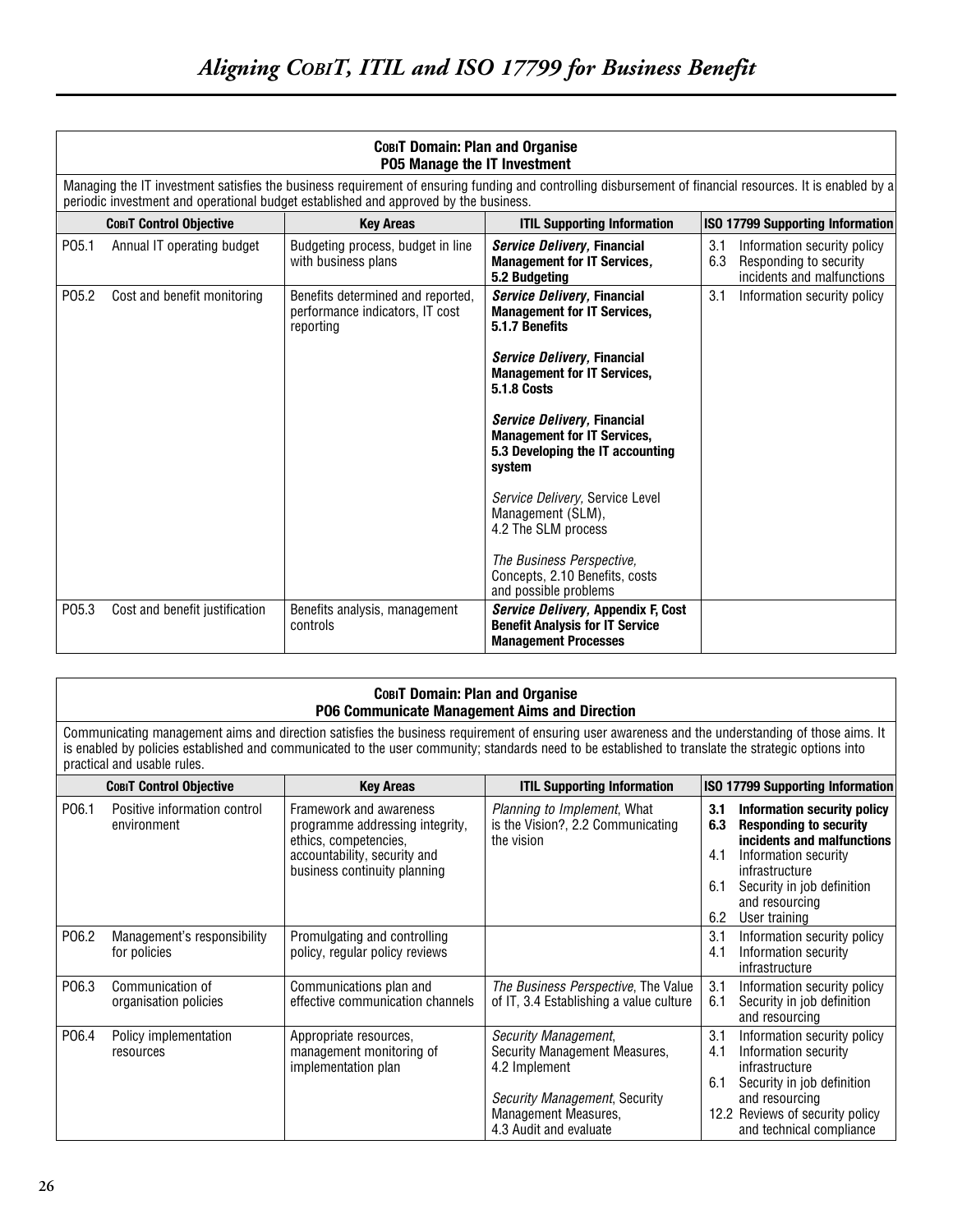|       | COBIT Domain: Plan and Organise<br><b>P05 Manage the IT Investment</b> |                                                                                      |                                                                                                                                                           |                                                                                                   |
|-------|------------------------------------------------------------------------|--------------------------------------------------------------------------------------|-----------------------------------------------------------------------------------------------------------------------------------------------------------|---------------------------------------------------------------------------------------------------|
|       |                                                                        | periodic investment and operational budget established and approved by the business. | Managing the IT investment satisfies the business requirement of ensuring funding and controlling disbursement of financial resources. It is enabled by a |                                                                                                   |
|       | <b>COBIT Control Objective</b>                                         | <b>Key Areas</b>                                                                     | <b>ITIL Supporting Information</b>                                                                                                                        | <b>ISO 17799 Supporting Information</b>                                                           |
| P05.1 | Annual IT operating budget                                             | Budgeting process, budget in line<br>with business plans                             | Service Delivery, Financial<br><b>Management for IT Services,</b><br>5.2 Budgeting                                                                        | 3.1<br>Information security policy<br>Responding to security<br>6.3<br>incidents and malfunctions |
| P05.2 | Cost and benefit monitoring                                            | Benefits determined and reported,<br>performance indicators. IT cost<br>reporting    | Service Delivery, Financial<br><b>Management for IT Services,</b><br>5.1.7 Benefits                                                                       | 3.1<br>Information security policy                                                                |
|       |                                                                        |                                                                                      | Service Delivery, Financial<br><b>Management for IT Services,</b><br><b>5.1.8 Costs</b>                                                                   |                                                                                                   |
|       |                                                                        |                                                                                      | Service Delivery, Financial<br><b>Management for IT Services,</b><br>5.3 Developing the IT accounting<br>system                                           |                                                                                                   |
|       |                                                                        |                                                                                      | Service Delivery, Service Level<br>Management (SLM),<br>4.2 The SLM process                                                                               |                                                                                                   |
|       |                                                                        |                                                                                      | The Business Perspective,<br>Concepts, 2.10 Benefits, costs<br>and possible problems                                                                      |                                                                                                   |
| P05.3 | Cost and benefit justification                                         | Benefits analysis, management<br>controls                                            | <i>Service Delivery</i> , Appendix F, Cost<br><b>Benefit Analysis for IT Service</b><br><b>Management Processes</b>                                       |                                                                                                   |

| COBIT Domain: Plan and Organise               |
|-----------------------------------------------|
| P06 Communicate Management Aims and Direction |

Communicating management aims and direction satisfies the business requirement of ensuring user awareness and the understanding of those aims. It is enabled by policies established and communicated to the user community; standards need to be established to translate the strategic options into practical and usable rules.

|                   | <b>COBIT Control Objective</b>              | <b>Key Areas</b>                                                                                                                                    | <b>ITIL Supporting Information</b>                                                                                                                        | <b>ISO 17799 Supporting Information</b>                                                                                                                                                                                                  |
|-------------------|---------------------------------------------|-----------------------------------------------------------------------------------------------------------------------------------------------------|-----------------------------------------------------------------------------------------------------------------------------------------------------------|------------------------------------------------------------------------------------------------------------------------------------------------------------------------------------------------------------------------------------------|
| P <sub>06.1</sub> | Positive information control<br>environment | Framework and awareness<br>programme addressing integrity,<br>ethics, competencies,<br>accountability, security and<br>business continuity planning | <i>Planning to Implement, What</i><br>is the Vision?, 2.2 Communicating<br>the vision                                                                     | Information security policy<br>3.1<br><b>Responding to security</b><br>6.3<br>incidents and malfunctions<br>Information security<br>4.1<br>infrastructure<br>6.1<br>Security in job definition<br>and resourcing<br>User training<br>6.2 |
| P06.2             | Management's responsibility<br>for policies | Promulgating and controlling<br>policy, regular policy reviews                                                                                      |                                                                                                                                                           | 3.1<br>Information security policy<br>Information security<br>4.1<br>infrastructure                                                                                                                                                      |
| P06.3             | Communication of<br>organisation policies   | Communications plan and<br>effective communication channels                                                                                         | The Business Perspective, The Value<br>of IT, 3.4 Establishing a value culture                                                                            | 3.1<br>Information security policy<br>Security in job definition<br>6.1<br>and resourcing                                                                                                                                                |
| P06.4             | Policy implementation<br>resources          | Appropriate resources,<br>management monitoring of<br>implementation plan                                                                           | Security Management,<br>Security Management Measures,<br>4.2 Implement<br>Security Management, Security<br>Management Measures,<br>4.3 Audit and evaluate | 3.1<br>Information security policy<br>Information security<br>4.1<br>infrastructure<br>6.1<br>Security in job definition<br>and resourcing<br>12.2 Reviews of security policy<br>and technical compliance                                |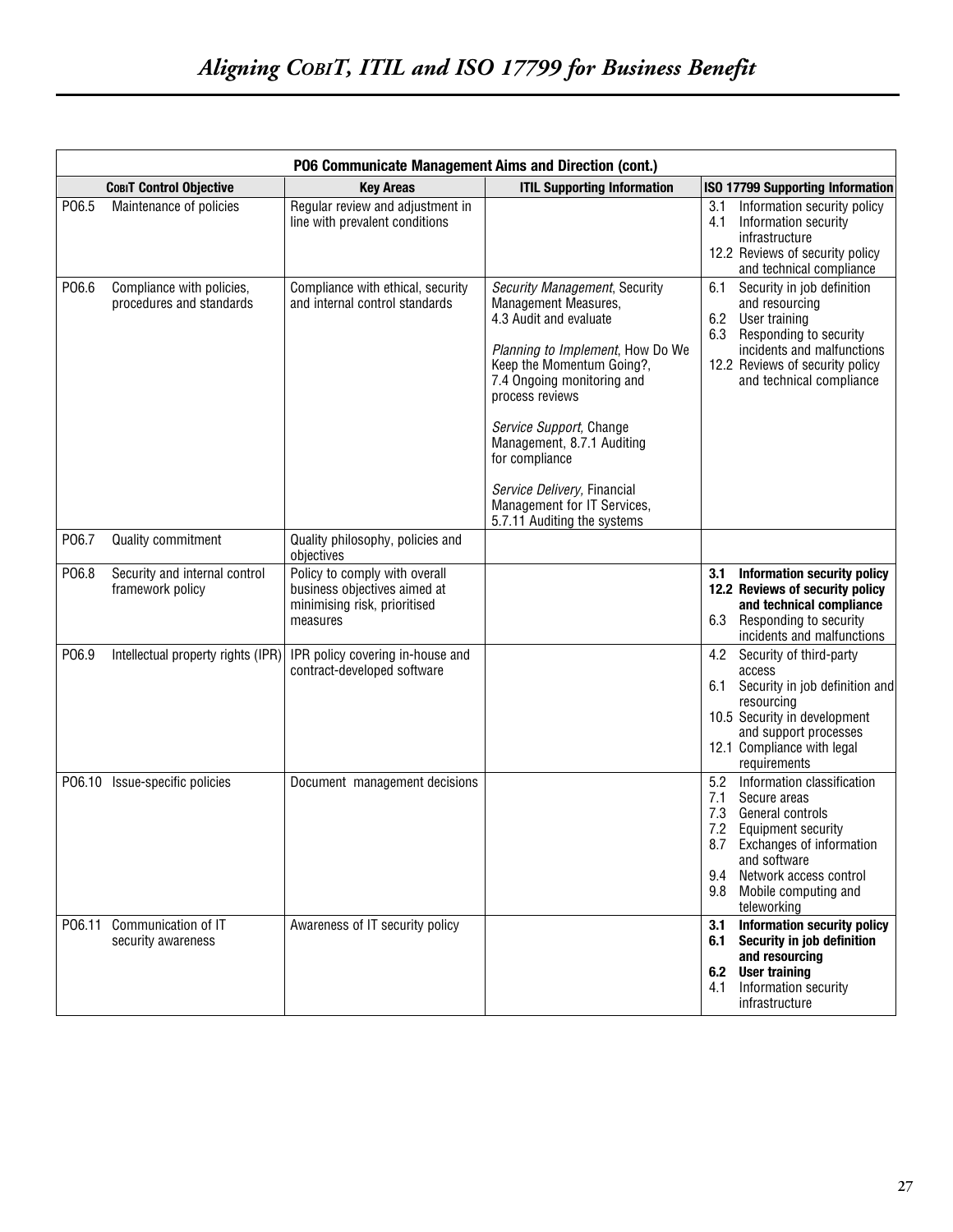|        | P06 Communicate Management Aims and Direction (cont.) |                                                                                                           |                                                                                                                                                                                                                                                                                                                                                                           |                                                                                                                                                                                                                                        |
|--------|-------------------------------------------------------|-----------------------------------------------------------------------------------------------------------|---------------------------------------------------------------------------------------------------------------------------------------------------------------------------------------------------------------------------------------------------------------------------------------------------------------------------------------------------------------------------|----------------------------------------------------------------------------------------------------------------------------------------------------------------------------------------------------------------------------------------|
|        | <b>COBIT Control Objective</b>                        | <b>Key Areas</b>                                                                                          | <b>ITIL Supporting Information</b>                                                                                                                                                                                                                                                                                                                                        | ISO 17799 Supporting Information                                                                                                                                                                                                       |
| P06.5  | Maintenance of policies                               | Regular review and adjustment in<br>line with prevalent conditions                                        |                                                                                                                                                                                                                                                                                                                                                                           | Information security policy<br>3.1<br>Information security<br>4.1<br>infrastructure<br>12.2 Reviews of security policy<br>and technical compliance                                                                                     |
| P06.6  | Compliance with policies,<br>procedures and standards | Compliance with ethical, security<br>and internal control standards                                       | Security Management, Security<br>Management Measures,<br>4.3 Audit and evaluate<br>Planning to Implement, How Do We<br>Keep the Momentum Going?,<br>7.4 Ongoing monitoring and<br>process reviews<br>Service Support, Change<br>Management, 8.7.1 Auditing<br>for compliance<br>Service Delivery, Financial<br>Management for IT Services,<br>5.7.11 Auditing the systems | 6.1<br>Security in job definition<br>and resourcing<br>6.2<br>User training<br>6.3 Responding to security<br>incidents and malfunctions<br>12.2 Reviews of security policy<br>and technical compliance                                 |
| P06.7  | Quality commitment                                    | Quality philosophy, policies and<br>objectives                                                            |                                                                                                                                                                                                                                                                                                                                                                           |                                                                                                                                                                                                                                        |
| P06.8  | Security and internal control<br>framework policy     | Policy to comply with overall<br>business objectives aimed at<br>minimising risk, prioritised<br>measures |                                                                                                                                                                                                                                                                                                                                                                           | 3.1 Information security policy<br>12.2 Reviews of security policy<br>and technical compliance<br>6.3<br>Responding to security<br>incidents and malfunctions                                                                          |
| P06.9  | Intellectual property rights (IPR)                    | IPR policy covering in-house and<br>contract-developed software                                           |                                                                                                                                                                                                                                                                                                                                                                           | Security of third-party<br>4.2<br>access<br>Security in job definition and<br>6.1<br>resourcing<br>10.5 Security in development<br>and support processes<br>12.1 Compliance with legal<br>requirements                                 |
| P06.10 | Issue-specific policies                               | Document management decisions                                                                             |                                                                                                                                                                                                                                                                                                                                                                           | Information classification<br>5.2<br>Secure areas<br>7.1<br>General controls<br>7.3<br>7.2 Equipment security<br>8.7 Exchanges of information<br>and software<br>9.4 Network access control<br>9.8 Mobile computing and<br>teleworking |
| P06.11 | Communication of IT<br>security awareness             | Awareness of IT security policy                                                                           |                                                                                                                                                                                                                                                                                                                                                                           | Information security policy<br>3.1<br>6.1 Security in job definition<br>and resourcing<br>6.2 User training<br>4.1 Information security<br>infrastructure                                                                              |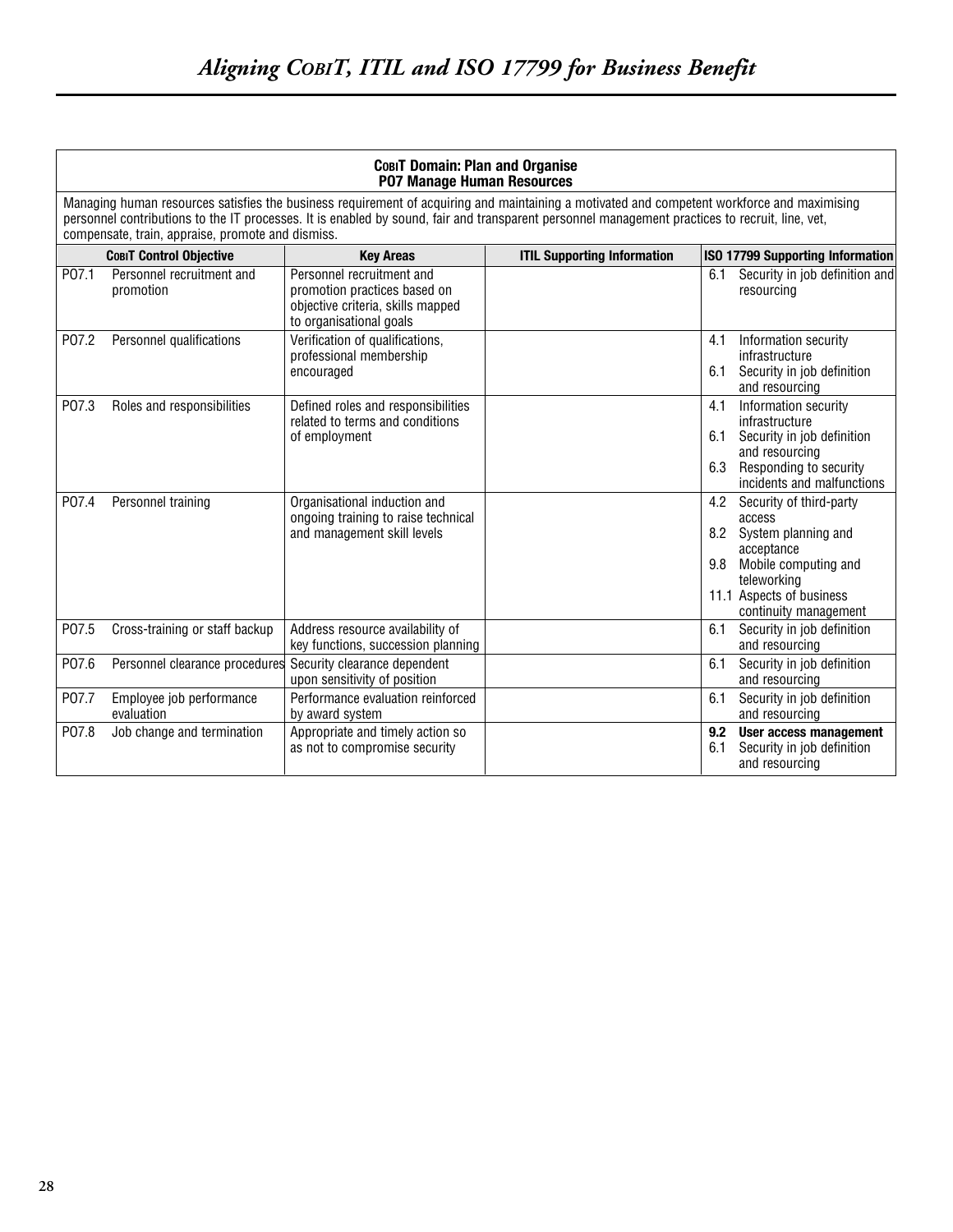|       | <b>СовіТ Domain: Plan and Organise</b><br>P07 Manage Human Resources |                                                                                                                           |                                                                                                                                                                                                                                                                                                |                                                                                                                                                                                         |
|-------|----------------------------------------------------------------------|---------------------------------------------------------------------------------------------------------------------------|------------------------------------------------------------------------------------------------------------------------------------------------------------------------------------------------------------------------------------------------------------------------------------------------|-----------------------------------------------------------------------------------------------------------------------------------------------------------------------------------------|
|       | compensate, train, appraise, promote and dismiss.                    |                                                                                                                           | Managing human resources satisfies the business requirement of acquiring and maintaining a motivated and competent workforce and maximising<br>personnel contributions to the IT processes. It is enabled by sound, fair and transparent personnel management practices to recruit, line, vet, |                                                                                                                                                                                         |
|       | <b>COBIT Control Objective</b>                                       | <b>Key Areas</b>                                                                                                          | <b>ITIL Supporting Information</b>                                                                                                                                                                                                                                                             | <b>ISO 17799 Supporting Information</b>                                                                                                                                                 |
| P07.1 | Personnel recruitment and<br>promotion                               | Personnel recruitment and<br>promotion practices based on<br>objective criteria, skills mapped<br>to organisational goals |                                                                                                                                                                                                                                                                                                | Security in job definition and<br>6.1<br>resourcing                                                                                                                                     |
| P07.2 | Personnel qualifications                                             | Verification of qualifications,<br>professional membership<br>encouraged                                                  |                                                                                                                                                                                                                                                                                                | Information security<br>4.1<br>infrastructure<br>Security in job definition<br>6.1<br>and resourcing                                                                                    |
| P07.3 | Roles and responsibilities                                           | Defined roles and responsibilities<br>related to terms and conditions<br>of employment                                    |                                                                                                                                                                                                                                                                                                | Information security<br>4.1<br>infrastructure<br>6.1<br>Security in job definition<br>and resourcing<br>6.3<br>Responding to security<br>incidents and malfunctions                     |
| P07.4 | Personnel training                                                   | Organisational induction and<br>ongoing training to raise technical<br>and management skill levels                        |                                                                                                                                                                                                                                                                                                | 4.2<br>Security of third-party<br>access<br>8.2<br>System planning and<br>acceptance<br>Mobile computing and<br>9.8<br>teleworking<br>11.1 Aspects of business<br>continuity management |
| P07.5 | Cross-training or staff backup                                       | Address resource availability of<br>key functions, succession planning                                                    |                                                                                                                                                                                                                                                                                                | Security in job definition<br>6.1<br>and resourcing                                                                                                                                     |
| P07.6 | Personnel clearance procedures                                       | Security clearance dependent<br>upon sensitivity of position                                                              |                                                                                                                                                                                                                                                                                                | 6.1<br>Security in job definition<br>and resourcing                                                                                                                                     |
| P07.7 | Employee job performance<br>evaluation                               | Performance evaluation reinforced<br>by award system                                                                      |                                                                                                                                                                                                                                                                                                | 6.1<br>Security in job definition<br>and resourcing                                                                                                                                     |
| P07.8 | Job change and termination                                           | Appropriate and timely action so<br>as not to compromise security                                                         |                                                                                                                                                                                                                                                                                                | 9.2<br>User access management<br>6.1<br>Security in job definition<br>and resourcing                                                                                                    |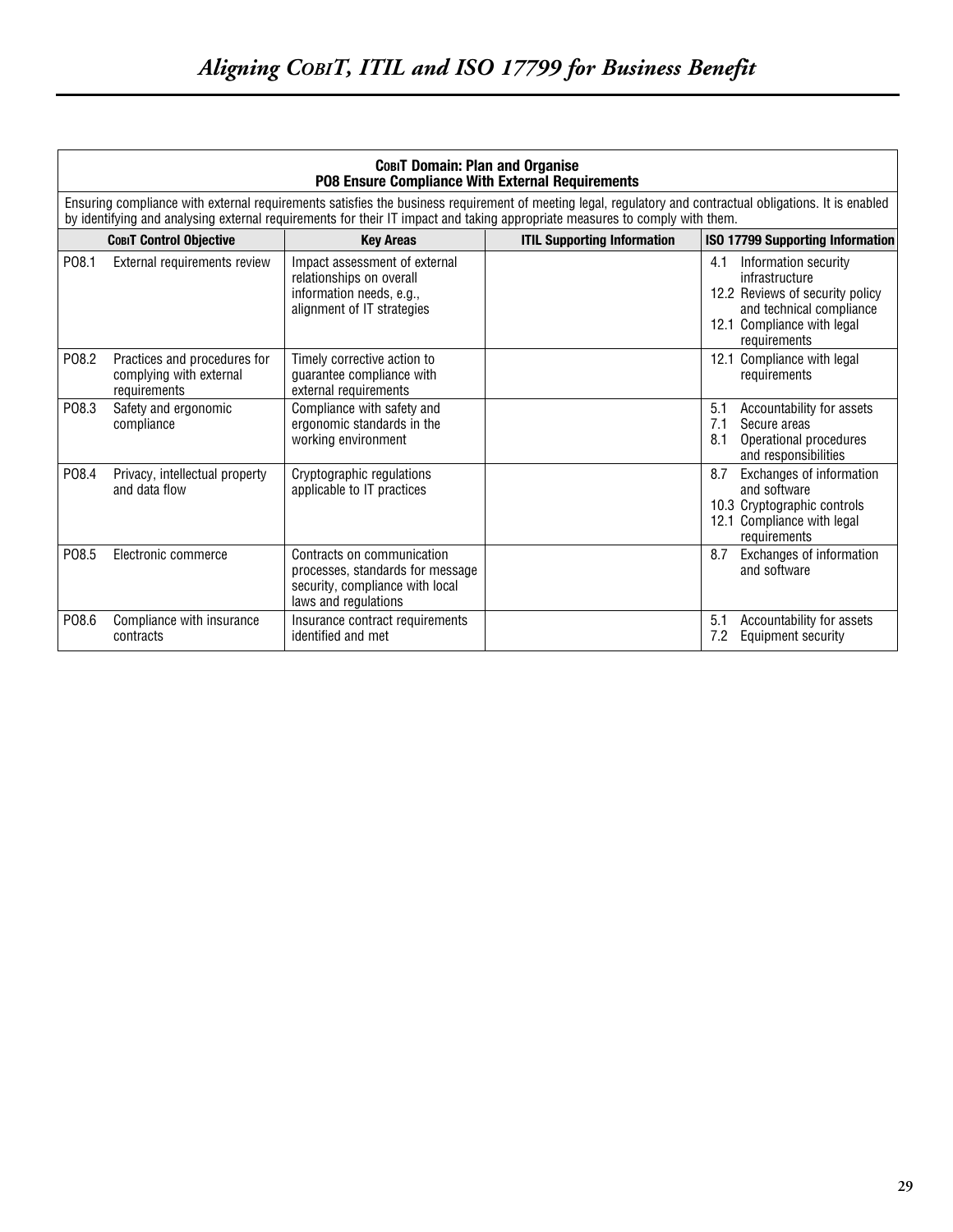|       | <b>СовіТ Domain: Plan and Organise</b><br>PO8 Ensure Compliance With External Requirements |                                                                                                                           |                                                                                                                                                                                                                                                                                          |                                                                                                                                                            |
|-------|--------------------------------------------------------------------------------------------|---------------------------------------------------------------------------------------------------------------------------|------------------------------------------------------------------------------------------------------------------------------------------------------------------------------------------------------------------------------------------------------------------------------------------|------------------------------------------------------------------------------------------------------------------------------------------------------------|
|       |                                                                                            |                                                                                                                           | Ensuring compliance with external requirements satisfies the business requirement of meeting legal, regulatory and contractual obligations. It is enabled<br>by identifying and analysing external requirements for their IT impact and taking appropriate measures to comply with them. |                                                                                                                                                            |
|       | <b>COBIT Control Objective</b>                                                             | <b>Key Areas</b>                                                                                                          | <b>ITIL Supporting Information</b>                                                                                                                                                                                                                                                       | <b>ISO 17799 Supporting Information</b>                                                                                                                    |
| P08.1 | External requirements review                                                               | Impact assessment of external<br>relationships on overall<br>information needs, e.g.,<br>alignment of IT strategies       |                                                                                                                                                                                                                                                                                          | Information security<br>4.1<br>infrastructure<br>12.2 Reviews of security policy<br>and technical compliance<br>12.1 Compliance with legal<br>requirements |
| P08.2 | Practices and procedures for<br>complying with external<br>requirements                    | Timely corrective action to<br>guarantee compliance with<br>external requirements                                         |                                                                                                                                                                                                                                                                                          | 12.1 Compliance with legal<br>requirements                                                                                                                 |
| P08.3 | Safety and ergonomic<br>compliance                                                         | Compliance with safety and<br>ergonomic standards in the<br>working environment                                           |                                                                                                                                                                                                                                                                                          | 5.1<br>Accountability for assets<br>7.1<br>Secure areas<br>Operational procedures<br>8.1<br>and responsibilities                                           |
| P08.4 | Privacy, intellectual property<br>and data flow                                            | Cryptographic regulations<br>applicable to IT practices                                                                   |                                                                                                                                                                                                                                                                                          | 8.7<br>Exchanges of information<br>and software<br>10.3 Cryptographic controls<br>12.1 Compliance with legal<br>requirements                               |
| P08.5 | Electronic commerce                                                                        | Contracts on communication<br>processes, standards for message<br>security, compliance with local<br>laws and regulations |                                                                                                                                                                                                                                                                                          | 8.7<br>Exchanges of information<br>and software                                                                                                            |
| P08.6 | Compliance with insurance<br>contracts                                                     | Insurance contract requirements<br>identified and met                                                                     |                                                                                                                                                                                                                                                                                          | 5.1<br>Accountability for assets<br>7.2<br><b>Equipment security</b>                                                                                       |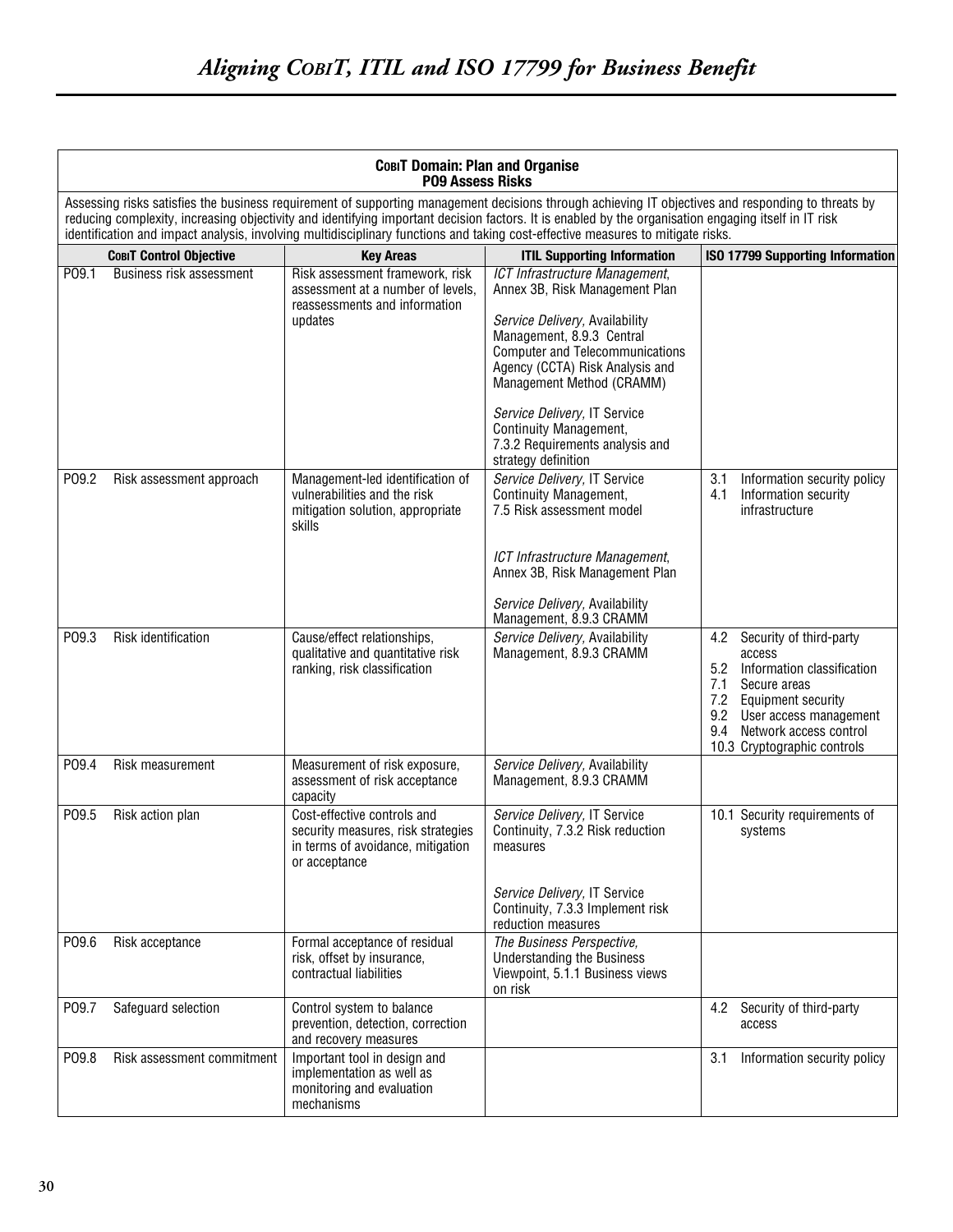|       | <b>СовіТ Domain: Plan and Organise</b><br><b>PO9 Assess Risks</b> |                                                                                                                         |                                                                                                                                                                                                                                                                                                                                                                                                                                               |                                                                                                                                                                                                                                     |
|-------|-------------------------------------------------------------------|-------------------------------------------------------------------------------------------------------------------------|-----------------------------------------------------------------------------------------------------------------------------------------------------------------------------------------------------------------------------------------------------------------------------------------------------------------------------------------------------------------------------------------------------------------------------------------------|-------------------------------------------------------------------------------------------------------------------------------------------------------------------------------------------------------------------------------------|
|       |                                                                   |                                                                                                                         | Assessing risks satisfies the business requirement of supporting management decisions through achieving IT objectives and responding to threats by<br>reducing complexity, increasing objectivity and identifying important decision factors. It is enabled by the organisation engaging itself in IT risk<br>identification and impact analysis, involving multidisciplinary functions and taking cost-effective measures to mitigate risks. |                                                                                                                                                                                                                                     |
|       | <b>COBIT Control Objective</b>                                    | <b>Key Areas</b>                                                                                                        | <b>ITIL Supporting Information</b>                                                                                                                                                                                                                                                                                                                                                                                                            | <b>ISO 17799 Supporting Information</b>                                                                                                                                                                                             |
| P09.1 | Business risk assessment                                          | Risk assessment framework, risk<br>assessment at a number of levels,<br>reassessments and information<br>updates        | ICT Infrastructure Management,<br>Annex 3B, Risk Management Plan<br>Service Delivery, Availability<br>Management, 8.9.3 Central<br><b>Computer and Telecommunications</b><br>Agency (CCTA) Risk Analysis and<br>Management Method (CRAMM)<br>Service Delivery, IT Service<br>Continuity Management,                                                                                                                                           |                                                                                                                                                                                                                                     |
|       |                                                                   |                                                                                                                         | 7.3.2 Requirements analysis and                                                                                                                                                                                                                                                                                                                                                                                                               |                                                                                                                                                                                                                                     |
| P09.2 | Risk assessment approach                                          | Management-led identification of<br>vulnerabilities and the risk<br>mitigation solution, appropriate<br>skills          | strategy definition<br>Service Delivery, IT Service<br>Continuity Management,<br>7.5 Risk assessment model<br>ICT Infrastructure Management,<br>Annex 3B, Risk Management Plan                                                                                                                                                                                                                                                                | 3.1<br>Information security policy<br>Information security<br>4.1<br>infrastructure                                                                                                                                                 |
|       |                                                                   |                                                                                                                         | Service Delivery, Availability<br>Management, 8.9.3 CRAMM                                                                                                                                                                                                                                                                                                                                                                                     |                                                                                                                                                                                                                                     |
| P09.3 | Risk identification                                               | Cause/effect relationships,<br>qualitative and quantitative risk<br>ranking, risk classification                        | Service Delivery, Availability<br>Management, 8.9.3 CRAMM                                                                                                                                                                                                                                                                                                                                                                                     | 4.2<br>Security of third-party<br>access<br>5.2<br>Information classification<br>7.1<br>Secure areas<br><b>Equipment security</b><br>7.2<br>9.2 User access management<br>9.4 Network access control<br>10.3 Cryptographic controls |
| P09.4 | Risk measurement                                                  | Measurement of risk exposure,<br>assessment of risk acceptance<br>capacity                                              | Service Delivery, Availability<br>Management, 8.9.3 CRAMM                                                                                                                                                                                                                                                                                                                                                                                     |                                                                                                                                                                                                                                     |
| P09.5 | Risk action plan                                                  | Cost-effective controls and<br>security measures, risk strategies<br>in terms of avoidance, mitigation<br>or acceptance | Service Delivery, IT Service<br>Continuity, 7.3.2 Risk reduction<br>measures                                                                                                                                                                                                                                                                                                                                                                  | 10.1 Security requirements of<br>systems                                                                                                                                                                                            |
|       |                                                                   |                                                                                                                         | Service Delivery, IT Service<br>Continuity, 7.3.3 Implement risk<br>reduction measures                                                                                                                                                                                                                                                                                                                                                        |                                                                                                                                                                                                                                     |
| P09.6 | Risk acceptance                                                   | Formal acceptance of residual<br>risk, offset by insurance,<br>contractual liabilities                                  | The Business Perspective,<br><b>Understanding the Business</b><br>Viewpoint, 5.1.1 Business views<br>on risk                                                                                                                                                                                                                                                                                                                                  |                                                                                                                                                                                                                                     |
| P09.7 | Safeguard selection                                               | Control system to balance<br>prevention, detection, correction<br>and recovery measures                                 |                                                                                                                                                                                                                                                                                                                                                                                                                                               | Security of third-party<br>4.2<br>access                                                                                                                                                                                            |
| P09.8 | Risk assessment commitment                                        | Important tool in design and<br>implementation as well as<br>monitoring and evaluation<br>mechanisms                    |                                                                                                                                                                                                                                                                                                                                                                                                                                               | 3.1<br>Information security policy                                                                                                                                                                                                  |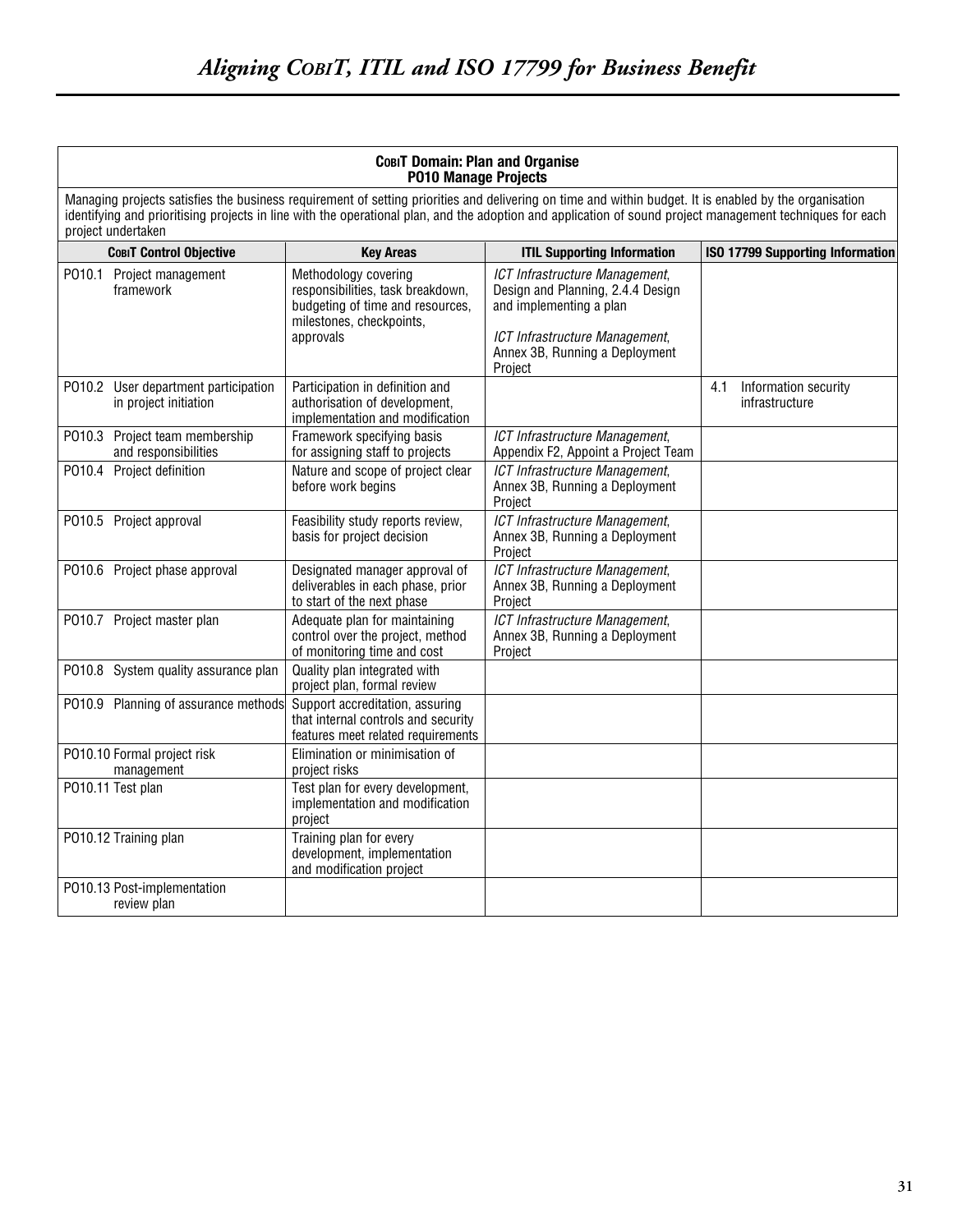| <b>СовіТ Domain: Plan and Organise</b><br><b>P010 Manage Projects</b>                                                                                                                                                                                                                                                                     |                                                                                                                                        |                                                                                                                                                                               |                                               |
|-------------------------------------------------------------------------------------------------------------------------------------------------------------------------------------------------------------------------------------------------------------------------------------------------------------------------------------------|----------------------------------------------------------------------------------------------------------------------------------------|-------------------------------------------------------------------------------------------------------------------------------------------------------------------------------|-----------------------------------------------|
| Managing projects satisfies the business requirement of setting priorities and delivering on time and within budget. It is enabled by the organisation<br>identifying and prioritising projects in line with the operational plan, and the adoption and application of sound project management techniques for each<br>project undertaken |                                                                                                                                        |                                                                                                                                                                               |                                               |
| <b>СовіТ Control Objective</b>                                                                                                                                                                                                                                                                                                            | <b>Key Areas</b>                                                                                                                       | <b>ITIL Supporting Information</b>                                                                                                                                            | <b>ISO 17799 Supporting Information</b>       |
| PO10.1 Project management<br>framework                                                                                                                                                                                                                                                                                                    | Methodology covering<br>responsibilities, task breakdown,<br>budgeting of time and resources,<br>milestones, checkpoints,<br>approvals | ICT Infrastructure Management,<br>Design and Planning, 2.4.4 Design<br>and implementing a plan<br>ICT Infrastructure Management,<br>Annex 3B, Running a Deployment<br>Project |                                               |
| P010.2 User department participation<br>in project initiation                                                                                                                                                                                                                                                                             | Participation in definition and<br>authorisation of development,<br>implementation and modification                                    |                                                                                                                                                                               | 4.1<br>Information security<br>infrastructure |
| P010.3 Project team membership<br>and responsibilities                                                                                                                                                                                                                                                                                    | Framework specifying basis<br>for assigning staff to projects                                                                          | ICT Infrastructure Management,<br>Appendix F2, Appoint a Project Team                                                                                                         |                                               |
| P010.4<br>Project definition                                                                                                                                                                                                                                                                                                              | Nature and scope of project clear<br>before work begins                                                                                | ICT Infrastructure Management,<br>Annex 3B, Running a Deployment<br>Project                                                                                                   |                                               |
| P010.5 Project approval                                                                                                                                                                                                                                                                                                                   | Feasibility study reports review,<br>basis for project decision                                                                        | ICT Infrastructure Management,<br>Annex 3B, Running a Deployment<br>Project                                                                                                   |                                               |
| PO10.6 Project phase approval                                                                                                                                                                                                                                                                                                             | Designated manager approval of<br>deliverables in each phase, prior<br>to start of the next phase                                      | ICT Infrastructure Management,<br>Annex 3B, Running a Deployment<br>Project                                                                                                   |                                               |
| PO10.7 Project master plan                                                                                                                                                                                                                                                                                                                | Adequate plan for maintaining<br>control over the project, method<br>of monitoring time and cost                                       | ICT Infrastructure Management,<br>Annex 3B, Running a Deployment<br>Project                                                                                                   |                                               |
| P010.8 System quality assurance plan                                                                                                                                                                                                                                                                                                      | Quality plan integrated with<br>project plan, formal review                                                                            |                                                                                                                                                                               |                                               |
| PO10.9 Planning of assurance methods                                                                                                                                                                                                                                                                                                      | Support accreditation, assuring<br>that internal controls and security<br>features meet related requirements                           |                                                                                                                                                                               |                                               |
| PO10.10 Formal project risk<br>management                                                                                                                                                                                                                                                                                                 | Elimination or minimisation of<br>project risks                                                                                        |                                                                                                                                                                               |                                               |
| P010.11 Test plan                                                                                                                                                                                                                                                                                                                         | Test plan for every development,<br>implementation and modification<br>project                                                         |                                                                                                                                                                               |                                               |
| P010.12 Training plan                                                                                                                                                                                                                                                                                                                     | Training plan for every<br>development, implementation<br>and modification project                                                     |                                                                                                                                                                               |                                               |
| P010.13 Post-implementation<br>review plan                                                                                                                                                                                                                                                                                                |                                                                                                                                        |                                                                                                                                                                               |                                               |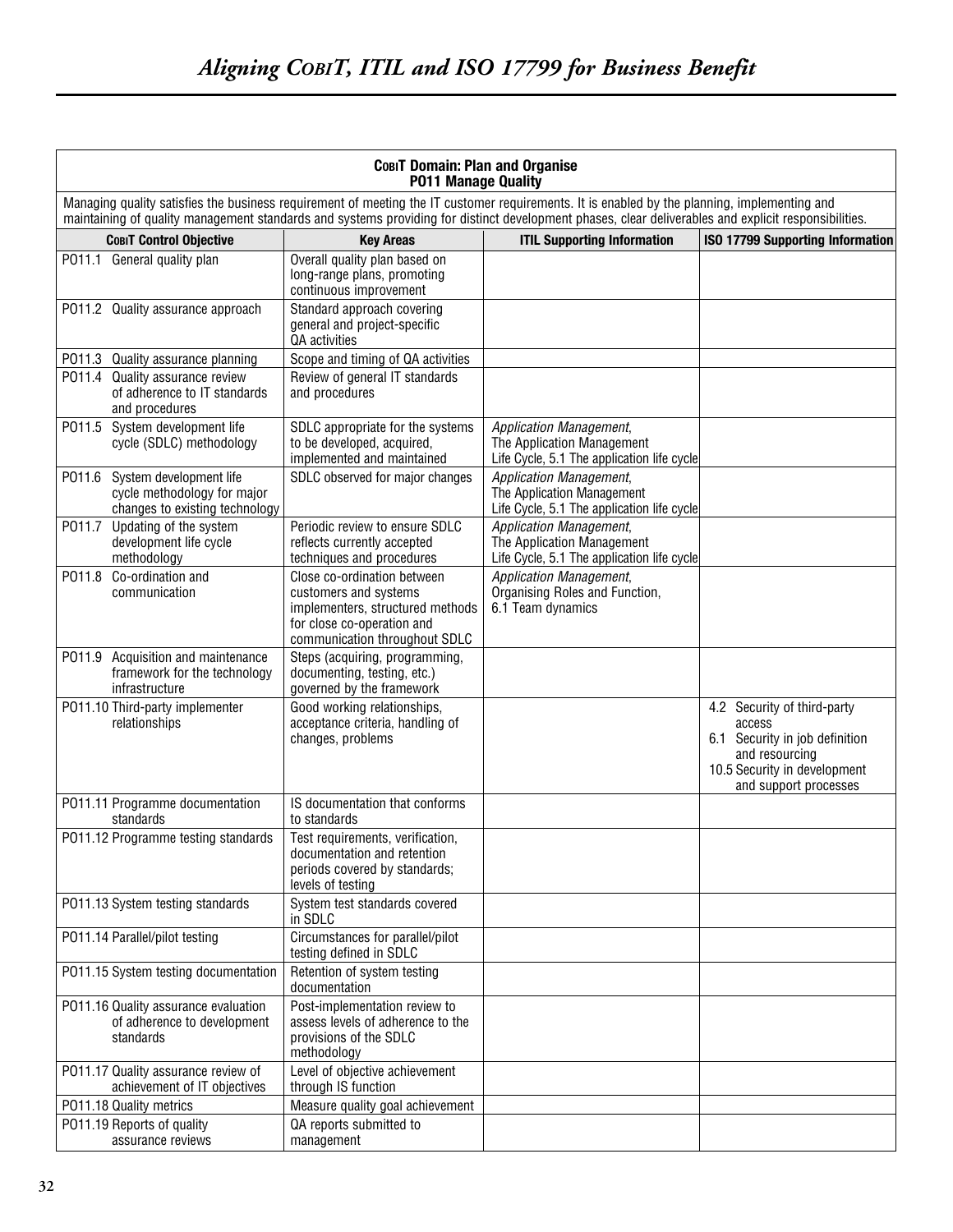| <b>СовіТ Domain: Plan and Organise</b><br><b>P011 Manage Quality</b>                               |                                                                                                                                                                                                                                                                                                      |                                                                                                            |                                                                                                                                                    |  |  |
|----------------------------------------------------------------------------------------------------|------------------------------------------------------------------------------------------------------------------------------------------------------------------------------------------------------------------------------------------------------------------------------------------------------|------------------------------------------------------------------------------------------------------------|----------------------------------------------------------------------------------------------------------------------------------------------------|--|--|
|                                                                                                    | Managing quality satisfies the business requirement of meeting the IT customer requirements. It is enabled by the planning, implementing and<br>maintaining of quality management standards and systems providing for distinct development phases, clear deliverables and explicit responsibilities. |                                                                                                            |                                                                                                                                                    |  |  |
| <b>COBIT Control Objective</b>                                                                     | <b>Key Areas</b>                                                                                                                                                                                                                                                                                     | <b>ITIL Supporting Information</b>                                                                         | <b>ISO 17799 Supporting Information</b>                                                                                                            |  |  |
| PO11.1 General quality plan                                                                        | Overall quality plan based on<br>long-range plans, promoting<br>continuous improvement                                                                                                                                                                                                               |                                                                                                            |                                                                                                                                                    |  |  |
| PO11.2 Quality assurance approach                                                                  | Standard approach covering<br>general and project-specific<br>QA activities                                                                                                                                                                                                                          |                                                                                                            |                                                                                                                                                    |  |  |
| P011.3<br>Quality assurance planning                                                               | Scope and timing of QA activities                                                                                                                                                                                                                                                                    |                                                                                                            |                                                                                                                                                    |  |  |
| P011.4<br>Quality assurance review<br>of adherence to IT standards<br>and procedures               | Review of general IT standards<br>and procedures                                                                                                                                                                                                                                                     |                                                                                                            |                                                                                                                                                    |  |  |
| PO11.5 System development life<br>cycle (SDLC) methodology                                         | SDLC appropriate for the systems<br>to be developed, acquired,<br>implemented and maintained                                                                                                                                                                                                         | Application Management,<br>The Application Management<br>Life Cycle, 5.1 The application life cycle        |                                                                                                                                                    |  |  |
| System development life<br>P011.6<br>cycle methodology for major<br>changes to existing technology | SDLC observed for major changes                                                                                                                                                                                                                                                                      | <b>Application Management,</b><br>The Application Management<br>Life Cycle, 5.1 The application life cycle |                                                                                                                                                    |  |  |
| P011.7<br>Updating of the system<br>development life cycle<br>methodology                          | Periodic review to ensure SDLC<br>reflects currently accepted<br>techniques and procedures                                                                                                                                                                                                           | <b>Application Management,</b><br>The Application Management<br>Life Cycle, 5.1 The application life cycle |                                                                                                                                                    |  |  |
| P011.8<br>Co-ordination and<br>communication                                                       | Close co-ordination between<br>customers and systems<br>implementers, structured methods<br>for close co-operation and<br>communication throughout SDLC                                                                                                                                              | <b>Application Management,</b><br>Organising Roles and Function,<br>6.1 Team dynamics                      |                                                                                                                                                    |  |  |
| Acquisition and maintenance<br>P011.9<br>framework for the technology<br>infrastructure            | Steps (acquiring, programming,<br>documenting, testing, etc.)<br>governed by the framework                                                                                                                                                                                                           |                                                                                                            |                                                                                                                                                    |  |  |
| P011.10 Third-party implementer<br>relationships                                                   | Good working relationships,<br>acceptance criteria, handling of<br>changes, problems                                                                                                                                                                                                                 |                                                                                                            | 4.2 Security of third-party<br>access<br>6.1 Security in job definition<br>and resourcing<br>10.5 Security in development<br>and support processes |  |  |
| P011.11 Programme documentation<br>standards                                                       | IS documentation that conforms<br>to standards                                                                                                                                                                                                                                                       |                                                                                                            |                                                                                                                                                    |  |  |
| P011.12 Programme testing standards                                                                | Test requirements, verification,<br>documentation and retention<br>periods covered by standards;<br>levels of testing                                                                                                                                                                                |                                                                                                            |                                                                                                                                                    |  |  |
| P011.13 System testing standards                                                                   | System test standards covered<br>in SDLC                                                                                                                                                                                                                                                             |                                                                                                            |                                                                                                                                                    |  |  |
| P011.14 Parallel/pilot testing                                                                     | Circumstances for parallel/pilot<br>testing defined in SDLC                                                                                                                                                                                                                                          |                                                                                                            |                                                                                                                                                    |  |  |
| P011.15 System testing documentation                                                               | Retention of system testing<br>documentation                                                                                                                                                                                                                                                         |                                                                                                            |                                                                                                                                                    |  |  |
| P011.16 Quality assurance evaluation<br>of adherence to development<br>standards                   | Post-implementation review to<br>assess levels of adherence to the<br>provisions of the SDLC<br>methodology                                                                                                                                                                                          |                                                                                                            |                                                                                                                                                    |  |  |
| P011.17 Quality assurance review of<br>achievement of IT objectives                                | Level of objective achievement<br>through IS function                                                                                                                                                                                                                                                |                                                                                                            |                                                                                                                                                    |  |  |
| P011.18 Quality metrics                                                                            | Measure quality goal achievement                                                                                                                                                                                                                                                                     |                                                                                                            |                                                                                                                                                    |  |  |
| P011.19 Reports of quality<br>assurance reviews                                                    | QA reports submitted to<br>management                                                                                                                                                                                                                                                                |                                                                                                            |                                                                                                                                                    |  |  |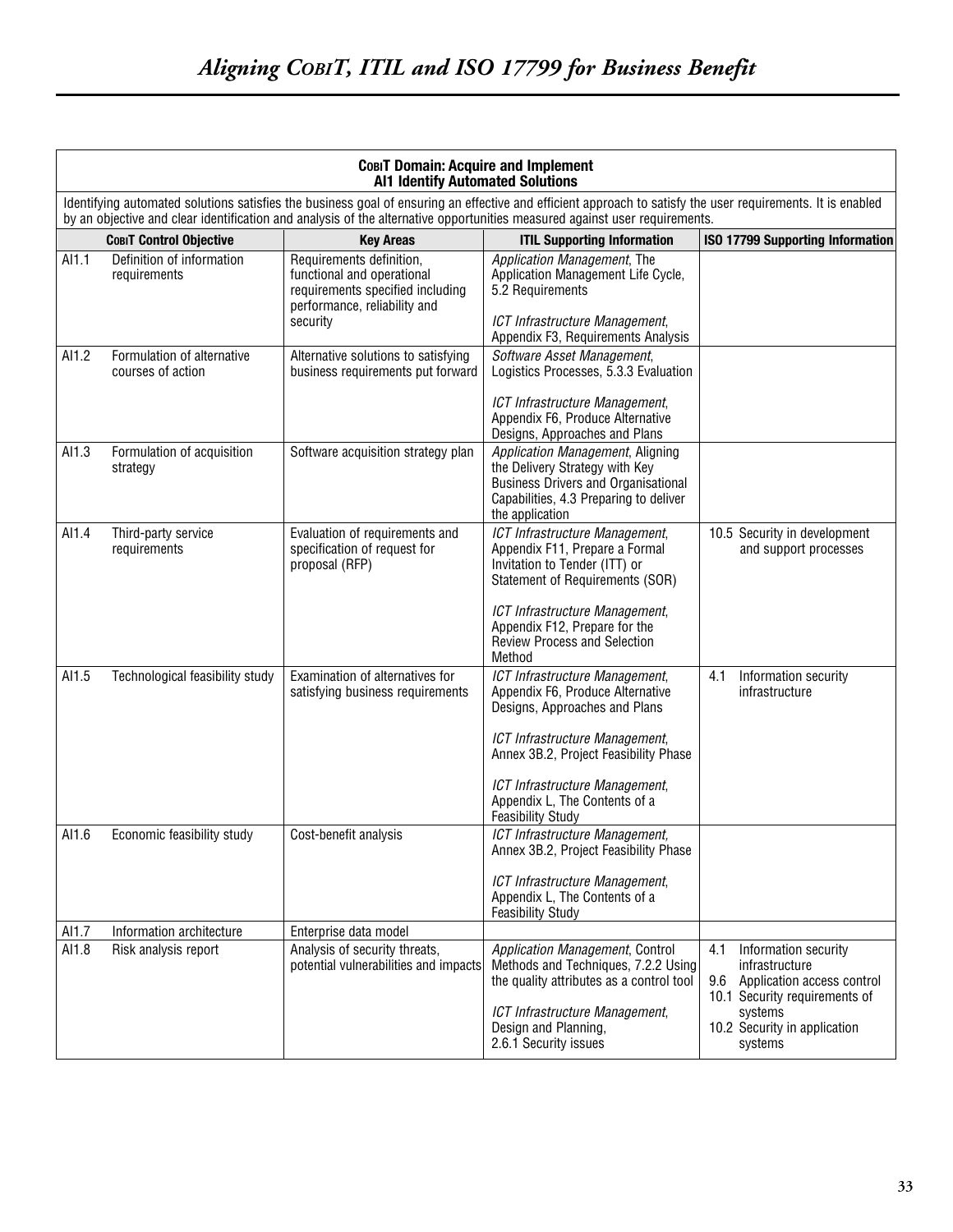|       | COBIT Domain: Acquire and Implement<br><b>Al1 Identify Automated Solutions</b> |                                                                                                                                        |                                                                                                                                                                                                                                                                                           |                                                                                                                                                                           |
|-------|--------------------------------------------------------------------------------|----------------------------------------------------------------------------------------------------------------------------------------|-------------------------------------------------------------------------------------------------------------------------------------------------------------------------------------------------------------------------------------------------------------------------------------------|---------------------------------------------------------------------------------------------------------------------------------------------------------------------------|
|       |                                                                                |                                                                                                                                        | Identifying automated solutions satisfies the business goal of ensuring an effective and efficient approach to satisfy the user requirements. It is enabled<br>by an objective and clear identification and analysis of the alternative opportunities measured against user requirements. |                                                                                                                                                                           |
|       | <b>COBIT Control Objective</b>                                                 | <b>Key Areas</b>                                                                                                                       | <b>ITIL Supporting Information</b>                                                                                                                                                                                                                                                        | ISO 17799 Supporting Information                                                                                                                                          |
| Al1.1 | Definition of information<br>requirements                                      | Requirements definition,<br>functional and operational<br>requirements specified including<br>performance, reliability and<br>security | Application Management, The<br>Application Management Life Cycle,<br>5.2 Requirements<br>ICT Infrastructure Management,                                                                                                                                                                   |                                                                                                                                                                           |
| AI1.2 | Formulation of alternative<br>courses of action                                | Alternative solutions to satisfying<br>business requirements put forward                                                               | Appendix F3, Requirements Analysis<br>Software Asset Management,<br>Logistics Processes, 5.3.3 Evaluation                                                                                                                                                                                 |                                                                                                                                                                           |
|       |                                                                                |                                                                                                                                        | ICT Infrastructure Management,<br>Appendix F6, Produce Alternative<br>Designs, Approaches and Plans                                                                                                                                                                                       |                                                                                                                                                                           |
| AI1.3 | Formulation of acquisition<br>strategy                                         | Software acquisition strategy plan                                                                                                     | Application Management, Aligning<br>the Delivery Strategy with Key<br><b>Business Drivers and Organisational</b><br>Capabilities, 4.3 Preparing to deliver<br>the application                                                                                                             |                                                                                                                                                                           |
| AI1.4 | Third-party service<br>requirements                                            | Evaluation of requirements and<br>specification of request for<br>proposal (RFP)                                                       | ICT Infrastructure Management,<br>Appendix F11, Prepare a Formal<br>Invitation to Tender (ITT) or<br>Statement of Requirements (SOR)<br>ICT Infrastructure Management,<br>Appendix F12, Prepare for the<br><b>Review Process and Selection</b><br>Method                                  | 10.5 Security in development<br>and support processes                                                                                                                     |
| AI1.5 | Technological feasibility study                                                | Examination of alternatives for<br>satisfying business requirements                                                                    | ICT Infrastructure Management,<br>Appendix F6, Produce Alternative<br>Designs, Approaches and Plans<br>ICT Infrastructure Management,<br>Annex 3B.2, Project Feasibility Phase<br>ICT Infrastructure Management,<br>Appendix L, The Contents of a<br><b>Feasibility Study</b>             | Information security<br>4.1<br>infrastructure                                                                                                                             |
| Al1.6 | Economic feasibility study                                                     | Cost-benefit analysis                                                                                                                  | ICT Infrastructure Management,<br>Annex 3B.2, Project Feasibility Phase<br>ICT Infrastructure Management,<br>Appendix L, The Contents of a<br>Feasibility Study                                                                                                                           |                                                                                                                                                                           |
| AI1.7 | Information architecture                                                       | Enterprise data model                                                                                                                  |                                                                                                                                                                                                                                                                                           |                                                                                                                                                                           |
| AI1.8 | Risk analysis report                                                           | Analysis of security threats,<br>potential vulnerabilities and impacts                                                                 | Application Management, Control<br>Methods and Techniques, 7.2.2 Using<br>the quality attributes as a control tool<br>ICT Infrastructure Management,<br>Design and Planning,<br>2.6.1 Security issues                                                                                     | 4.1<br>Information security<br>infrastructure<br>9.6<br>Application access control<br>10.1 Security requirements of<br>systems<br>10.2 Security in application<br>systems |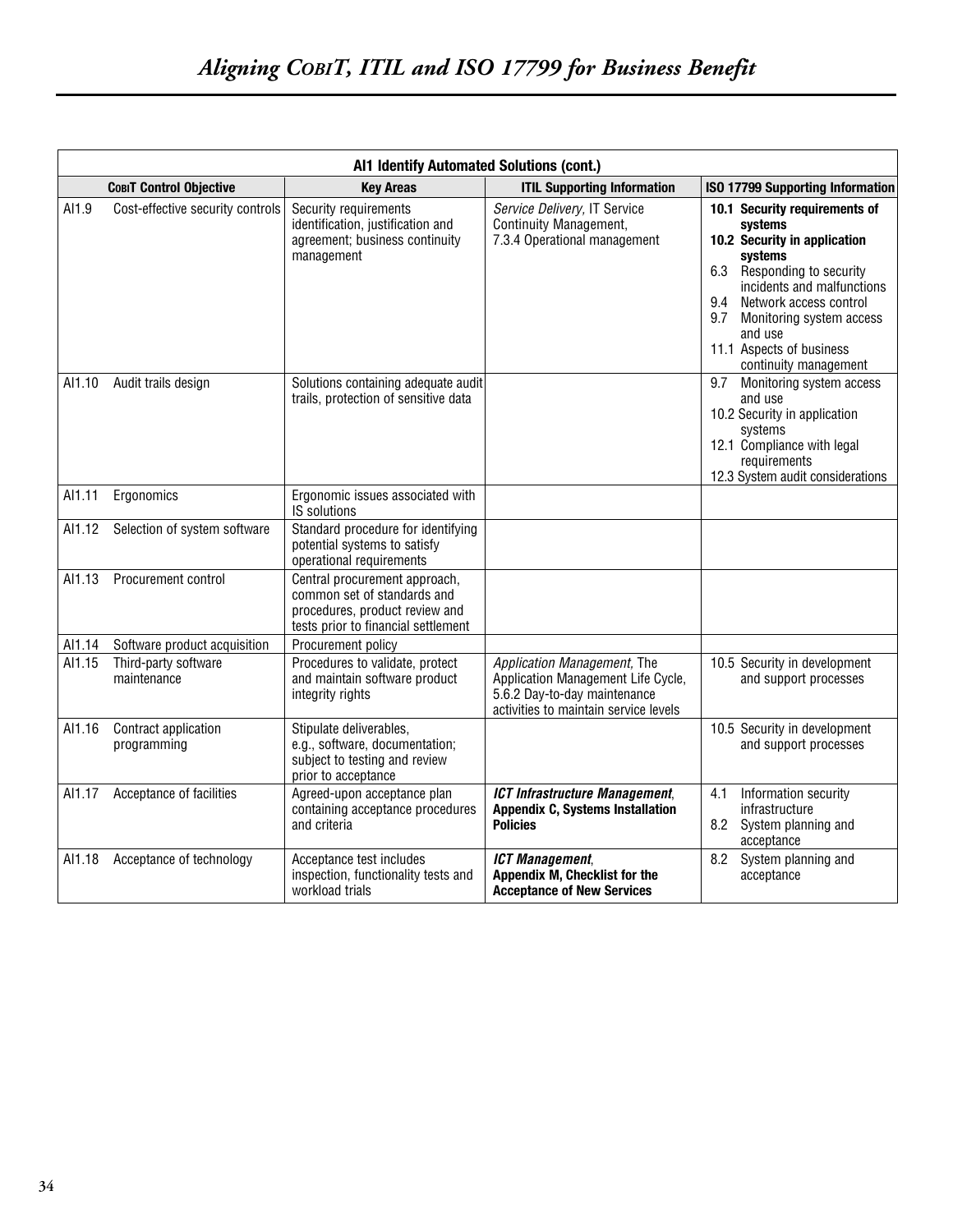|        | Al1 Identify Automated Solutions (cont.) |                                                                                                                                       |                                                                                                                                            |                                                                                                                                                                                                                                                                                     |
|--------|------------------------------------------|---------------------------------------------------------------------------------------------------------------------------------------|--------------------------------------------------------------------------------------------------------------------------------------------|-------------------------------------------------------------------------------------------------------------------------------------------------------------------------------------------------------------------------------------------------------------------------------------|
|        | <b>COBIT Control Objective</b>           | <b>Key Areas</b>                                                                                                                      | <b>ITIL Supporting Information</b>                                                                                                         | <b>ISO 17799 Supporting Information</b>                                                                                                                                                                                                                                             |
| AI1.9  | Cost-effective security controls         | Security requirements<br>identification, justification and<br>agreement; business continuity<br>management                            | Service Delivery, IT Service<br>Continuity Management,<br>7.3.4 Operational management                                                     | 10.1 Security requirements of<br>systems<br>10.2 Security in application<br>systems<br>6.3 Responding to security<br>incidents and malfunctions<br>9.4<br>Network access control<br>9.7<br>Monitoring system access<br>and use<br>11.1 Aspects of business<br>continuity management |
| AI1.10 | Audit trails design                      | Solutions containing adequate audit<br>trails, protection of sensitive data                                                           |                                                                                                                                            | 9.7<br>Monitoring system access<br>and use<br>10.2 Security in application<br>systems<br>12.1 Compliance with legal<br>requirements<br>12.3 System audit considerations                                                                                                             |
| AI1.11 | Ergonomics                               | Ergonomic issues associated with<br><b>IS solutions</b>                                                                               |                                                                                                                                            |                                                                                                                                                                                                                                                                                     |
| AI1.12 | Selection of system software             | Standard procedure for identifying<br>potential systems to satisfy<br>operational requirements                                        |                                                                                                                                            |                                                                                                                                                                                                                                                                                     |
| AI1.13 | Procurement control                      | Central procurement approach,<br>common set of standards and<br>procedures, product review and<br>tests prior to financial settlement |                                                                                                                                            |                                                                                                                                                                                                                                                                                     |
| AI1.14 | Software product acquisition             | Procurement policy                                                                                                                    |                                                                                                                                            |                                                                                                                                                                                                                                                                                     |
| AI1.15 | Third-party software<br>maintenance      | Procedures to validate, protect<br>and maintain software product<br>integrity rights                                                  | Application Management, The<br>Application Management Life Cycle,<br>5.6.2 Day-to-day maintenance<br>activities to maintain service levels | 10.5 Security in development<br>and support processes                                                                                                                                                                                                                               |
| AI1.16 | Contract application<br>programming      | Stipulate deliverables,<br>e.g., software, documentation;<br>subject to testing and review<br>prior to acceptance                     |                                                                                                                                            | 10.5 Security in development<br>and support processes                                                                                                                                                                                                                               |
| AI1.17 | Acceptance of facilities                 | Agreed-upon acceptance plan<br>containing acceptance procedures<br>and criteria                                                       | <b>ICT Infrastructure Management,</b><br><b>Appendix C, Systems Installation</b><br><b>Policies</b>                                        | 4.1<br>Information security<br>infrastructure<br>8.2<br>System planning and<br>acceptance                                                                                                                                                                                           |
| AI1.18 | Acceptance of technology                 | Acceptance test includes<br>inspection, functionality tests and<br>workload trials                                                    | <b>ICT Management,</b><br>Appendix M, Checklist for the<br><b>Acceptance of New Services</b>                                               | System planning and<br>8.2<br>acceptance                                                                                                                                                                                                                                            |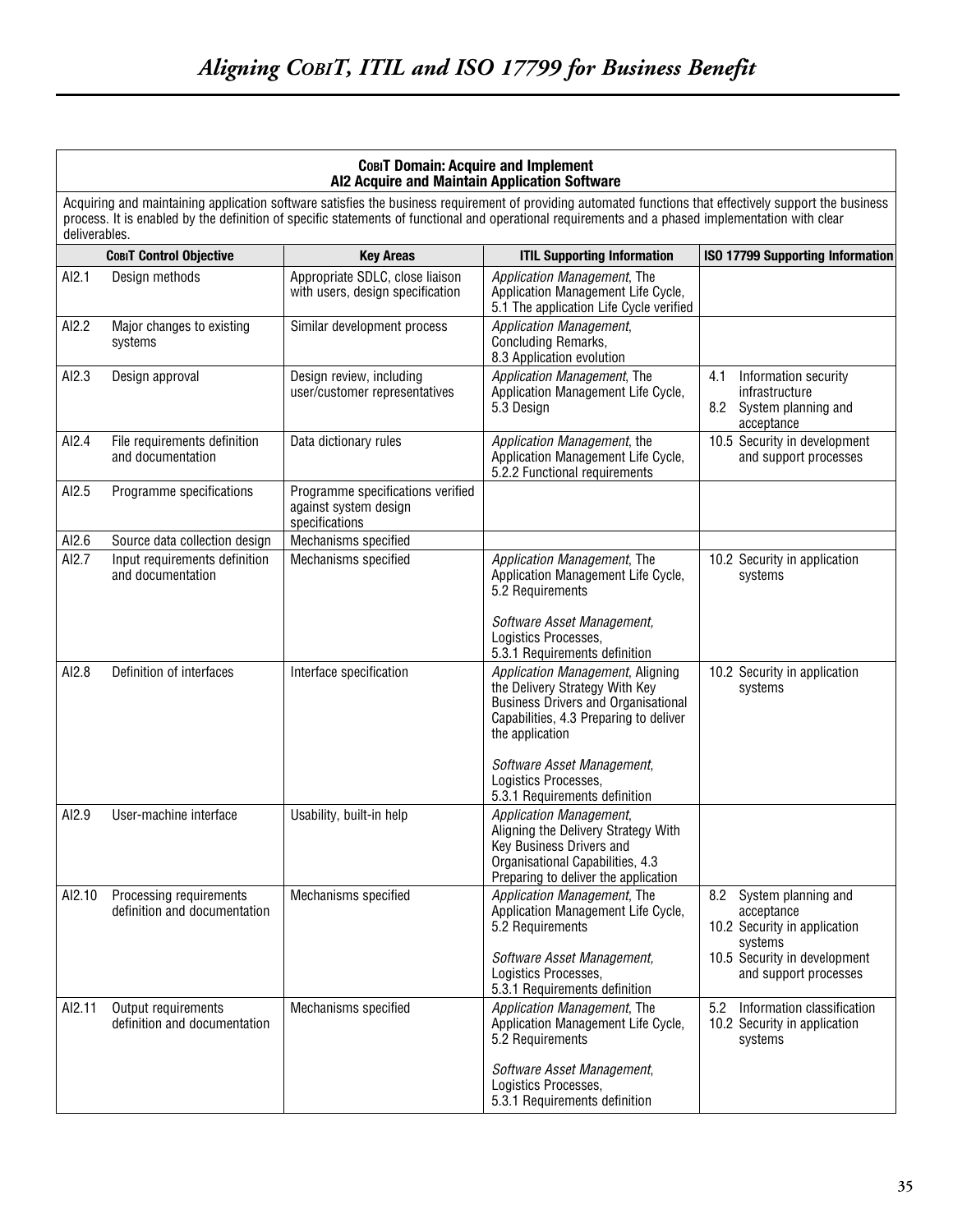#### **COBIT Domain: Acquire and Implement AI2 Acquire and Maintain Application Software**

Acquiring and maintaining application software satisfies the business requirement of providing automated functions that effectively support the business process. It is enabled by the definition of specific statements of functional and operational requirements and a phased implementation with clear deliverables.

|        | <b>COBIT Control Objective</b>                          | <b>Key Areas</b>                                                             | <b>ITIL Supporting Information</b>                                                                                                                                            | <b>ISO 17799 Supporting Information</b>                                                   |
|--------|---------------------------------------------------------|------------------------------------------------------------------------------|-------------------------------------------------------------------------------------------------------------------------------------------------------------------------------|-------------------------------------------------------------------------------------------|
| AI2.1  | Design methods                                          | Appropriate SDLC, close liaison<br>with users, design specification          | Application Management, The<br>Application Management Life Cycle,<br>5.1 The application Life Cycle verified                                                                  |                                                                                           |
| AI2.2  | Major changes to existing<br>systems                    | Similar development process                                                  | Application Management,<br>Concluding Remarks,<br>8.3 Application evolution                                                                                                   |                                                                                           |
| AI2.3  | Design approval                                         | Design review, including<br>user/customer representatives                    | Application Management, The<br>Application Management Life Cycle,<br>5.3 Design                                                                                               | Information security<br>4.1<br>infrastructure<br>8.2<br>System planning and<br>acceptance |
| AI2.4  | File requirements definition<br>and documentation       | Data dictionary rules                                                        | Application Management, the<br>Application Management Life Cycle,<br>5.2.2 Functional requirements                                                                            | 10.5 Security in development<br>and support processes                                     |
| AI2.5  | Programme specifications                                | Programme specifications verified<br>against system design<br>specifications |                                                                                                                                                                               |                                                                                           |
| AI2.6  | Source data collection design                           | Mechanisms specified                                                         |                                                                                                                                                                               |                                                                                           |
| AI2.7  | Input requirements definition<br>and documentation      | Mechanisms specified                                                         | Application Management, The<br>Application Management Life Cycle,<br>5.2 Requirements                                                                                         | 10.2 Security in application<br>systems                                                   |
|        |                                                         |                                                                              | Software Asset Management,<br>Logistics Processes,<br>5.3.1 Requirements definition                                                                                           |                                                                                           |
| AI2.8  | Definition of interfaces                                | Interface specification                                                      | Application Management, Aligning<br>the Delivery Strategy With Key<br><b>Business Drivers and Organisational</b><br>Capabilities, 4.3 Preparing to deliver<br>the application | 10.2 Security in application<br>systems                                                   |
|        |                                                         |                                                                              | Software Asset Management,<br>Logistics Processes,<br>5.3.1 Requirements definition                                                                                           |                                                                                           |
| AI2.9  | User-machine interface                                  | Usability, built-in help                                                     | Application Management,<br>Aligning the Delivery Strategy With<br>Key Business Drivers and<br>Organisational Capabilities, 4.3<br>Preparing to deliver the application        |                                                                                           |
| AI2.10 | Processing requirements<br>definition and documentation | Mechanisms specified                                                         | Application Management, The<br>Application Management Life Cycle,<br>5.2 Requirements                                                                                         | System planning and<br>8.2<br>acceptance<br>10.2 Security in application<br>systems       |
|        |                                                         |                                                                              | Software Asset Management,<br>Logistics Processes,<br>5.3.1 Requirements definition                                                                                           | 10.5 Security in development<br>and support processes                                     |
| AI2.11 | Output requirements<br>definition and documentation     | Mechanisms specified                                                         | Application Management, The<br>Application Management Life Cycle,<br>5.2 Requirements                                                                                         | Information classification<br>5.2<br>10.2 Security in application<br>systems              |
|        |                                                         |                                                                              | Software Asset Management,<br>Logistics Processes,<br>5.3.1 Requirements definition                                                                                           |                                                                                           |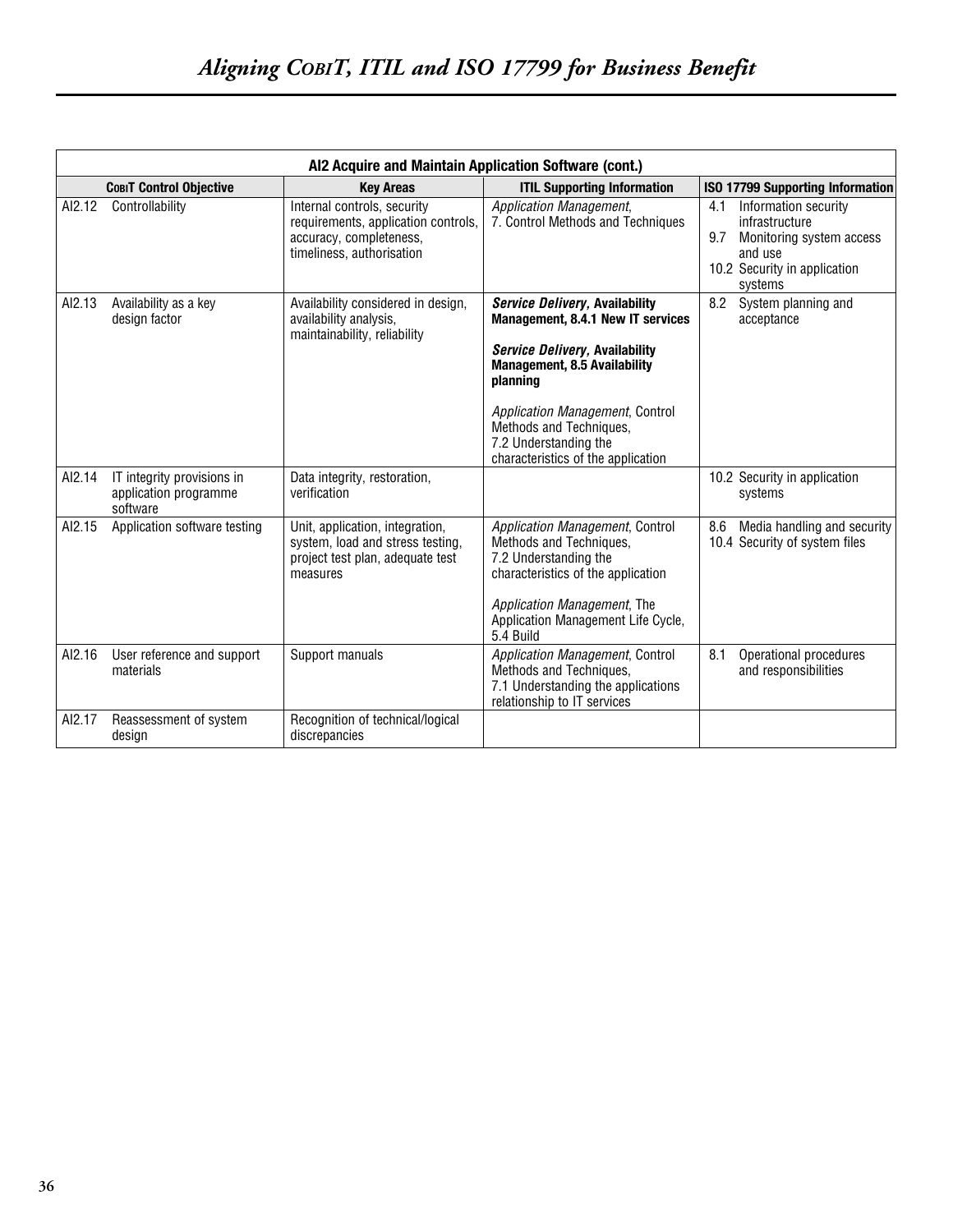|        | AI2 Acquire and Maintain Application Software (cont.)           |                                                                                                                            |                                                                                                                                                                                                                                                                                              |                                                                                                                                        |
|--------|-----------------------------------------------------------------|----------------------------------------------------------------------------------------------------------------------------|----------------------------------------------------------------------------------------------------------------------------------------------------------------------------------------------------------------------------------------------------------------------------------------------|----------------------------------------------------------------------------------------------------------------------------------------|
|        | <b>COBIT Control Objective</b>                                  | <b>Kev Areas</b>                                                                                                           | <b>ITIL Supporting Information</b>                                                                                                                                                                                                                                                           | <b>ISO 17799 Supporting Information</b>                                                                                                |
| AI2.12 | Controllability                                                 | Internal controls, security<br>requirements, application controls,<br>accuracy, completeness,<br>timeliness, authorisation | Application Management,<br>7. Control Methods and Techniques                                                                                                                                                                                                                                 | Information security<br>4.1<br>infrastructure<br>9.7<br>Monitoring system access<br>and use<br>10.2 Security in application<br>systems |
| AI2.13 | Availability as a key<br>design factor                          | Availability considered in design,<br>availability analysis,<br>maintainability, reliability                               | <b>Service Delivery, Availability</b><br>Management, 8.4.1 New IT services<br>Service Delivery, Availability<br><b>Management, 8.5 Availability</b><br>planning<br>Application Management, Control<br>Methods and Techniques,<br>7.2 Understanding the<br>characteristics of the application | System planning and<br>8.2<br>acceptance                                                                                               |
| AI2.14 | IT integrity provisions in<br>application programme<br>software | Data integrity, restoration,<br>verification                                                                               |                                                                                                                                                                                                                                                                                              | 10.2 Security in application<br>systems                                                                                                |
| AI2.15 | Application software testing                                    | Unit, application, integration,<br>system, load and stress testing,<br>project test plan, adequate test<br>measures        | Application Management, Control<br>Methods and Techniques,<br>7.2 Understanding the<br>characteristics of the application<br>Application Management, The<br>Application Management Life Cycle,<br>5.4 Build                                                                                  | 8.6<br>Media handling and security<br>10.4 Security of system files                                                                    |
| AI2.16 | User reference and support<br>materials                         | Support manuals                                                                                                            | Application Management, Control<br>Methods and Techniques,<br>7.1 Understanding the applications<br>relationship to IT services                                                                                                                                                              | 8.1<br>Operational procedures<br>and responsibilities                                                                                  |
| AI2.17 | Reassessment of system<br>design                                | Recognition of technical/logical<br>discrepancies                                                                          |                                                                                                                                                                                                                                                                                              |                                                                                                                                        |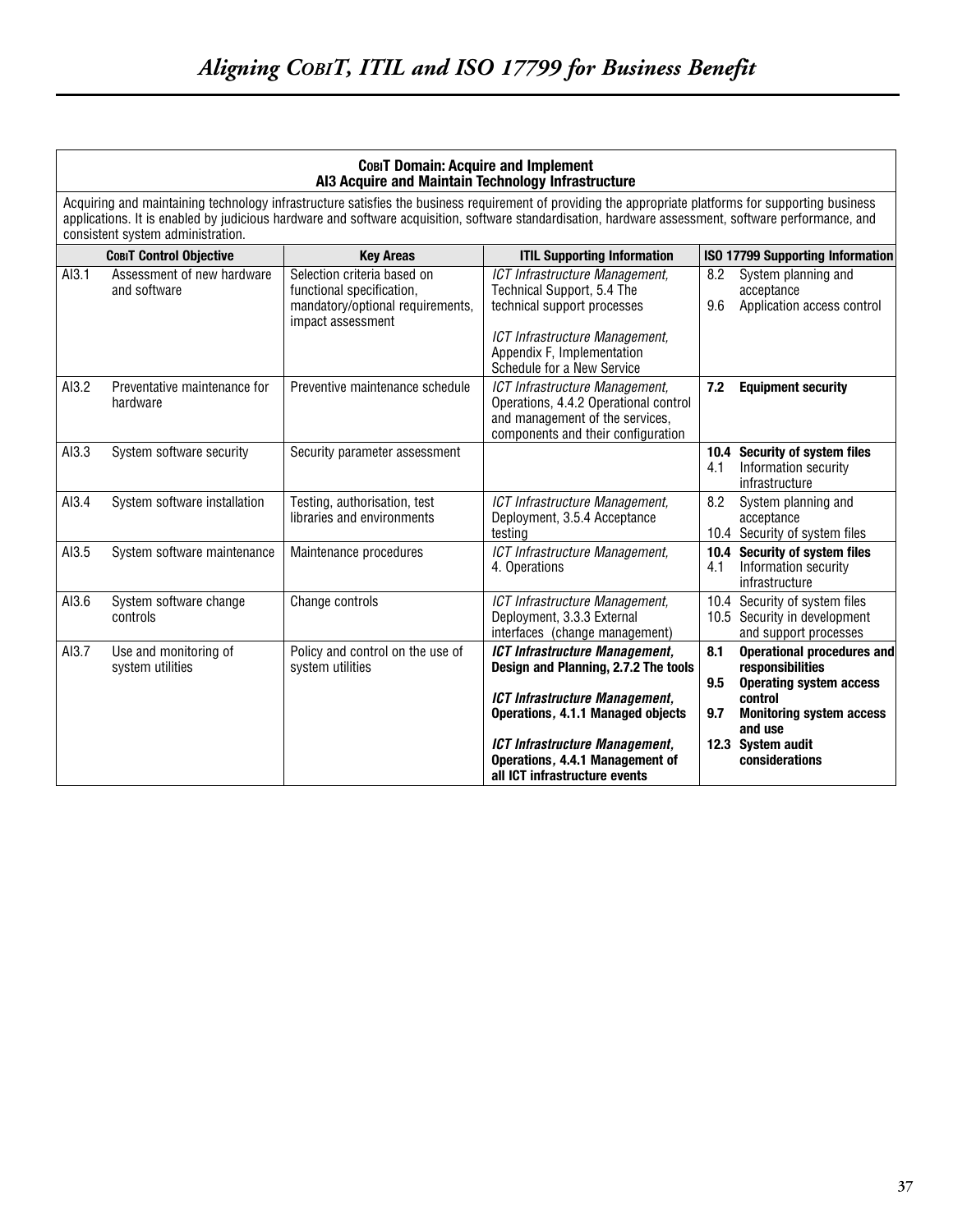| COBIT Domain: Acquire and Implement<br>AI3 Acquire and Maintain Technology Infrastructure |                                                                                                                                                                                                                                                                                                                                                    |                                                                                                                   |                                                                                                                                                  |            |                                                                                         |  |
|-------------------------------------------------------------------------------------------|----------------------------------------------------------------------------------------------------------------------------------------------------------------------------------------------------------------------------------------------------------------------------------------------------------------------------------------------------|-------------------------------------------------------------------------------------------------------------------|--------------------------------------------------------------------------------------------------------------------------------------------------|------------|-----------------------------------------------------------------------------------------|--|
|                                                                                           | Acquiring and maintaining technology infrastructure satisfies the business requirement of providing the appropriate platforms for supporting business<br>applications. It is enabled by judicious hardware and software acquisition, software standardisation, hardware assessment, software performance, and<br>consistent system administration. |                                                                                                                   |                                                                                                                                                  |            |                                                                                         |  |
|                                                                                           | <b>COBIT Control Objective</b>                                                                                                                                                                                                                                                                                                                     | <b>Key Areas</b>                                                                                                  | <b>ITIL Supporting Information</b>                                                                                                               |            | <b>ISO 17799 Supporting Information</b>                                                 |  |
| AI3.1                                                                                     | Assessment of new hardware<br>and software                                                                                                                                                                                                                                                                                                         | Selection criteria based on<br>functional specification,<br>mandatory/optional requirements,<br>impact assessment | ICT Infrastructure Management,<br>Technical Support, 5.4 The<br>technical support processes<br>ICT Infrastructure Management,                    | 8.2<br>9.6 | System planning and<br>acceptance<br>Application access control                         |  |
|                                                                                           |                                                                                                                                                                                                                                                                                                                                                    |                                                                                                                   | Appendix F, Implementation<br>Schedule for a New Service                                                                                         |            |                                                                                         |  |
| AI3.2                                                                                     | Preventative maintenance for<br>hardware                                                                                                                                                                                                                                                                                                           | Preventive maintenance schedule                                                                                   | ICT Infrastructure Management,<br>Operations, 4.4.2 Operational control<br>and management of the services,<br>components and their configuration | 7.2        | <b>Equipment security</b>                                                               |  |
| AI3.3                                                                                     | System software security                                                                                                                                                                                                                                                                                                                           | Security parameter assessment                                                                                     |                                                                                                                                                  | 4.1        | 10.4 Security of system files<br>Information security<br>infrastructure                 |  |
| AI3.4                                                                                     | System software installation                                                                                                                                                                                                                                                                                                                       | Testing, authorisation, test<br>libraries and environments                                                        | ICT Infrastructure Management,<br>Deployment, 3.5.4 Acceptance<br>testing                                                                        | 8.2        | System planning and<br>acceptance<br>10.4 Security of system files                      |  |
| AI3.5                                                                                     | System software maintenance                                                                                                                                                                                                                                                                                                                        | Maintenance procedures                                                                                            | ICT Infrastructure Management,<br>4. Operations                                                                                                  | 4.1        | 10.4 Security of system files<br>Information security<br>infrastructure                 |  |
| AI3.6                                                                                     | System software change<br>controls                                                                                                                                                                                                                                                                                                                 | Change controls                                                                                                   | ICT Infrastructure Management,<br>Deployment, 3.3.3 External<br>interfaces (change management)                                                   |            | 10.4 Security of system files<br>10.5 Security in development<br>and support processes  |  |
| AI3.7                                                                                     | Use and monitoring of<br>system utilities                                                                                                                                                                                                                                                                                                          | Policy and control on the use of<br>system utilities                                                              | <b>ICT Infrastructure Management,</b><br>Design and Planning, 2.7.2 The tools                                                                    | 8.1<br>9.5 | <b>Operational procedures and</b><br>responsibilities<br><b>Operating system access</b> |  |
|                                                                                           |                                                                                                                                                                                                                                                                                                                                                    |                                                                                                                   | <b>ICT Infrastructure Management,</b><br>Operations, 4.1.1 Managed objects                                                                       | 9.7        | control<br><b>Monitoring system access</b><br>and use                                   |  |
|                                                                                           |                                                                                                                                                                                                                                                                                                                                                    |                                                                                                                   | ICT Infrastructure Management,<br>Operations, 4.4.1 Management of<br>all ICT infrastructure events                                               |            | 12.3 System audit<br>considerations                                                     |  |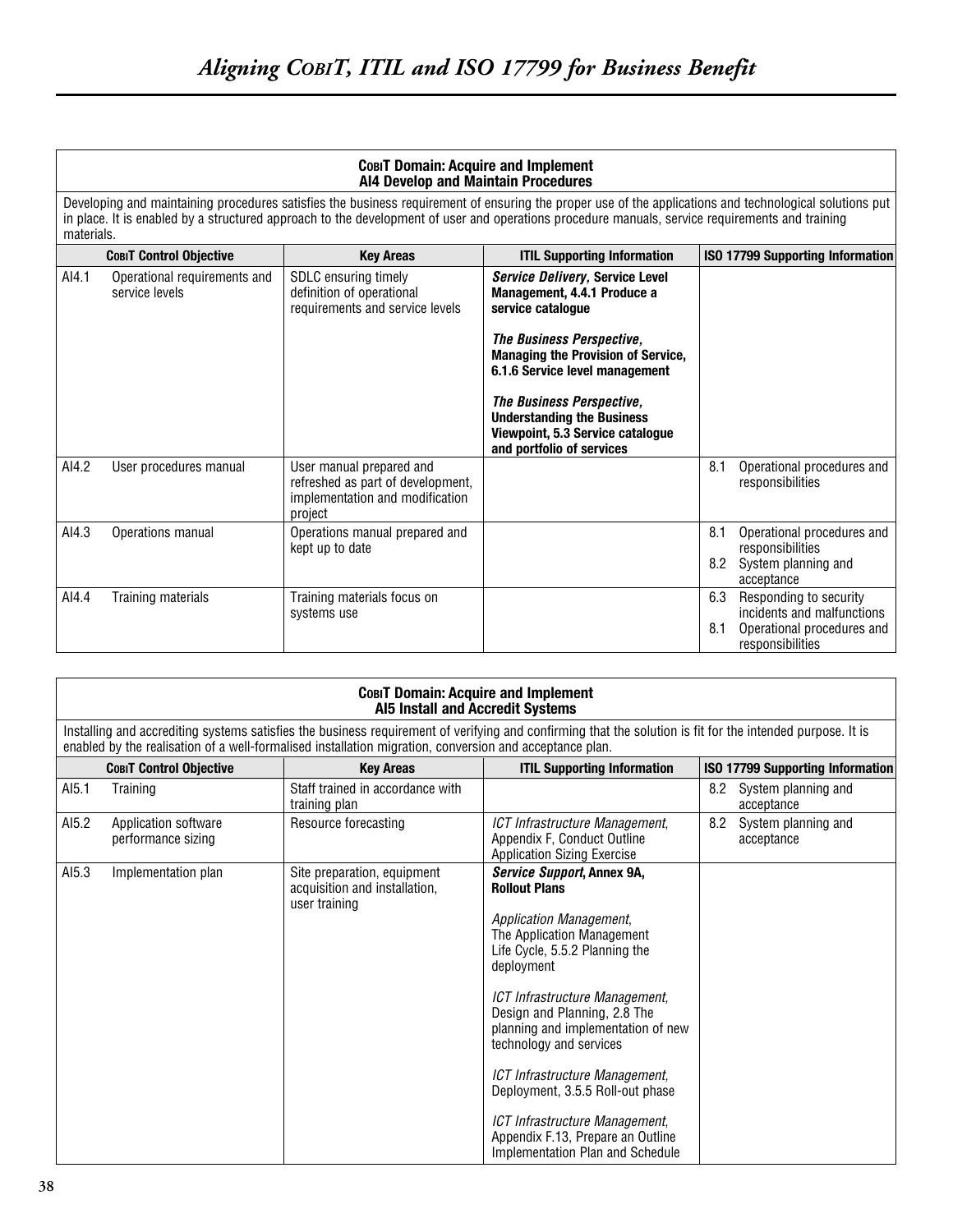#### **COBIT Domain: Acquire and Implement AI4 Develop and Maintain Procedures**

Developing and maintaining procedures satisfies the business requirement of ensuring the proper use of the applications and technological solutions put in place. It is enabled by a structured approach to the development of user and operations procedure manuals, service requirements and training materials.

|       | <b>COBIT Control Objective</b>                 | <b>Key Areas</b>                                                                                            | <b>ITIL Supporting Information</b>                                                                                              |            | <b>ISO 17799 Supporting Information</b>                                                                |
|-------|------------------------------------------------|-------------------------------------------------------------------------------------------------------------|---------------------------------------------------------------------------------------------------------------------------------|------------|--------------------------------------------------------------------------------------------------------|
| AI4.1 | Operational requirements and<br>service levels | <b>SDLC</b> ensuring timely<br>definition of operational<br>requirements and service levels                 | Service Delivery, Service Level<br>Management, 4.4.1 Produce a<br>service catalogue                                             |            |                                                                                                        |
|       |                                                |                                                                                                             | The Business Perspective,<br><b>Managing the Provision of Service,</b><br>6.1.6 Service level management                        |            |                                                                                                        |
|       |                                                |                                                                                                             | The Business Perspective,<br><b>Understanding the Business</b><br>Viewpoint, 5.3 Service catalogue<br>and portfolio of services |            |                                                                                                        |
| AI4.2 | User procedures manual                         | User manual prepared and<br>refreshed as part of development,<br>implementation and modification<br>project |                                                                                                                                 | 8.1        | Operational procedures and<br>responsibilities                                                         |
| AI4.3 | Operations manual                              | Operations manual prepared and<br>kept up to date                                                           |                                                                                                                                 | 8.1<br>8.2 | Operational procedures and<br>responsibilities<br>System planning and<br>acceptance                    |
| AI4.4 | Training materials                             | Training materials focus on<br>systems use                                                                  |                                                                                                                                 | 6.3<br>8.1 | Responding to security<br>incidents and malfunctions<br>Operational procedures and<br>responsibilities |

|       | COBIT Domain: Acquire and Implement<br><b>AI5 Install and Accredit Systems</b> |                                                                                                         |                                                                                                                                                                                                                                                                                                                                                                                                                                                                                        |                                          |  |  |
|-------|--------------------------------------------------------------------------------|---------------------------------------------------------------------------------------------------------|----------------------------------------------------------------------------------------------------------------------------------------------------------------------------------------------------------------------------------------------------------------------------------------------------------------------------------------------------------------------------------------------------------------------------------------------------------------------------------------|------------------------------------------|--|--|
|       |                                                                                | enabled by the realisation of a well-formalised installation migration, conversion and acceptance plan. | Installing and accrediting systems satisfies the business requirement of verifying and confirming that the solution is fit for the intended purpose. It is                                                                                                                                                                                                                                                                                                                             |                                          |  |  |
|       | <b>COBIT Control Objective</b>                                                 | <b>Key Areas</b>                                                                                        | <b>ITIL Supporting Information</b>                                                                                                                                                                                                                                                                                                                                                                                                                                                     | ISO 17799 Supporting Information         |  |  |
| AI5.1 | Training                                                                       | Staff trained in accordance with<br>training plan                                                       |                                                                                                                                                                                                                                                                                                                                                                                                                                                                                        | System planning and<br>8.2<br>acceptance |  |  |
| AI5.2 | Application software<br>performance sizing                                     | Resource forecasting                                                                                    | ICT Infrastructure Management,<br>Appendix F, Conduct Outline<br><b>Application Sizing Exercise</b>                                                                                                                                                                                                                                                                                                                                                                                    | 8.2<br>System planning and<br>acceptance |  |  |
| AI5.3 | Implementation plan                                                            | Site preparation, equipment<br>acquisition and installation,<br>user training                           | Service Support, Annex 9A,<br><b>Rollout Plans</b><br><b>Application Management,</b><br>The Application Management<br>Life Cycle, 5.5.2 Planning the<br>deployment<br>ICT Infrastructure Management,<br>Design and Planning, 2.8 The<br>planning and implementation of new<br>technology and services<br>ICT Infrastructure Management,<br>Deployment, 3.5.5 Roll-out phase<br>ICT Infrastructure Management,<br>Appendix F.13, Prepare an Outline<br>Implementation Plan and Schedule |                                          |  |  |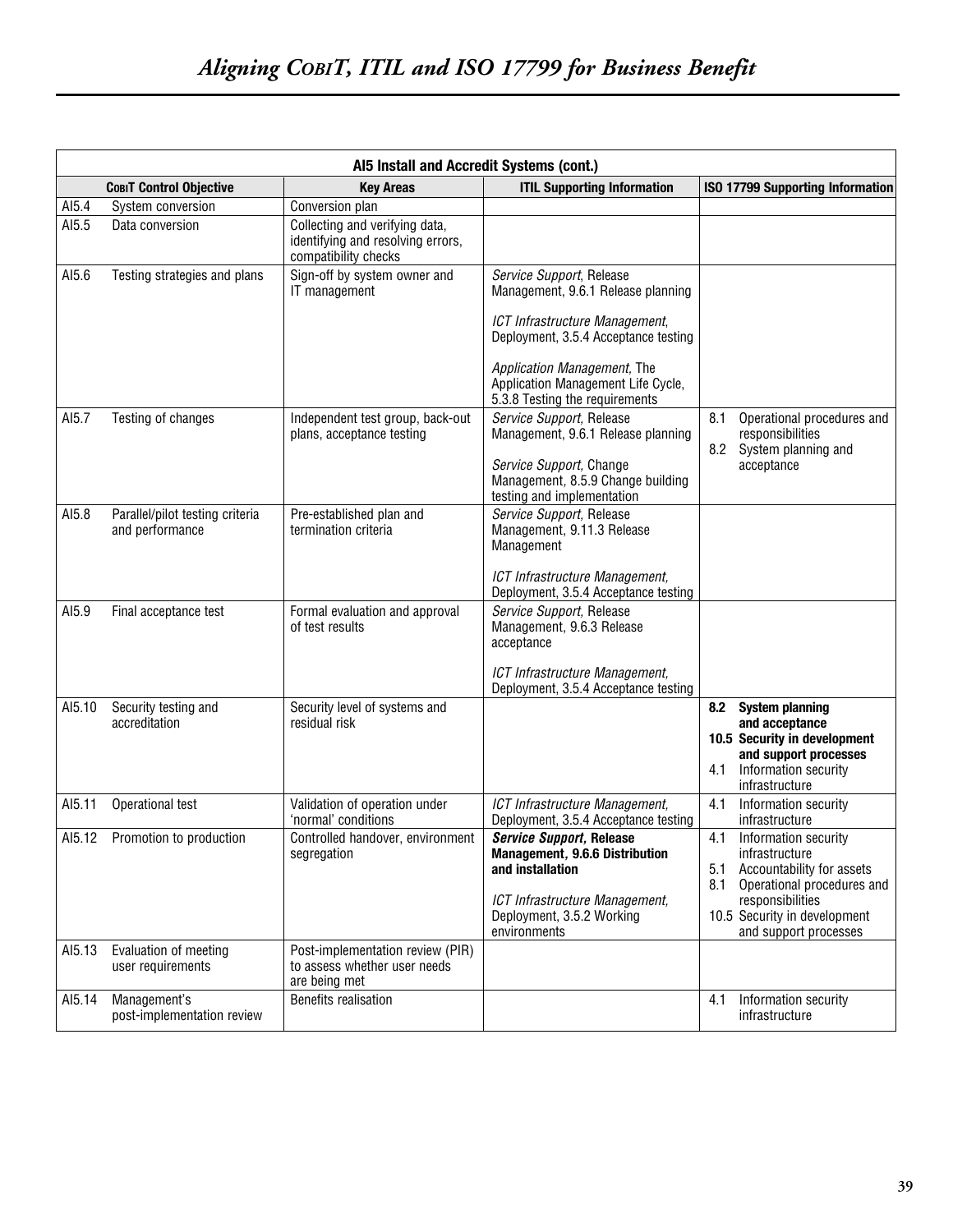|        | Al5 Install and Accredit Systems (cont.)           |                                                                                             |                                                                                                                                                                                                                                                 |                                                                                                                                                                                                     |  |
|--------|----------------------------------------------------|---------------------------------------------------------------------------------------------|-------------------------------------------------------------------------------------------------------------------------------------------------------------------------------------------------------------------------------------------------|-----------------------------------------------------------------------------------------------------------------------------------------------------------------------------------------------------|--|
|        | <b>COBIT Control Objective</b>                     | <b>Key Areas</b>                                                                            | <b>ITIL Supporting Information</b>                                                                                                                                                                                                              | <b>ISO 17799 Supporting Information</b>                                                                                                                                                             |  |
| AI5.4  | System conversion                                  | Conversion plan                                                                             |                                                                                                                                                                                                                                                 |                                                                                                                                                                                                     |  |
| AI5.5  | Data conversion                                    | Collecting and verifying data,<br>identifying and resolving errors,<br>compatibility checks |                                                                                                                                                                                                                                                 |                                                                                                                                                                                                     |  |
| AI5.6  | Testing strategies and plans                       | Sign-off by system owner and<br>IT management                                               | Service Support, Release<br>Management, 9.6.1 Release planning<br>ICT Infrastructure Management,<br>Deployment, 3.5.4 Acceptance testing<br>Application Management, The<br>Application Management Life Cycle,<br>5.3.8 Testing the requirements |                                                                                                                                                                                                     |  |
| AI5.7  | Testing of changes                                 | Independent test group, back-out<br>plans, acceptance testing                               | Service Support, Release<br>Management, 9.6.1 Release planning<br>Service Support, Change<br>Management, 8.5.9 Change building<br>testing and implementation                                                                                    | Operational procedures and<br>8.1<br>responsibilities<br>8.2<br>System planning and<br>acceptance                                                                                                   |  |
| AI5.8  | Parallel/pilot testing criteria<br>and performance | Pre-established plan and<br>termination criteria                                            | Service Support, Release<br>Management, 9.11.3 Release<br>Management<br>ICT Infrastructure Management,<br>Deployment, 3.5.4 Acceptance testing                                                                                                  |                                                                                                                                                                                                     |  |
| AI5.9  | Final acceptance test                              | Formal evaluation and approval<br>of test results                                           | Service Support, Release<br>Management, 9.6.3 Release<br>acceptance<br>ICT Infrastructure Management,<br>Deployment, 3.5.4 Acceptance testing                                                                                                   |                                                                                                                                                                                                     |  |
| AI5.10 | Security testing and<br>accreditation              | Security level of systems and<br>residual risk                                              |                                                                                                                                                                                                                                                 | 8.2 System planning<br>and acceptance<br>10.5 Security in development<br>and support processes<br>4.1<br>Information security<br>infrastructure                                                     |  |
| AI5.11 | Operational test                                   | Validation of operation under<br>'normal' conditions                                        | ICT Infrastructure Management,<br>Deployment, 3.5.4 Acceptance testing                                                                                                                                                                          | Information security<br>4.1<br>infrastructure                                                                                                                                                       |  |
| AI5.12 | Promotion to production                            | Controlled handover, environment<br>segregation                                             | <b>Service Support, Release</b><br>Management, 9.6.6 Distribution<br>and installation<br>ICT Infrastructure Management,<br>Deployment, 3.5.2 Working<br>environments                                                                            | 4.1<br>Information security<br>infrastructure<br>5.1<br>Accountability for assets<br>Operational procedures and<br>8.1<br>responsibilities<br>10.5 Security in development<br>and support processes |  |
| AI5.13 | Evaluation of meeting<br>user requirements         | Post-implementation review (PIR)<br>to assess whether user needs<br>are being met           |                                                                                                                                                                                                                                                 |                                                                                                                                                                                                     |  |
| AI5.14 | Management's<br>post-implementation review         | Benefits realisation                                                                        |                                                                                                                                                                                                                                                 | Information security<br>4.1<br>infrastructure                                                                                                                                                       |  |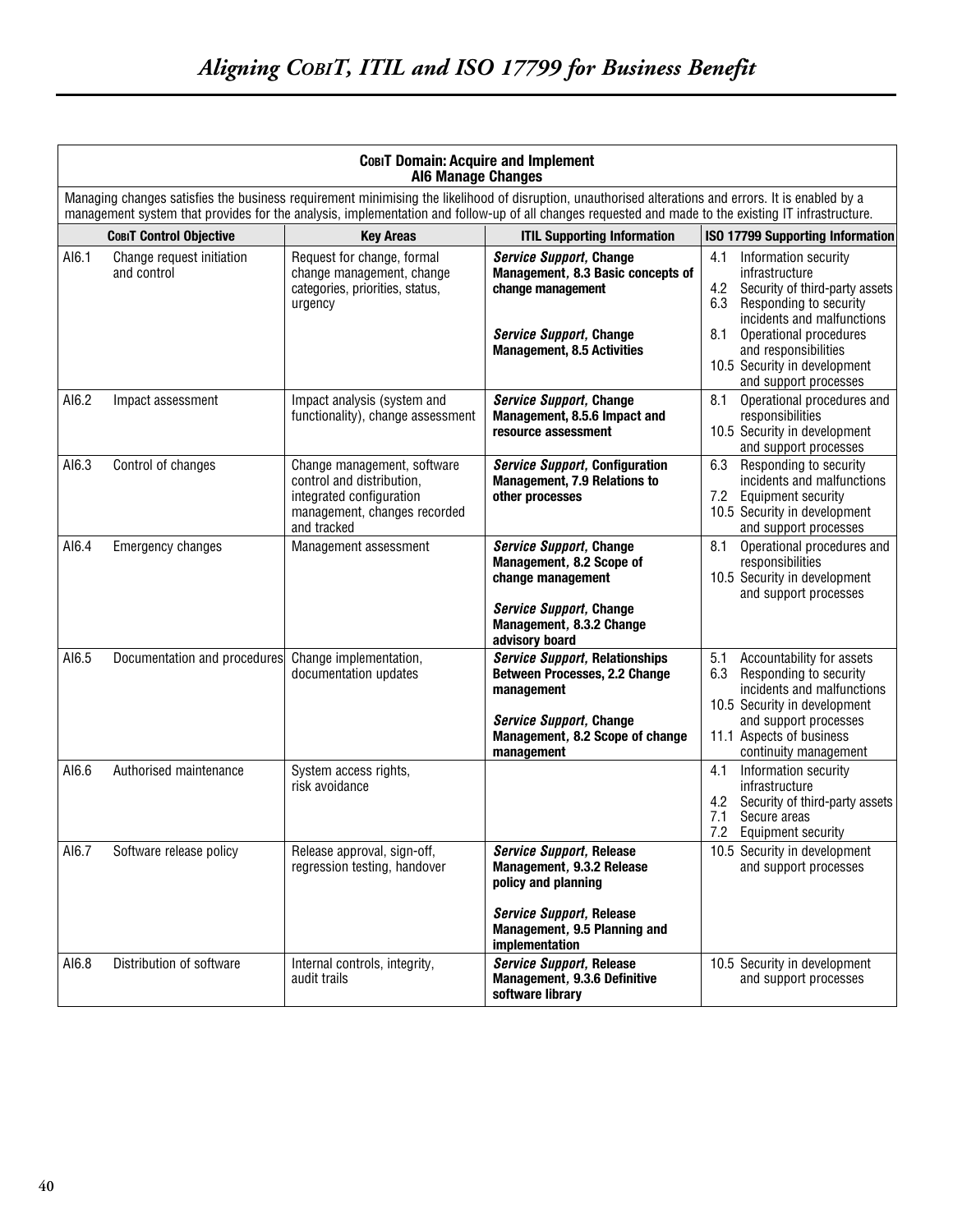|       | COBIT Domain: Acquire and Implement<br><b>Al6 Manage Changes</b> |                                                                                                                                     |                                                                                                                                                                                                                                                                                                             |                                                                                                                                                                                                                                                |  |
|-------|------------------------------------------------------------------|-------------------------------------------------------------------------------------------------------------------------------------|-------------------------------------------------------------------------------------------------------------------------------------------------------------------------------------------------------------------------------------------------------------------------------------------------------------|------------------------------------------------------------------------------------------------------------------------------------------------------------------------------------------------------------------------------------------------|--|
|       |                                                                  |                                                                                                                                     | Managing changes satisfies the business requirement minimising the likelihood of disruption, unauthorised alterations and errors. It is enabled by a<br>management system that provides for the analysis, implementation and follow-up of all changes requested and made to the existing IT infrastructure. |                                                                                                                                                                                                                                                |  |
|       | <b>COBIT Control Objective</b>                                   | <b>Key Areas</b>                                                                                                                    | <b>ITIL Supporting Information</b>                                                                                                                                                                                                                                                                          | <b>ISO 17799 Supporting Information</b>                                                                                                                                                                                                        |  |
| AI6.1 | Change request initiation<br>and control                         | Request for change, formal<br>change management, change<br>categories, priorities, status,<br>urgency                               | Service Support, Change<br>Management, 8.3 Basic concepts of<br>change management<br><b>Service Support, Change</b><br><b>Management, 8.5 Activities</b>                                                                                                                                                    | Information security<br>4.1<br>infrastructure<br>4.2<br>Security of third-party assets<br>6.3<br>Responding to security<br>incidents and malfunctions<br>8.1<br>Operational procedures<br>and responsibilities<br>10.5 Security in development |  |
| AI6.2 | Impact assessment                                                | Impact analysis (system and<br>functionality), change assessment                                                                    | <b>Service Support, Change</b><br>Management, 8.5.6 Impact and<br>resource assessment                                                                                                                                                                                                                       | and support processes<br>8.1<br>Operational procedures and<br>responsibilities<br>10.5 Security in development<br>and support processes                                                                                                        |  |
| AI6.3 | Control of changes                                               | Change management, software<br>control and distribution,<br>integrated configuration<br>management, changes recorded<br>and tracked | <b>Service Support, Configuration</b><br><b>Management, 7.9 Relations to</b><br>other processes                                                                                                                                                                                                             | Responding to security<br>6.3<br>incidents and malfunctions<br>7.2 Equipment security<br>10.5 Security in development<br>and support processes                                                                                                 |  |
| AI6.4 | Emergency changes                                                | Management assessment                                                                                                               | Service Support, Change<br>Management, 8.2 Scope of<br>change management<br>Service Support, Change<br>Management, 8.3.2 Change<br>advisory board                                                                                                                                                           | 8.1<br>Operational procedures and<br>responsibilities<br>10.5 Security in development<br>and support processes                                                                                                                                 |  |
| AI6.5 | Documentation and procedures                                     | Change implementation,<br>documentation updates                                                                                     | <b>Service Support, Relationships</b><br><b>Between Processes, 2.2 Change</b><br>management<br>Service Support, Change<br>Management, 8.2 Scope of change<br>management                                                                                                                                     | 5.1<br>Accountability for assets<br>6.3 Responding to security<br>incidents and malfunctions<br>10.5 Security in development<br>and support processes<br>11.1 Aspects of business<br>continuity management                                     |  |
| AI6.6 | Authorised maintenance                                           | System access rights,<br>risk avoidance                                                                                             |                                                                                                                                                                                                                                                                                                             | Information security<br>4.1<br>infrastructure<br>Security of third-party assets<br>4.2<br>7.1<br>Secure areas<br>7.2<br>Equipment security                                                                                                     |  |
| AI6.7 | Software release policy                                          | Release approval, sign-off,<br>regression testing, handover                                                                         | <b>Service Support, Release</b><br>Management, 9.3.2 Release<br>policy and planning<br><b>Service Support, Release</b><br>Management, 9.5 Planning and<br>implementation                                                                                                                                    | 10.5 Security in development<br>and support processes                                                                                                                                                                                          |  |
| AI6.8 | Distribution of software                                         | Internal controls, integrity,<br>audit trails                                                                                       | <b>Service Support, Release</b><br>Management, 9.3.6 Definitive<br>software library                                                                                                                                                                                                                         | 10.5 Security in development<br>and support processes                                                                                                                                                                                          |  |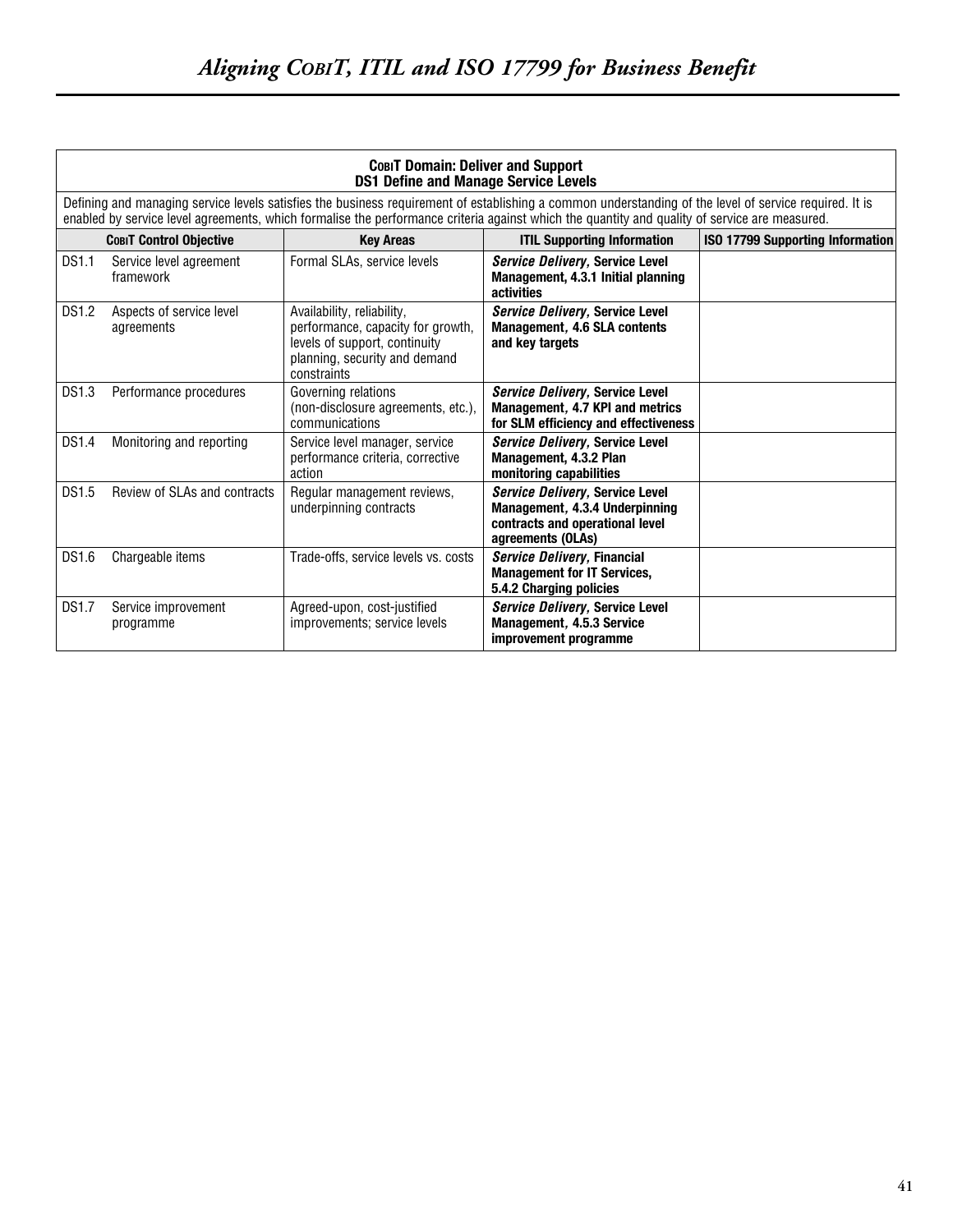|              | COBIT Domain: Deliver and Support<br><b>DS1 Define and Manage Service Levels</b> |                                                                                                                                                  |                                                                                                                                                                                                                                                                                                         |                                         |  |
|--------------|----------------------------------------------------------------------------------|--------------------------------------------------------------------------------------------------------------------------------------------------|---------------------------------------------------------------------------------------------------------------------------------------------------------------------------------------------------------------------------------------------------------------------------------------------------------|-----------------------------------------|--|
|              |                                                                                  |                                                                                                                                                  | Defining and managing service levels satisfies the business requirement of establishing a common understanding of the level of service required. It is<br>enabled by service level agreements, which formalise the performance criteria against which the quantity and quality of service are measured. |                                         |  |
|              | <b>COBIT Control Objective</b>                                                   | <b>Kev Areas</b>                                                                                                                                 | <b>ITIL Supporting Information</b>                                                                                                                                                                                                                                                                      | <b>ISO 17799 Supporting Information</b> |  |
| <b>DS1.1</b> | Service level agreement<br>framework                                             | Formal SLAs, service levels                                                                                                                      | Service Delivery, Service Level<br>Management, 4.3.1 Initial planning<br>activities                                                                                                                                                                                                                     |                                         |  |
| <b>DS1.2</b> | Aspects of service level<br>agreements                                           | Availability, reliability,<br>performance, capacity for growth,<br>levels of support, continuity<br>planning, security and demand<br>constraints | Service Delivery, Service Level<br>Management, 4.6 SLA contents<br>and key targets                                                                                                                                                                                                                      |                                         |  |
| DS1.3        | Performance procedures                                                           | Governing relations<br>(non-disclosure agreements, etc.),<br>communications                                                                      | Service Delivery, Service Level<br>Management, 4.7 KPI and metrics<br>for SLM efficiency and effectiveness                                                                                                                                                                                              |                                         |  |
| <b>DS1.4</b> | Monitoring and reporting                                                         | Service level manager, service<br>performance criteria, corrective<br>action                                                                     | Service Delivery, Service Level<br>Management, 4.3.2 Plan<br>monitoring capabilities                                                                                                                                                                                                                    |                                         |  |
| <b>DS1.5</b> | Review of SLAs and contracts                                                     | Regular management reviews,<br>underpinning contracts                                                                                            | Service Delivery, Service Level<br>Management, 4.3.4 Underpinning<br>contracts and operational level<br>agreements (OLAs)                                                                                                                                                                               |                                         |  |
| DS1.6        | Chargeable items                                                                 | Trade-offs, service levels vs. costs                                                                                                             | Service Delivery, Financial<br><b>Management for IT Services.</b><br>5.4.2 Charging policies                                                                                                                                                                                                            |                                         |  |
| <b>DS1.7</b> | Service improvement<br>programme                                                 | Agreed-upon, cost-justified<br>improvements; service levels                                                                                      | Service Delivery, Service Level<br>Management, 4.5.3 Service<br>improvement programme                                                                                                                                                                                                                   |                                         |  |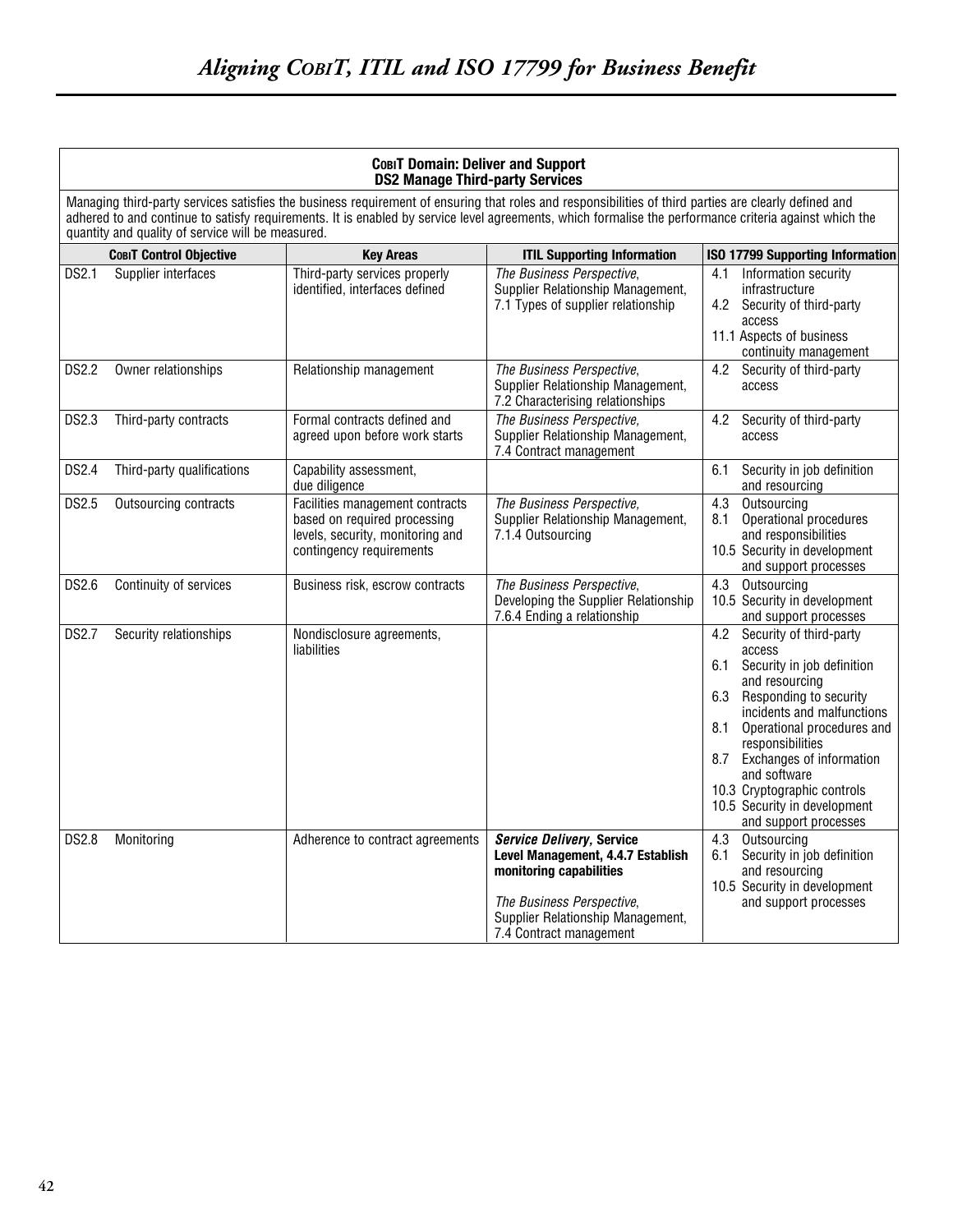|              |                                                                                                                                                                                                                                                                                                                                                                      | COBIT Domain: Deliver and Support<br><b>DS2 Manage Third-party Services</b>                                                     |                                                                                                                                                                                        |                                                                                                                                                                                                                                                                                                                                                                    |  |  |
|--------------|----------------------------------------------------------------------------------------------------------------------------------------------------------------------------------------------------------------------------------------------------------------------------------------------------------------------------------------------------------------------|---------------------------------------------------------------------------------------------------------------------------------|----------------------------------------------------------------------------------------------------------------------------------------------------------------------------------------|--------------------------------------------------------------------------------------------------------------------------------------------------------------------------------------------------------------------------------------------------------------------------------------------------------------------------------------------------------------------|--|--|
|              | Managing third-party services satisfies the business requirement of ensuring that roles and responsibilities of third parties are clearly defined and<br>adhered to and continue to satisfy requirements. It is enabled by service level agreements, which formalise the performance criteria against which the<br>quantity and quality of service will be measured. |                                                                                                                                 |                                                                                                                                                                                        |                                                                                                                                                                                                                                                                                                                                                                    |  |  |
|              | <b>COBIT Control Objective</b>                                                                                                                                                                                                                                                                                                                                       | <b>Key Areas</b>                                                                                                                | <b>ITIL Supporting Information</b>                                                                                                                                                     | ISO 17799 Supporting Information                                                                                                                                                                                                                                                                                                                                   |  |  |
| DS2.1        | Supplier interfaces                                                                                                                                                                                                                                                                                                                                                  | Third-party services properly<br>identified, interfaces defined                                                                 | The Business Perspective,<br>Supplier Relationship Management,<br>7.1 Types of supplier relationship                                                                                   | Information security<br>4.1<br>infrastructure<br>4.2<br>Security of third-party<br>access<br>11.1 Aspects of business<br>continuity management                                                                                                                                                                                                                     |  |  |
| <b>DS2.2</b> | Owner relationships                                                                                                                                                                                                                                                                                                                                                  | Relationship management                                                                                                         | The Business Perspective,<br>Supplier Relationship Management,<br>7.2 Characterising relationships                                                                                     | 4.2<br>Security of third-party<br>access                                                                                                                                                                                                                                                                                                                           |  |  |
| <b>DS2.3</b> | Third-party contracts                                                                                                                                                                                                                                                                                                                                                | Formal contracts defined and<br>agreed upon before work starts                                                                  | The Business Perspective,<br>Supplier Relationship Management,<br>7.4 Contract management                                                                                              | 4.2<br>Security of third-party<br>access                                                                                                                                                                                                                                                                                                                           |  |  |
| <b>DS2.4</b> | Third-party qualifications                                                                                                                                                                                                                                                                                                                                           | Capability assessment,<br>due diligence                                                                                         |                                                                                                                                                                                        | 6.1<br>Security in job definition<br>and resourcing                                                                                                                                                                                                                                                                                                                |  |  |
| DS2.5        | Outsourcing contracts                                                                                                                                                                                                                                                                                                                                                | Facilities management contracts<br>based on required processing<br>levels, security, monitoring and<br>contingency requirements | The Business Perspective,<br>Supplier Relationship Management,<br>7.1.4 Outsourcing                                                                                                    | 4.3<br>Outsourcing<br>Operational procedures<br>8.1<br>and responsibilities<br>10.5 Security in development<br>and support processes                                                                                                                                                                                                                               |  |  |
| <b>DS2.6</b> | Continuity of services                                                                                                                                                                                                                                                                                                                                               | Business risk, escrow contracts                                                                                                 | The Business Perspective,<br>Developing the Supplier Relationship<br>7.6.4 Ending a relationship                                                                                       | Outsourcing<br>4.3<br>10.5 Security in development<br>and support processes                                                                                                                                                                                                                                                                                        |  |  |
| <b>DS2.7</b> | Security relationships                                                                                                                                                                                                                                                                                                                                               | Nondisclosure agreements,<br>liabilities                                                                                        |                                                                                                                                                                                        | 4.2<br>Security of third-party<br>access<br>6.1<br>Security in job definition<br>and resourcing<br>6.3<br>Responding to security<br>incidents and malfunctions<br>8.1<br>Operational procedures and<br>responsibilities<br>Exchanges of information<br>8.7<br>and software<br>10.3 Cryptographic controls<br>10.5 Security in development<br>and support processes |  |  |
| <b>DS2.8</b> | Monitoring                                                                                                                                                                                                                                                                                                                                                           | Adherence to contract agreements                                                                                                | Service Delivery, Service<br>Level Management, 4.4.7 Establish<br>monitoring capabilities<br>The Business Perspective,<br>Supplier Relationship Management,<br>7.4 Contract management | 4.3<br>Outsourcing<br>Security in job definition<br>6.1<br>and resourcing<br>10.5 Security in development<br>and support processes                                                                                                                                                                                                                                 |  |  |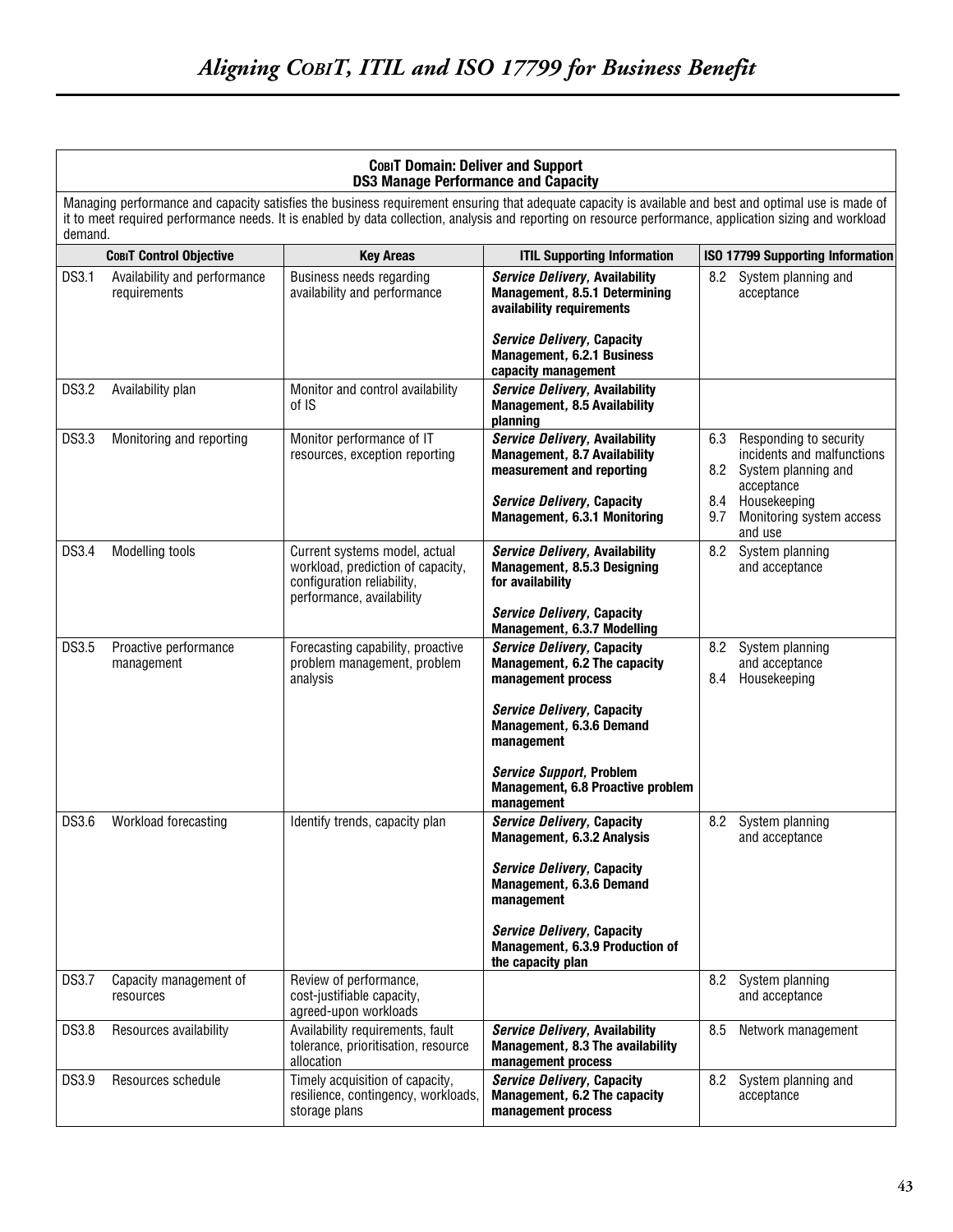|              |                                              | COBIT Domain: Deliver and Support<br><b>DS3 Manage Performance and Capacity</b>                                               |                                                                                                                                                                                                                                                                                                                   |                                                                                                                                                                   |
|--------------|----------------------------------------------|-------------------------------------------------------------------------------------------------------------------------------|-------------------------------------------------------------------------------------------------------------------------------------------------------------------------------------------------------------------------------------------------------------------------------------------------------------------|-------------------------------------------------------------------------------------------------------------------------------------------------------------------|
| demand.      |                                              |                                                                                                                               | Managing performance and capacity satisfies the business requirement ensuring that adequate capacity is available and best and optimal use is made of<br>it to meet required performance needs. It is enabled by data collection, analysis and reporting on resource performance, application sizing and workload |                                                                                                                                                                   |
|              | <b>COBIT Control Objective</b>               | <b>Key Areas</b>                                                                                                              | <b>ITIL Supporting Information</b>                                                                                                                                                                                                                                                                                | <b>ISO 17799 Supporting Information</b>                                                                                                                           |
| DS3.1        | Availability and performance<br>requirements | Business needs regarding<br>availability and performance                                                                      | Service Delivery, Availability<br>Management, 8.5.1 Determining<br>availability requirements<br><b>Service Delivery, Capacity</b><br>Management, 6.2.1 Business<br>capacity management                                                                                                                            | 8.2 System planning and<br>acceptance                                                                                                                             |
| <b>DS3.2</b> | Availability plan                            | Monitor and control availability<br>of IS                                                                                     | Service Delivery, Availability<br>Management, 8.5 Availability<br>planning                                                                                                                                                                                                                                        |                                                                                                                                                                   |
| DS3.3        | Monitoring and reporting                     | Monitor performance of IT<br>resources, exception reporting                                                                   | <b>Service Delivery, Availability</b><br>Management, 8.7 Availability<br>measurement and reporting<br><b>Service Delivery, Capacity</b><br>Management, 6.3.1 Monitoring                                                                                                                                           | 6.3<br>Responding to security<br>incidents and malfunctions<br>System planning and<br>8.2<br>acceptance<br>Housekeeping<br>8.4<br>Monitoring system access<br>9.7 |
| DS3.4        | Modelling tools                              | Current systems model, actual<br>workload, prediction of capacity,<br>configuration reliability,<br>performance, availability | <b>Service Delivery, Availability</b><br>Management, 8.5.3 Designing<br>for availability<br><b>Service Delivery, Capacity</b><br>Management, 6.3.7 Modelling                                                                                                                                                      | and use<br>8.2<br>System planning<br>and acceptance                                                                                                               |
| DS3.5        | Proactive performance<br>management          | Forecasting capability, proactive<br>problem management, problem<br>analysis                                                  | <b>Service Delivery, Capacity</b><br>Management, 6.2 The capacity<br>management process<br><b>Service Delivery, Capacity</b><br>Management, 6.3.6 Demand<br>management<br>Service Support, Problem<br>Management, 6.8 Proactive problem<br>management                                                             | 8.2<br>System planning<br>and acceptance<br>8.4<br>Housekeeping                                                                                                   |
| DS3.6        | Workload forecasting                         | Identify trends, capacity plan                                                                                                | <b>Service Delivery, Capacity</b><br>Management, 6.3.2 Analysis<br><b>Service Delivery, Capacity</b><br>Management, 6.3.6 Demand<br>management<br><b>Service Delivery, Capacity</b><br>Management, 6.3.9 Production of<br>the capacity plan                                                                       | 8.2<br>System planning<br>and acceptance                                                                                                                          |
| DS3.7        | Capacity management of<br>resources          | Review of performance,<br>cost-justifiable capacity,<br>agreed-upon workloads                                                 |                                                                                                                                                                                                                                                                                                                   | 8.2<br>System planning<br>and acceptance                                                                                                                          |
| DS3.8        | Resources availability                       | Availability requirements, fault<br>tolerance, prioritisation, resource<br>allocation                                         | Service Delivery, Availability<br>Management, 8.3 The availability<br>management process                                                                                                                                                                                                                          | 8.5<br>Network management                                                                                                                                         |
| DS3.9        | Resources schedule                           | Timely acquisition of capacity,<br>resilience, contingency, workloads,<br>storage plans                                       | <b>Service Delivery, Capacity</b><br>Management, 6.2 The capacity<br>management process                                                                                                                                                                                                                           | 8.2<br>System planning and<br>acceptance                                                                                                                          |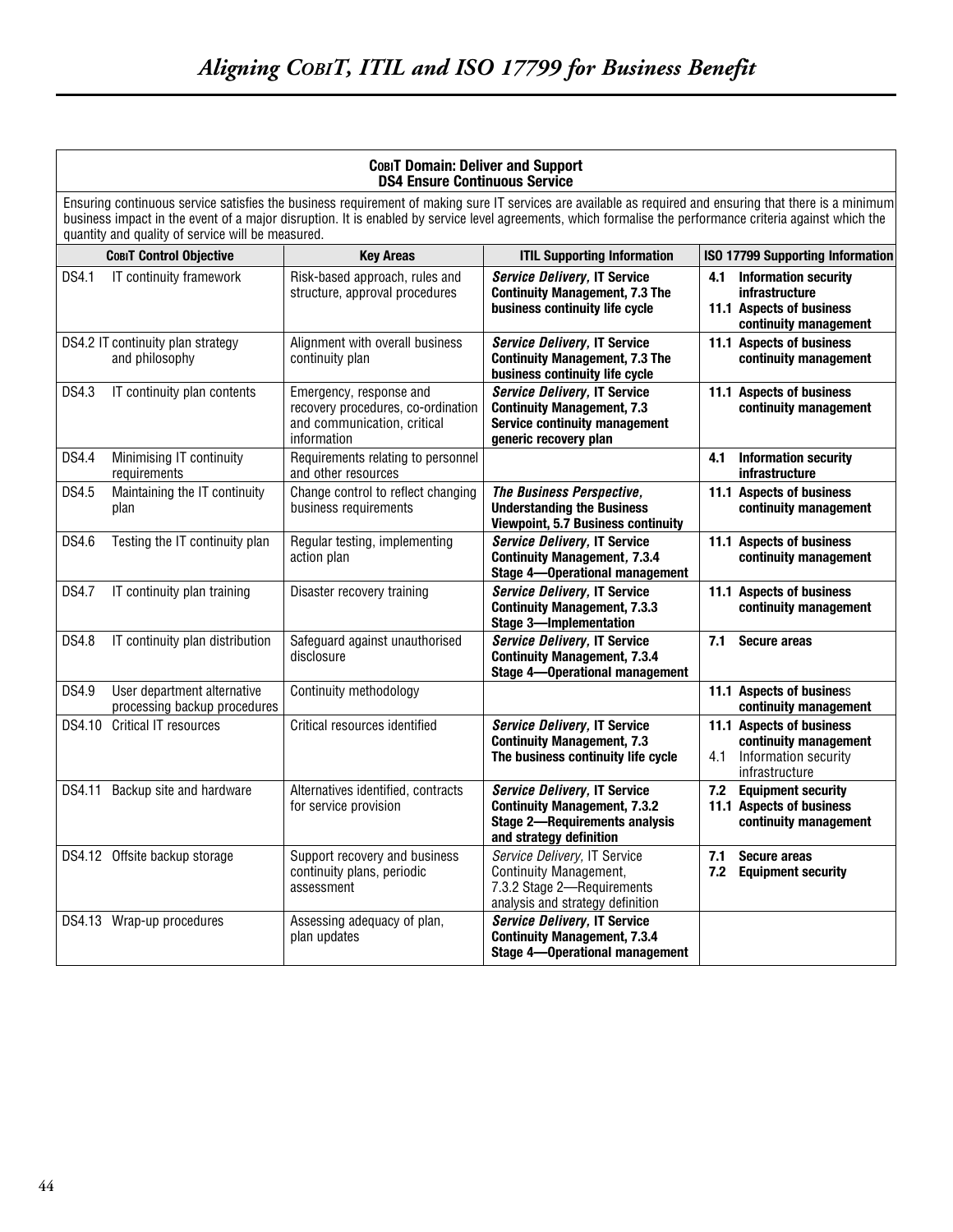| COBIT Domain: Deliver and Support<br><b>DS4 Ensure Continuous Service</b> |                                                                                                                                                                                                                                                                                                                                                                            |                                                                                                             |                                                                                                                                        |            |                                                                                                    |  |
|---------------------------------------------------------------------------|----------------------------------------------------------------------------------------------------------------------------------------------------------------------------------------------------------------------------------------------------------------------------------------------------------------------------------------------------------------------------|-------------------------------------------------------------------------------------------------------------|----------------------------------------------------------------------------------------------------------------------------------------|------------|----------------------------------------------------------------------------------------------------|--|
|                                                                           | Ensuring continuous service satisfies the business requirement of making sure IT services are available as required and ensuring that there is a minimum<br>business impact in the event of a major disruption. It is enabled by service level agreements, which formalise the performance criteria against which the<br>quantity and quality of service will be measured. |                                                                                                             |                                                                                                                                        |            |                                                                                                    |  |
|                                                                           | <b>COBIT Control Objective</b>                                                                                                                                                                                                                                                                                                                                             | <b>Key Areas</b>                                                                                            | <b>ITIL Supporting Information</b>                                                                                                     |            | ISO 17799 Supporting Information                                                                   |  |
| DS4.1                                                                     | IT continuity framework                                                                                                                                                                                                                                                                                                                                                    | Risk-based approach, rules and<br>structure, approval procedures                                            | Service Delivery, IT Service<br><b>Continuity Management, 7.3 The</b><br>business continuity life cycle                                | 4.1        | <b>Information security</b><br>infrastructure<br>11.1 Aspects of business<br>continuity management |  |
|                                                                           | DS4.2 IT continuity plan strategy<br>and philosophy                                                                                                                                                                                                                                                                                                                        | Alignment with overall business<br>continuity plan                                                          | Service Delivery, IT Service<br><b>Continuity Management, 7.3 The</b><br>business continuity life cycle                                |            | 11.1 Aspects of business<br>continuity management                                                  |  |
| DS4.3                                                                     | IT continuity plan contents                                                                                                                                                                                                                                                                                                                                                | Emergency, response and<br>recovery procedures, co-ordination<br>and communication, critical<br>information | Service Delivery, IT Service<br><b>Continuity Management, 7.3</b><br><b>Service continuity management</b><br>generic recovery plan     |            | 11.1 Aspects of business<br>continuity management                                                  |  |
| <b>DS4.4</b>                                                              | Minimising IT continuity<br>requirements                                                                                                                                                                                                                                                                                                                                   | Requirements relating to personnel<br>and other resources                                                   |                                                                                                                                        | 4.1        | <b>Information security</b><br><b>infrastructure</b>                                               |  |
| DS4.5                                                                     | Maintaining the IT continuity<br>plan                                                                                                                                                                                                                                                                                                                                      | Change control to reflect changing<br>business requirements                                                 | The Business Perspective,<br><b>Understanding the Business</b><br>Viewpoint, 5.7 Business continuity                                   |            | 11.1 Aspects of business<br>continuity management                                                  |  |
| DS4.6                                                                     | Testing the IT continuity plan                                                                                                                                                                                                                                                                                                                                             | Regular testing, implementing<br>action plan                                                                | Service Delivery, IT Service<br><b>Continuity Management, 7.3.4</b><br><b>Stage 4-Operational management</b>                           |            | 11.1 Aspects of business<br>continuity management                                                  |  |
| <b>DS4.7</b>                                                              | IT continuity plan training                                                                                                                                                                                                                                                                                                                                                | Disaster recovery training                                                                                  | Service Delivery, IT Service<br><b>Continuity Management, 7.3.3</b><br><b>Stage 3-Implementation</b>                                   |            | 11.1 Aspects of business<br>continuity management                                                  |  |
| <b>DS4.8</b>                                                              | IT continuity plan distribution                                                                                                                                                                                                                                                                                                                                            | Safeguard against unauthorised<br>disclosure                                                                | Service Delivery, IT Service<br><b>Continuity Management, 7.3.4</b><br><b>Stage 4-Operational management</b>                           | 7.1        | Secure areas                                                                                       |  |
| DS4.9                                                                     | User department alternative<br>processing backup procedures                                                                                                                                                                                                                                                                                                                | Continuity methodology                                                                                      |                                                                                                                                        |            | 11.1 Aspects of business<br>continuity management                                                  |  |
| DS4.10                                                                    | <b>Critical IT resources</b>                                                                                                                                                                                                                                                                                                                                               | Critical resources identified                                                                               | Service Delivery, IT Service<br><b>Continuity Management, 7.3</b><br>The business continuity life cycle                                | 4.1        | 11.1 Aspects of business<br>continuity management<br>Information security<br>infrastructure        |  |
| DS4.11                                                                    | Backup site and hardware                                                                                                                                                                                                                                                                                                                                                   | Alternatives identified, contracts<br>for service provision                                                 | Service Delivery, IT Service<br><b>Continuity Management, 7.3.2</b><br><b>Stage 2-Requirements analysis</b><br>and strategy definition | 7.2        | <b>Equipment security</b><br>11.1 Aspects of business<br>continuity management                     |  |
|                                                                           | DS4.12 Offsite backup storage                                                                                                                                                                                                                                                                                                                                              | Support recovery and business<br>continuity plans, periodic<br>assessment                                   | Service Delivery, IT Service<br>Continuity Management,<br>7.3.2 Stage 2-Requirements<br>analysis and strategy definition               | 7.1<br>7.2 | <b>Secure areas</b><br><b>Equipment security</b>                                                   |  |
|                                                                           | DS4.13 Wrap-up procedures                                                                                                                                                                                                                                                                                                                                                  | Assessing adequacy of plan,<br>plan updates                                                                 | Service Delivery, IT Service<br><b>Continuity Management, 7.3.4</b><br><b>Stage 4-Operational management</b>                           |            |                                                                                                    |  |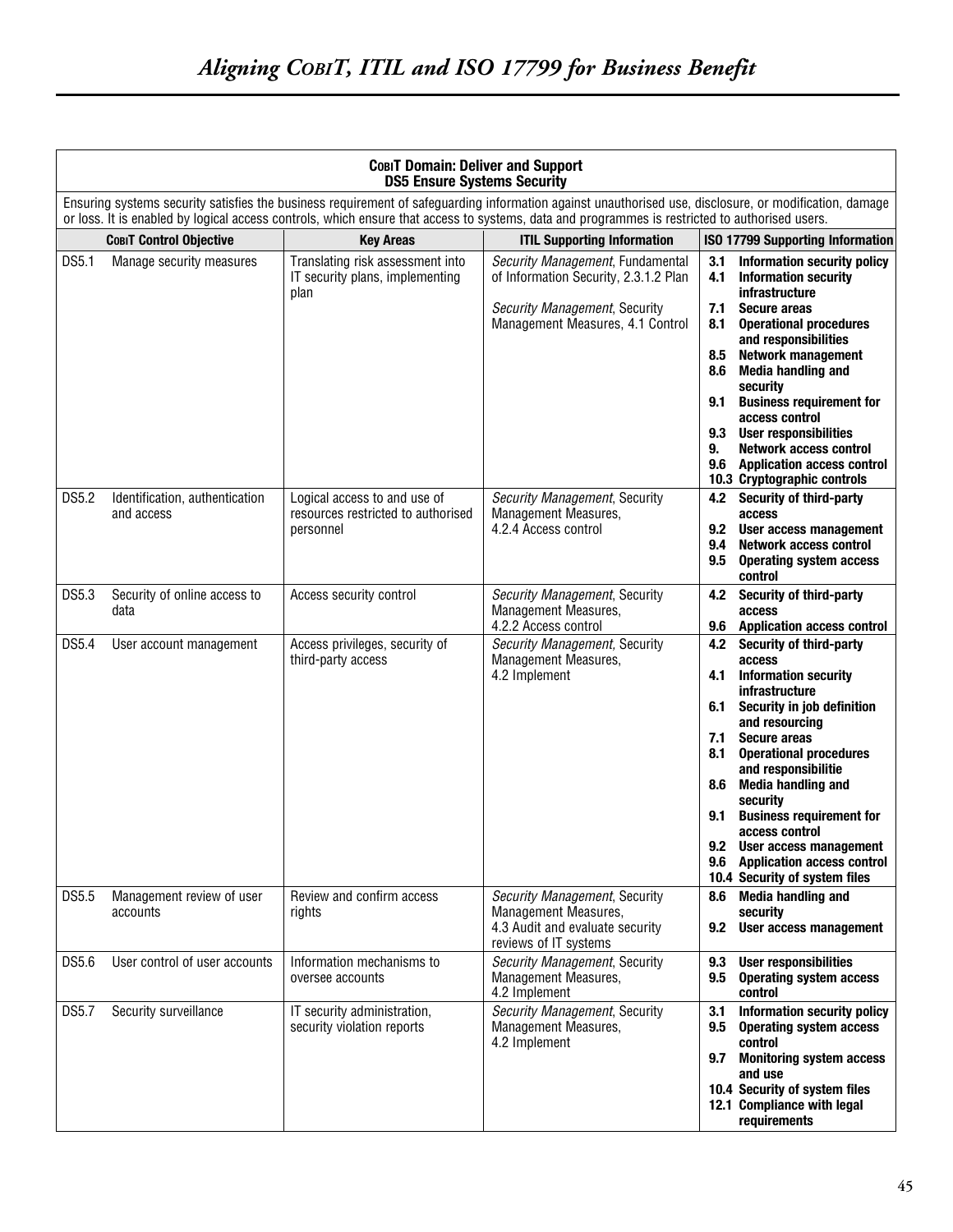|       | <b>СовіТ Domain: Deliver and Support</b><br><b>DS5 Ensure Systems Security</b> |                                                                                 |                                                                                                                                                                                                                                                                                                          |                                                                                                                                                                                                                                                                                                                                                                                                                                                                                      |  |
|-------|--------------------------------------------------------------------------------|---------------------------------------------------------------------------------|----------------------------------------------------------------------------------------------------------------------------------------------------------------------------------------------------------------------------------------------------------------------------------------------------------|--------------------------------------------------------------------------------------------------------------------------------------------------------------------------------------------------------------------------------------------------------------------------------------------------------------------------------------------------------------------------------------------------------------------------------------------------------------------------------------|--|
|       |                                                                                |                                                                                 | Ensuring systems security satisfies the business requirement of safeguarding information against unauthorised use, disclosure, or modification, damage<br>or loss. It is enabled by logical access controls, which ensure that access to systems, data and programmes is restricted to authorised users. |                                                                                                                                                                                                                                                                                                                                                                                                                                                                                      |  |
|       | <b>COBIT Control Objective</b>                                                 | <b>Key Areas</b>                                                                | <b>ITIL Supporting Information</b>                                                                                                                                                                                                                                                                       | <b>ISO 17799 Supporting Information</b>                                                                                                                                                                                                                                                                                                                                                                                                                                              |  |
| DS5.1 | Manage security measures                                                       | Translating risk assessment into<br>IT security plans, implementing<br>plan     | Security Management, Fundamental<br>of Information Security, 2.3.1.2 Plan<br>Security Management, Security<br>Management Measures, 4.1 Control                                                                                                                                                           | <b>Information security policy</b><br>3.1<br><b>Information security</b><br>4.1<br>infrastructure<br>7.1<br><b>Secure areas</b><br><b>Operational procedures</b><br>8.1<br>and responsibilities<br><b>Network management</b><br>8.5<br>8.6<br><b>Media handling and</b><br>security<br><b>Business requirement for</b><br>9.1<br>access control<br>9.3 User responsibilities<br><b>Network access control</b><br>9.<br>9.6 Application access control<br>10.3 Cryptographic controls |  |
| DS5.2 | Identification, authentication<br>and access                                   | Logical access to and use of<br>resources restricted to authorised<br>personnel | Security Management, Security<br>Management Measures,<br>4.2.4 Access control                                                                                                                                                                                                                            | 4.2 Security of third-party<br>access<br>9.2<br>User access management<br><b>Network access control</b><br>9.4<br>9.5<br><b>Operating system access</b><br>control                                                                                                                                                                                                                                                                                                                   |  |
| DS5.3 | Security of online access to<br>data                                           | Access security control                                                         | Security Management, Security<br>Management Measures,<br>4.2.2 Access control                                                                                                                                                                                                                            | <b>Security of third-party</b><br>4.2<br>access<br><b>Application access control</b><br>9.6                                                                                                                                                                                                                                                                                                                                                                                          |  |
| DS5.4 | User account management                                                        | Access privileges, security of<br>third-party access                            | Security Management, Security<br>Management Measures,<br>4.2 Implement                                                                                                                                                                                                                                   | Security of third-party<br>4.2<br>access<br><b>Information security</b><br>4.1<br><b>infrastructure</b><br>Security in job definition<br>6.1<br>and resourcing<br>7.1<br><b>Secure areas</b><br>8.1<br><b>Operational procedures</b><br>and responsibilitie<br><b>Media handling and</b><br>8.6<br>security<br><b>Business requirement for</b><br>9.1<br>access control<br>9.2 User access management<br>9.6 Application access control<br>10.4 Security of system files             |  |
| DS5.5 | Management review of user<br>accounts                                          | Review and confirm access<br>rights                                             | Security Management, Security<br>Management Measures,<br>4.3 Audit and evaluate security<br>reviews of IT systems                                                                                                                                                                                        | <b>Media handling and</b><br>8.6<br>security<br>9.2<br>User access management                                                                                                                                                                                                                                                                                                                                                                                                        |  |
| DS5.6 | User control of user accounts                                                  | Information mechanisms to<br>oversee accounts                                   | Security Management, Security<br>Management Measures,<br>4.2 Implement                                                                                                                                                                                                                                   | <b>User responsibilities</b><br>9.3<br>9.5<br><b>Operating system access</b><br>control                                                                                                                                                                                                                                                                                                                                                                                              |  |
| DS5.7 | Security surveillance                                                          | IT security administration,<br>security violation reports                       | Security Management, Security<br>Management Measures,<br>4.2 Implement                                                                                                                                                                                                                                   | <b>Information security policy</b><br>3.1<br><b>Operating system access</b><br>9.5<br>control<br><b>Monitoring system access</b><br>9.7<br>and use<br>10.4 Security of system files<br>12.1 Compliance with legal<br>requirements                                                                                                                                                                                                                                                    |  |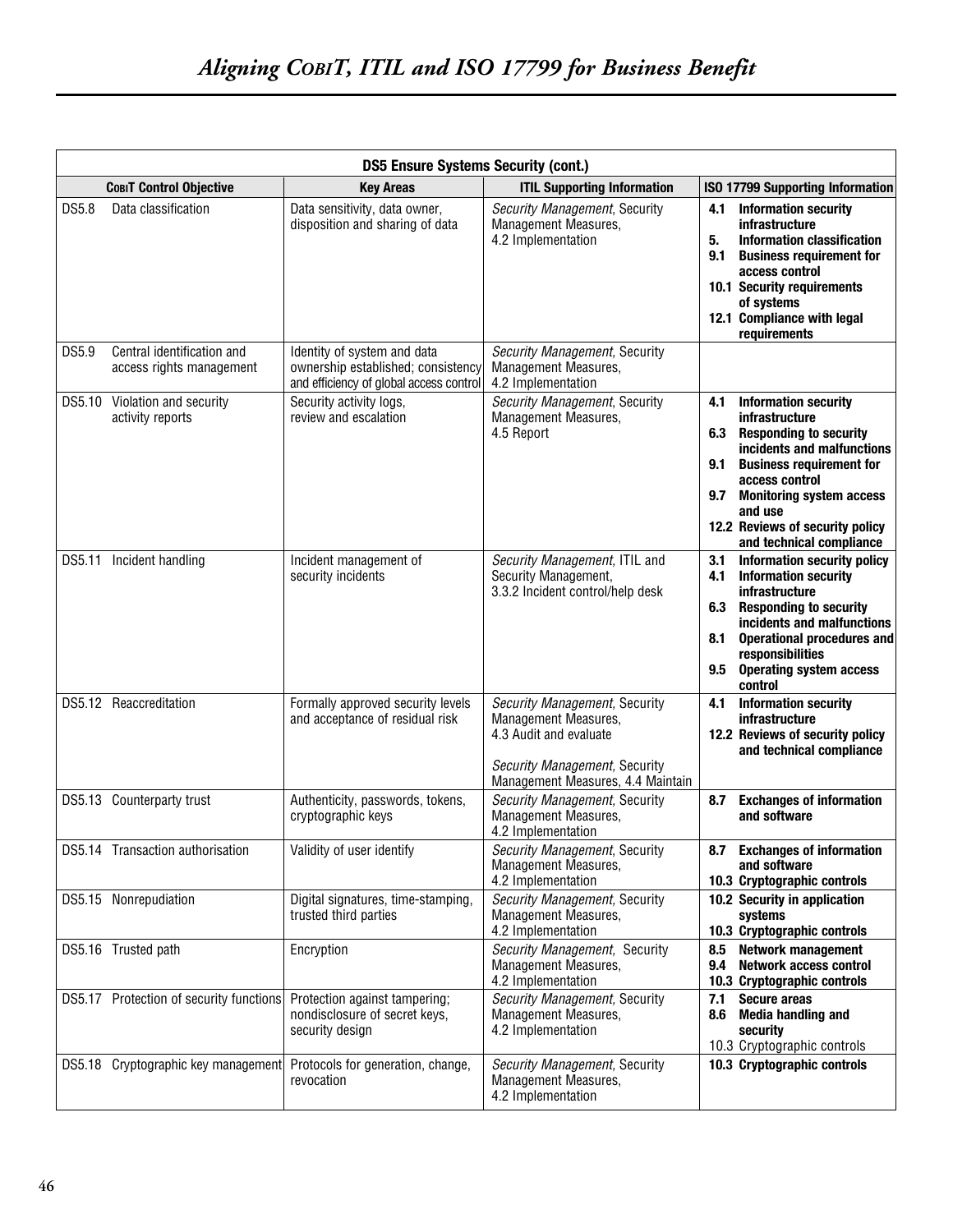|        | <b>DS5 Ensure Systems Security (cont.)</b>             |                                                                                                              |                                                                                                                                                       |                                                                                                                                                                                                                                                                                                            |  |
|--------|--------------------------------------------------------|--------------------------------------------------------------------------------------------------------------|-------------------------------------------------------------------------------------------------------------------------------------------------------|------------------------------------------------------------------------------------------------------------------------------------------------------------------------------------------------------------------------------------------------------------------------------------------------------------|--|
|        | <b>COBIT Control Objective</b>                         | <b>Key Areas</b>                                                                                             | <b>ITIL Supporting Information</b>                                                                                                                    | <b>ISO 17799 Supporting Information</b>                                                                                                                                                                                                                                                                    |  |
| DS5.8  | Data classification                                    | Data sensitivity, data owner,<br>disposition and sharing of data                                             | Security Management, Security<br>Management Measures,<br>4.2 Implementation                                                                           | <b>Information security</b><br>4.1<br>infrastructure<br>5.<br><b>Information classification</b><br>9.1<br><b>Business requirement for</b><br>access control<br>10.1 Security requirements<br>of systems<br>12.1 Compliance with legal<br>requirements                                                      |  |
| DS5.9  | Central identification and<br>access rights management | Identity of system and data<br>ownership established; consistency<br>and efficiency of global access control | Security Management, Security<br><b>Management Measures,</b><br>4.2 Implementation                                                                    |                                                                                                                                                                                                                                                                                                            |  |
|        | DS5.10 Violation and security<br>activity reports      | Security activity logs,<br>review and escalation                                                             | Security Management, Security<br>Management Measures,<br>4.5 Report                                                                                   | <b>Information security</b><br>4.1<br>infrastructure<br>6.3<br><b>Responding to security</b><br>incidents and malfunctions<br><b>Business requirement for</b><br>9.1<br>access control<br>9.7<br><b>Monitoring system access</b><br>and use<br>12.2 Reviews of security policy<br>and technical compliance |  |
| DS5.11 | Incident handling                                      | Incident management of<br>security incidents                                                                 | Security Management, ITIL and<br>Security Management,<br>3.3.2 Incident control/help desk                                                             | 3.1<br>Information security policy<br><b>Information security</b><br>4.1<br>infrastructure<br><b>Responding to security</b><br>6.3<br>incidents and malfunctions<br>8.1<br><b>Operational procedures and</b><br>responsibilities<br><b>Operating system access</b><br>9.5<br>control                       |  |
|        | DS5.12 Reaccreditation                                 | Formally approved security levels<br>and acceptance of residual risk                                         | Security Management, Security<br>Management Measures,<br>4.3 Audit and evaluate<br>Security Management, Security<br>Management Measures, 4.4 Maintain | <b>Information security</b><br>4.1<br><b>infrastructure</b><br>12.2 Reviews of security policy<br>and technical compliance                                                                                                                                                                                 |  |
|        | DS5.13 Counterparty trust                              | Authenticity, passwords, tokens,<br>cryptographic keys                                                       | Security Management, Security<br>Management Measures,<br>4.2 Implementation                                                                           | <b>Exchanges of information</b><br>8.7<br>and software                                                                                                                                                                                                                                                     |  |
|        | DS5.14 Transaction authorisation                       | Validity of user identify                                                                                    | Security Management, Security<br>Management Measures,<br>4.2 Implementation                                                                           | 8.7 Exchanges of information<br>and software<br>10.3 Cryptographic controls                                                                                                                                                                                                                                |  |
|        | DS5.15 Nonrepudiation                                  | Digital signatures, time-stamping,<br>trusted third parties                                                  | Security Management, Security<br>Management Measures,<br>4.2 Implementation                                                                           | 10.2 Security in application<br>systems<br>10.3 Cryptographic controls                                                                                                                                                                                                                                     |  |
|        | DS5.16 Trusted path                                    | Encryption                                                                                                   | Security Management, Security<br>Management Measures,<br>4.2 Implementation                                                                           | <b>Network management</b><br>8.5<br><b>Network access control</b><br>9.4<br>10.3 Cryptographic controls                                                                                                                                                                                                    |  |
|        | DS5.17 Protection of security functions                | Protection against tampering;<br>nondisclosure of secret keys,<br>security design                            | Security Management, Security<br>Management Measures,<br>4.2 Implementation                                                                           | <b>Secure areas</b><br>7.1<br><b>Media handling and</b><br>8.6<br>security<br>10.3 Cryptographic controls                                                                                                                                                                                                  |  |
| DS5.18 | Cryptographic key management                           | Protocols for generation, change,<br>revocation                                                              | Security Management, Security<br>Management Measures,<br>4.2 Implementation                                                                           | 10.3 Cryptographic controls                                                                                                                                                                                                                                                                                |  |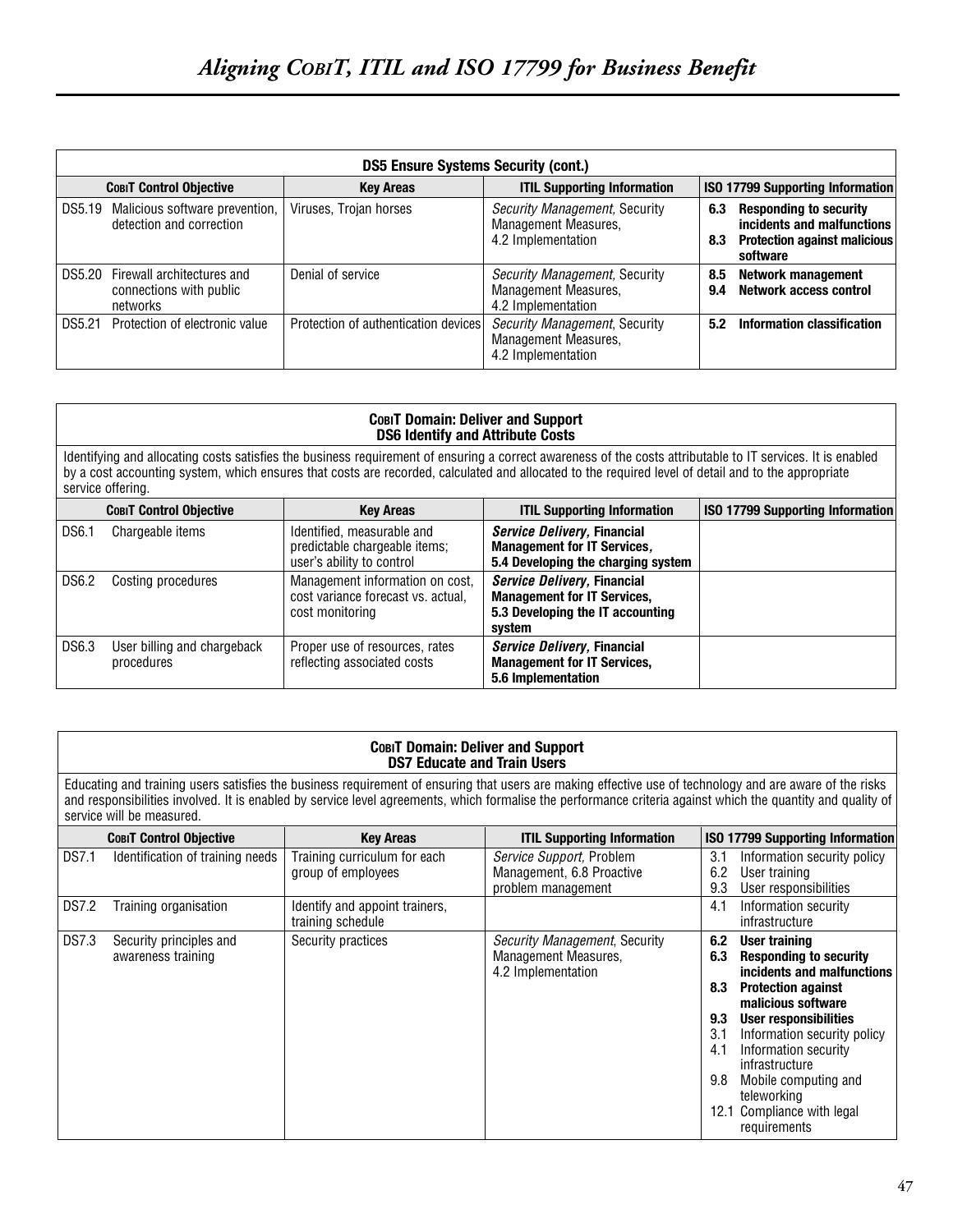| <b>DS5 Ensure Systems Security (cont.)</b> |                                                                          |                                      |                                                                                    |            |                                                                                                                |
|--------------------------------------------|--------------------------------------------------------------------------|--------------------------------------|------------------------------------------------------------------------------------|------------|----------------------------------------------------------------------------------------------------------------|
|                                            | <b>COBIT Control Objective</b>                                           | <b>Key Areas</b>                     | <b>ITIL Supporting Information</b>                                                 |            | ISO 17799 Supporting Information                                                                               |
| DS5.19                                     | Malicious software prevention,<br>detection and correction               | Viruses, Trojan horses               | Security Management, Security<br><b>Management Measures,</b><br>4.2 Implementation | 6.3<br>8.3 | <b>Responding to security</b><br>incidents and malfunctions<br><b>Protection against malicious</b><br>software |
|                                            | DS5.20 Firewall architectures and<br>connections with public<br>networks | Denial of service                    | Security Management, Security<br><b>Management Measures,</b><br>4.2 Implementation | 8.5<br>9.4 | <b>Network management</b><br><b>Network access control</b>                                                     |
| DS5.21                                     | Protection of electronic value                                           | Protection of authentication devices | Security Management, Security<br>Management Measures,<br>4.2 Implementation        | 5.2        | Information classification                                                                                     |

|                                                                                                                                                                                                                                                                                                                                         | <b>СовіТ Domain: Deliver and Support</b><br><b>DS6 Identify and Attribute Costs</b> |                                                                                          |                                                                                                                 |                                         |  |
|-----------------------------------------------------------------------------------------------------------------------------------------------------------------------------------------------------------------------------------------------------------------------------------------------------------------------------------------|-------------------------------------------------------------------------------------|------------------------------------------------------------------------------------------|-----------------------------------------------------------------------------------------------------------------|-----------------------------------------|--|
| Identifying and allocating costs satisfies the business requirement of ensuring a correct awareness of the costs attributable to IT services. It is enabled<br>by a cost accounting system, which ensures that costs are recorded, calculated and allocated to the required level of detail and to the appropriate<br>service offering. |                                                                                     |                                                                                          |                                                                                                                 |                                         |  |
|                                                                                                                                                                                                                                                                                                                                         | <b>COBIT Control Objective</b>                                                      | <b>Key Areas</b>                                                                         | <b>ITIL Supporting Information</b>                                                                              | <b>ISO 17799 Supporting Information</b> |  |
| <b>DS6.1</b>                                                                                                                                                                                                                                                                                                                            | Chargeable items                                                                    | Identified, measurable and<br>predictable chargeable items;<br>user's ability to control | Service Delivery, Financial<br><b>Management for IT Services,</b><br>5.4 Developing the charging system         |                                         |  |
| <b>DS6.2</b>                                                                                                                                                                                                                                                                                                                            | Costing procedures                                                                  | Management information on cost,<br>cost variance forecast vs. actual,<br>cost monitoring | Service Delivery, Financial<br><b>Management for IT Services,</b><br>5.3 Developing the IT accounting<br>system |                                         |  |
| <b>DS6.3</b>                                                                                                                                                                                                                                                                                                                            | User billing and chargeback<br>procedures                                           | Proper use of resources, rates<br>reflecting associated costs                            | Service Delivery, Financial<br><b>Management for IT Services,</b><br>5.6 Implementation                         |                                         |  |

#### **COBIT Domain: Deliver and Support DS7 Educate and Train Users**

Educating and training users satisfies the business requirement of ensuring that users are making effective use of technology and are aware of the risks and responsibilities involved. It is enabled by service level agreements, which formalise the performance criteria against which the quantity and quality of service will be measured.

|              | <b>COBIT Control Objective</b>                | <b>Key Areas</b>                                    | <b>ITIL Supporting Information</b>                                          | <b>ISO 17799 Supporting Information</b>                                                                                                                                                                                                                                                                                                                                           |
|--------------|-----------------------------------------------|-----------------------------------------------------|-----------------------------------------------------------------------------|-----------------------------------------------------------------------------------------------------------------------------------------------------------------------------------------------------------------------------------------------------------------------------------------------------------------------------------------------------------------------------------|
| <b>DS7.1</b> | Identification of training needs              | Training curriculum for each<br>group of employees  | Service Support, Problem<br>Management, 6.8 Proactive<br>problem management | 3.1<br>Information security policy<br>6.2<br>User training<br>9.3<br>User responsibilities                                                                                                                                                                                                                                                                                        |
| <b>DS7.2</b> | Training organisation                         | Identify and appoint trainers,<br>training schedule |                                                                             | Information security<br>4.1<br>infrastructure                                                                                                                                                                                                                                                                                                                                     |
| <b>DS7.3</b> | Security principles and<br>awareness training | Security practices                                  | Security Management, Security<br>Management Measures,<br>4.2 Implementation | 6.2<br>User training<br><b>Responding to security</b><br>6.3<br>incidents and malfunctions<br><b>Protection against</b><br>8.3<br>malicious software<br><b>User responsibilities</b><br>9.3<br>Information security policy<br>3.1<br>Information security<br>4.1<br>infrastructure<br>9.8<br>Mobile computing and<br>teleworking<br>Compliance with legal<br>12.1<br>requirements |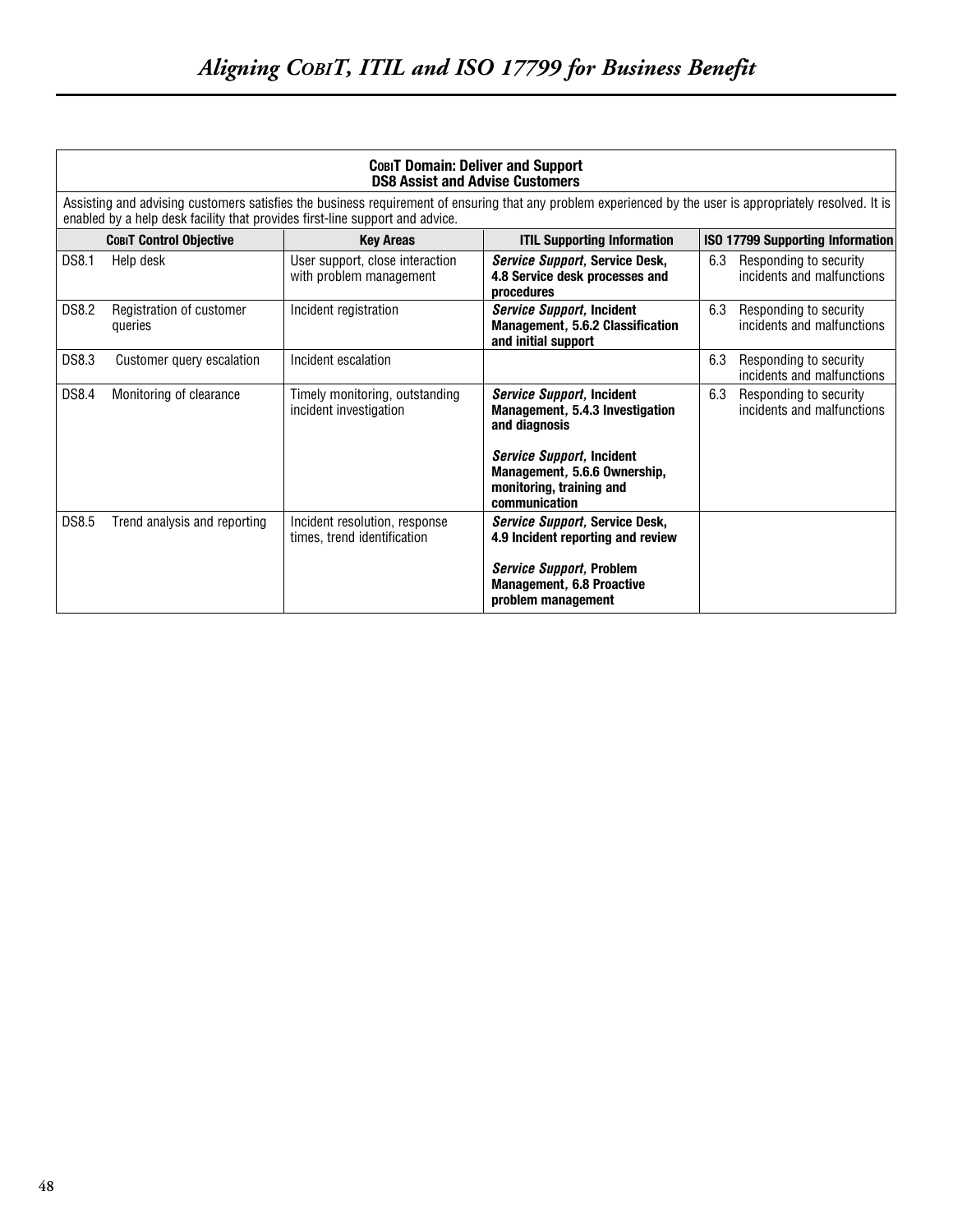|              | COBIT Domain: Deliver and Support<br><b>DS8 Assist and Advise Customers</b>  |                                                              |                                                                                                                                                           |     |                                                      |
|--------------|------------------------------------------------------------------------------|--------------------------------------------------------------|-----------------------------------------------------------------------------------------------------------------------------------------------------------|-----|------------------------------------------------------|
|              | enabled by a help desk facility that provides first-line support and advice. |                                                              | Assisting and advising customers satisfies the business requirement of ensuring that any problem experienced by the user is appropriately resolved. It is |     |                                                      |
|              | <b>COBIT Control Objective</b>                                               | <b>Kev Areas</b>                                             | <b>ITIL Supporting Information</b>                                                                                                                        |     | ISO 17799 Supporting Information                     |
| DS8.1        | Help desk                                                                    | User support, close interaction<br>with problem management   | Service Support, Service Desk,<br>4.8 Service desk processes and<br>procedures                                                                            | 6.3 | Responding to security<br>incidents and malfunctions |
| DS8.2        | Registration of customer<br>queries                                          | Incident registration                                        | Service Support, Incident<br>Management, 5.6.2 Classification<br>and initial support                                                                      | 6.3 | Responding to security<br>incidents and malfunctions |
| DS8.3        | Customer query escalation                                                    | Incident escalation                                          |                                                                                                                                                           | 6.3 | Responding to security<br>incidents and malfunctions |
| DS8.4        | Monitoring of clearance                                                      | Timely monitoring, outstanding<br>incident investigation     | <b>Service Support, Incident</b><br>Management, 5.4.3 Investigation<br>and diagnosis                                                                      | 6.3 | Responding to security<br>incidents and malfunctions |
|              |                                                                              |                                                              | <b>Service Support, Incident</b><br>Management, 5.6.6 Ownership,<br>monitoring, training and<br>communication                                             |     |                                                      |
| <b>DS8.5</b> | Trend analysis and reporting                                                 | Incident resolution, response<br>times, trend identification | Service Support, Service Desk,<br>4.9 Incident reporting and review                                                                                       |     |                                                      |
|              |                                                                              |                                                              | Service Support, Problem<br><b>Management, 6.8 Proactive</b><br>problem management                                                                        |     |                                                      |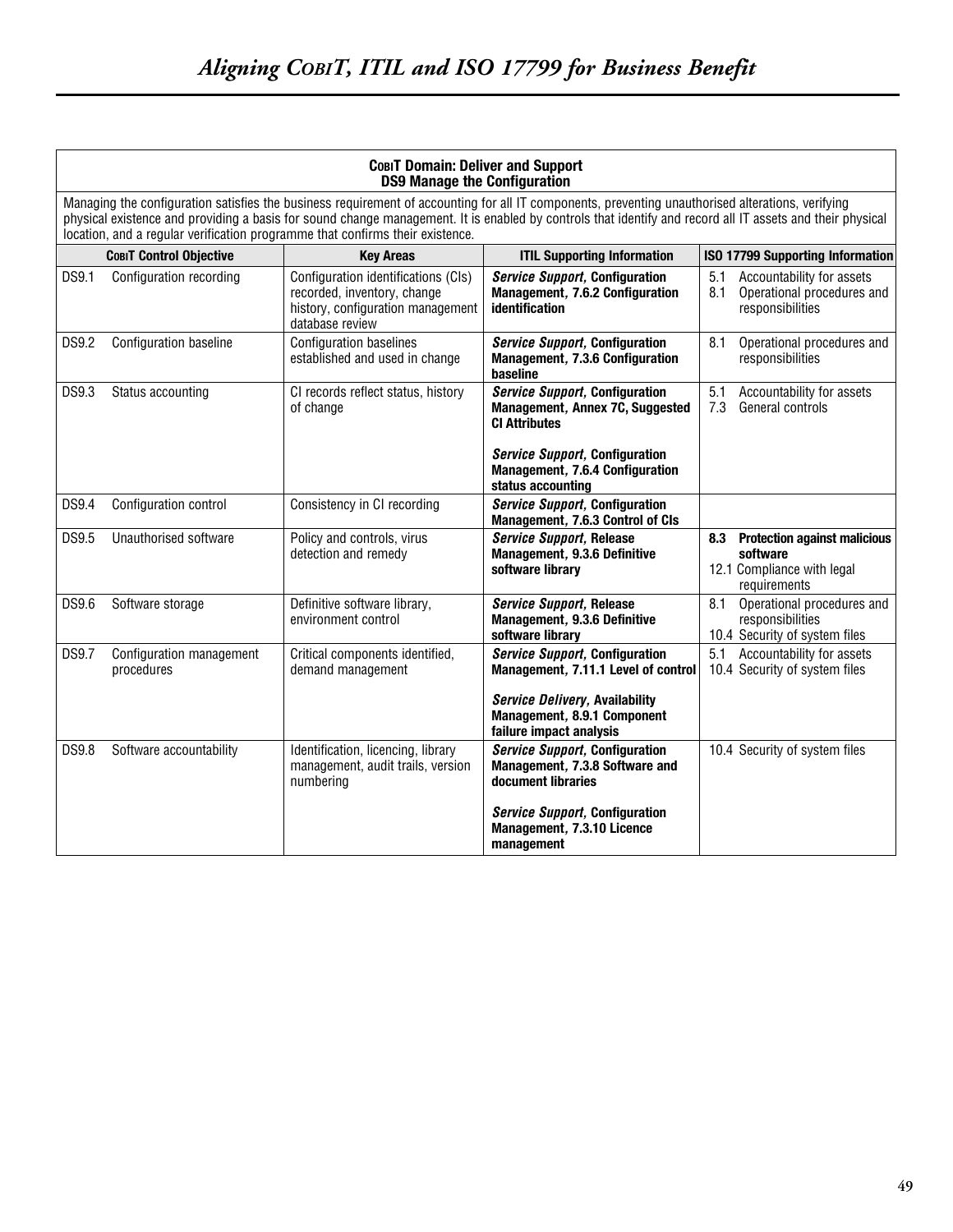| COBIT Domain: Deliver and Support<br><b>DS9 Manage the Configuration</b> |                                                                                                                                                                                                                                                                                                                                                                                                 |                                                                                                                            |                                                                                                                                           |                                                                                            |  |
|--------------------------------------------------------------------------|-------------------------------------------------------------------------------------------------------------------------------------------------------------------------------------------------------------------------------------------------------------------------------------------------------------------------------------------------------------------------------------------------|----------------------------------------------------------------------------------------------------------------------------|-------------------------------------------------------------------------------------------------------------------------------------------|--------------------------------------------------------------------------------------------|--|
|                                                                          | Managing the configuration satisfies the business requirement of accounting for all IT components, preventing unauthorised alterations, verifying<br>physical existence and providing a basis for sound change management. It is enabled by controls that identify and record all IT assets and their physical<br>location, and a regular verification programme that confirms their existence. |                                                                                                                            |                                                                                                                                           |                                                                                            |  |
|                                                                          | <b>COBIT Control Objective</b>                                                                                                                                                                                                                                                                                                                                                                  | <b>Key Areas</b>                                                                                                           | <b>ITIL Supporting Information</b>                                                                                                        | <b>ISO 17799 Supporting Information</b>                                                    |  |
| DS9.1                                                                    | Configuration recording                                                                                                                                                                                                                                                                                                                                                                         | Configuration identifications (CIs)<br>recorded, inventory, change<br>history, configuration management<br>database review | <b>Service Support, Configuration</b><br>Management, 7.6.2 Configuration<br>identification                                                | Accountability for assets<br>5.1<br>Operational procedures and<br>8.1<br>responsibilities  |  |
| <b>DS9.2</b>                                                             | Configuration baseline                                                                                                                                                                                                                                                                                                                                                                          | <b>Configuration baselines</b><br>established and used in change                                                           | <b>Service Support, Configuration</b><br>Management, 7.3.6 Configuration<br>baseline                                                      | 8.1<br>Operational procedures and<br>responsibilities                                      |  |
| DS9.3                                                                    | Status accounting                                                                                                                                                                                                                                                                                                                                                                               | CI records reflect status, history<br>of change                                                                            | <b>Service Support, Configuration</b><br>Management, Annex 7C, Suggested<br><b>CI Attributes</b><br><b>Service Support, Configuration</b> | 5.1<br>Accountability for assets<br>General controls<br>7.3                                |  |
|                                                                          |                                                                                                                                                                                                                                                                                                                                                                                                 |                                                                                                                            | Management, 7.6.4 Configuration<br>status accounting                                                                                      |                                                                                            |  |
| DS9.4                                                                    | Configuration control                                                                                                                                                                                                                                                                                                                                                                           | Consistency in CI recording                                                                                                | <b>Service Support, Configuration</b><br>Management, 7.6.3 Control of CIs                                                                 |                                                                                            |  |
| DS9.5                                                                    | Unauthorised software                                                                                                                                                                                                                                                                                                                                                                           | Policy and controls, virus<br>detection and remedy                                                                         | <b>Service Support, Release</b><br>Management, 9.3.6 Definitive<br>software library                                                       | 8.3 Protection against malicious<br>software<br>12.1 Compliance with legal<br>requirements |  |
| DS9.6                                                                    | Software storage                                                                                                                                                                                                                                                                                                                                                                                | Definitive software library,<br>environment control                                                                        | <b>Service Support, Release</b><br>Management, 9.3.6 Definitive<br>software library                                                       | Operational procedures and<br>8.1<br>responsibilities<br>10.4 Security of system files     |  |
| <b>DS9.7</b>                                                             | Configuration management<br>procedures                                                                                                                                                                                                                                                                                                                                                          | Critical components identified,<br>demand management                                                                       | <b>Service Support, Configuration</b><br>Management, 7.11.1 Level of control                                                              | Accountability for assets<br>5.1<br>10.4 Security of system files                          |  |
|                                                                          |                                                                                                                                                                                                                                                                                                                                                                                                 |                                                                                                                            | <b>Service Delivery, Availability</b><br>Management, 8.9.1 Component<br>failure impact analysis                                           |                                                                                            |  |
| <b>DS9.8</b>                                                             | Software accountability                                                                                                                                                                                                                                                                                                                                                                         | Identification, licencing, library<br>management, audit trails, version<br>numbering                                       | <b>Service Support, Configuration</b><br>Management, 7.3.8 Software and<br>document libraries                                             | 10.4 Security of system files                                                              |  |
|                                                                          |                                                                                                                                                                                                                                                                                                                                                                                                 |                                                                                                                            | <b>Service Support, Configuration</b><br>Management, 7.3.10 Licence<br>management                                                         |                                                                                            |  |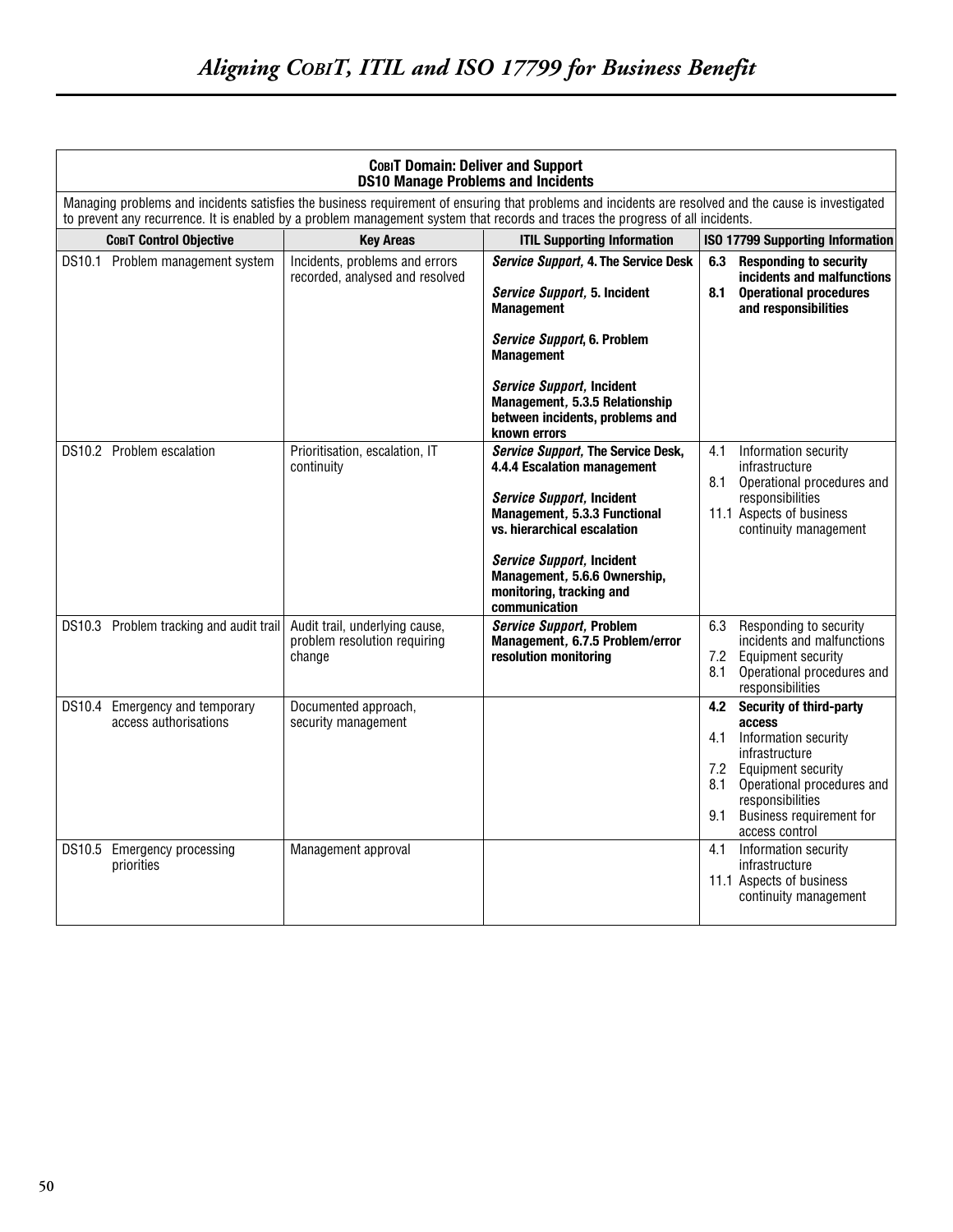| COBIT Domain: Deliver and Support<br><b>DS10 Manage Problems and Incidents</b>                                                                                                                                                                                                          |                                                                          |                                                                                                                                                                                                                                                                         |                                                                                                                                                                                                                          |  |  |
|-----------------------------------------------------------------------------------------------------------------------------------------------------------------------------------------------------------------------------------------------------------------------------------------|--------------------------------------------------------------------------|-------------------------------------------------------------------------------------------------------------------------------------------------------------------------------------------------------------------------------------------------------------------------|--------------------------------------------------------------------------------------------------------------------------------------------------------------------------------------------------------------------------|--|--|
| Managing problems and incidents satisfies the business requirement of ensuring that problems and incidents are resolved and the cause is investigated<br>to prevent any recurrence. It is enabled by a problem management system that records and traces the progress of all incidents. |                                                                          |                                                                                                                                                                                                                                                                         |                                                                                                                                                                                                                          |  |  |
| <b>СовіТ Control Objective</b>                                                                                                                                                                                                                                                          | <b>Key Areas</b>                                                         | <b>ITIL Supporting Information</b>                                                                                                                                                                                                                                      | ISO 17799 Supporting Information                                                                                                                                                                                         |  |  |
| DS10.1 Problem management system                                                                                                                                                                                                                                                        | Incidents, problems and errors<br>recorded, analysed and resolved        | Service Support, 4. The Service Desk<br>Service Support, 5. Incident<br><b>Management</b><br>Service Support, 6. Problem                                                                                                                                                | <b>Responding to security</b><br>6.3<br>incidents and malfunctions<br>8.1<br><b>Operational procedures</b><br>and responsibilities                                                                                       |  |  |
|                                                                                                                                                                                                                                                                                         |                                                                          | <b>Management</b><br>Service Support, Incident<br>Management, 5.3.5 Relationship<br>between incidents, problems and<br>known errors                                                                                                                                     |                                                                                                                                                                                                                          |  |  |
| DS10.2 Problem escalation                                                                                                                                                                                                                                                               | Prioritisation, escalation, IT<br>continuity                             | Service Support, The Service Desk,<br>4.4.4 Escalation management<br>Service Support, Incident<br>Management, 5.3.3 Functional<br>vs. hierarchical escalation<br>Service Support, Incident<br>Management, 5.6.6 Ownership,<br>monitoring, tracking and<br>communication | Information security<br>4.1<br>infrastructure<br>8.1<br>Operational procedures and<br>responsibilities<br>11.1 Aspects of business<br>continuity management                                                              |  |  |
| DS10.3 Problem tracking and audit trail                                                                                                                                                                                                                                                 | Audit trail, underlying cause,<br>problem resolution requiring<br>change | <b>Service Support, Problem</b><br>Management, 6.7.5 Problem/error<br>resolution monitoring                                                                                                                                                                             | Responding to security<br>6.3<br>incidents and malfunctions<br>7.2 Equipment security<br>Operational procedures and<br>8.1<br>responsibilities                                                                           |  |  |
| DS10.4 Emergency and temporary<br>access authorisations                                                                                                                                                                                                                                 | Documented approach,<br>security management                              |                                                                                                                                                                                                                                                                         | 4.2 Security of third-party<br>access<br>4.1 Information security<br>infrastructure<br>7.2 Equipment security<br>Operational procedures and<br>8.1<br>responsibilities<br>9.1 Business requirement for<br>access control |  |  |
| DS10.5<br><b>Emergency processing</b><br>priorities                                                                                                                                                                                                                                     | Management approval                                                      |                                                                                                                                                                                                                                                                         | 4.1<br>Information security<br>infrastructure<br>11.1 Aspects of business<br>continuity management                                                                                                                       |  |  |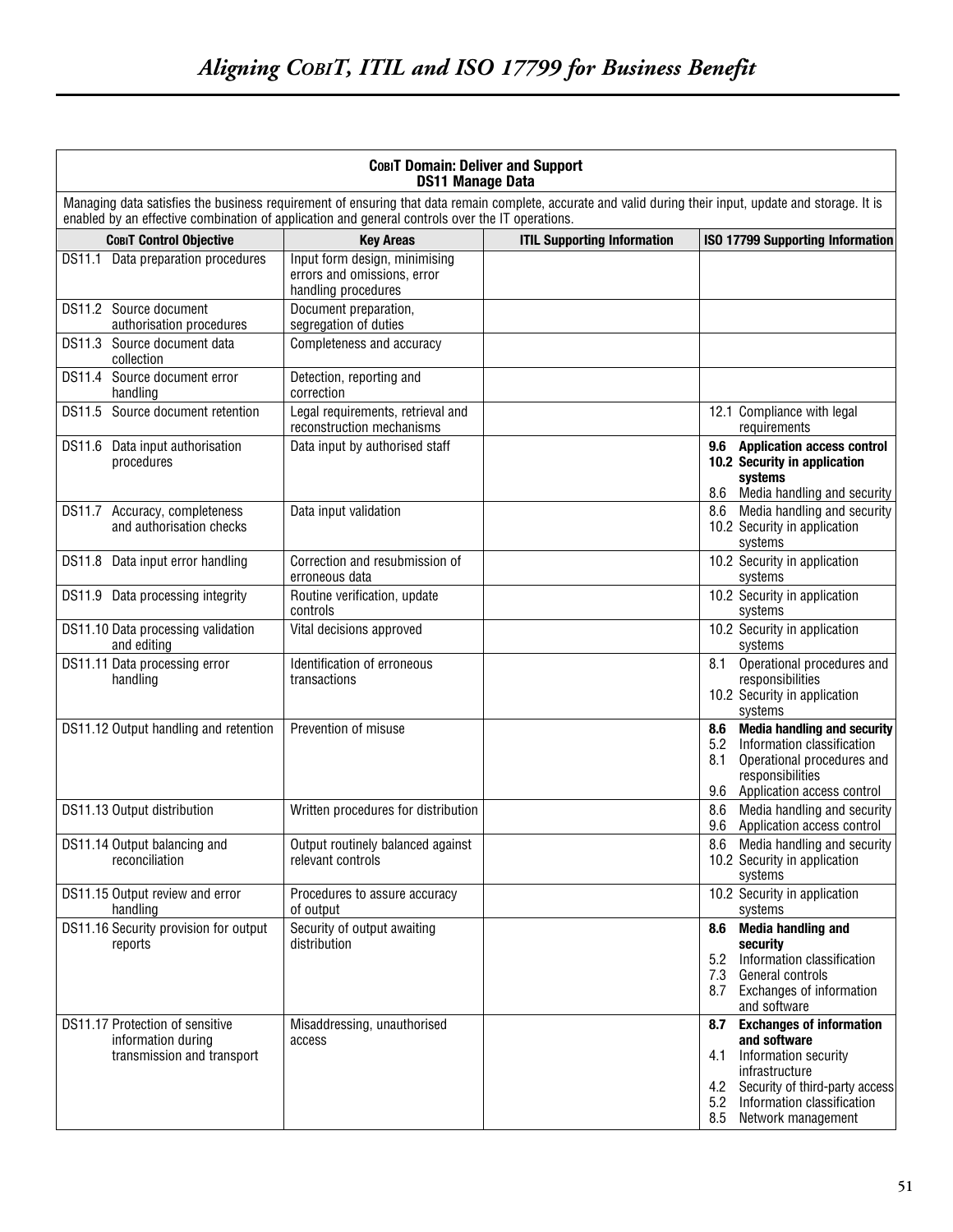| COBIT Domain: Deliver and Support<br><b>DS11 Manage Data</b>                                                                                                                                                                                                |                                                                                     |                                    |                                                                                                                                                                                                 |  |
|-------------------------------------------------------------------------------------------------------------------------------------------------------------------------------------------------------------------------------------------------------------|-------------------------------------------------------------------------------------|------------------------------------|-------------------------------------------------------------------------------------------------------------------------------------------------------------------------------------------------|--|
| Managing data satisfies the business requirement of ensuring that data remain complete, accurate and valid during their input, update and storage. It is<br>enabled by an effective combination of application and general controls over the IT operations. |                                                                                     |                                    |                                                                                                                                                                                                 |  |
| <b>COBIT Control Objective</b>                                                                                                                                                                                                                              | <b>Key Areas</b>                                                                    | <b>ITIL Supporting Information</b> | <b>ISO 17799 Supporting Information</b>                                                                                                                                                         |  |
| DS11.1 Data preparation procedures                                                                                                                                                                                                                          | Input form design, minimising<br>errors and omissions, error<br>handling procedures |                                    |                                                                                                                                                                                                 |  |
| DS11.2 Source document<br>authorisation procedures                                                                                                                                                                                                          | Document preparation,<br>segregation of duties                                      |                                    |                                                                                                                                                                                                 |  |
| DS11.3 Source document data<br>collection                                                                                                                                                                                                                   | Completeness and accuracy                                                           |                                    |                                                                                                                                                                                                 |  |
| DS11.4 Source document error<br>handling                                                                                                                                                                                                                    | Detection, reporting and<br>correction                                              |                                    |                                                                                                                                                                                                 |  |
| DS11.5 Source document retention                                                                                                                                                                                                                            | Legal requirements, retrieval and<br>reconstruction mechanisms                      |                                    | 12.1 Compliance with legal<br>requirements                                                                                                                                                      |  |
| DS11.6 Data input authorisation<br>procedures                                                                                                                                                                                                               | Data input by authorised staff                                                      |                                    | 9.6 Application access control<br>10.2 Security in application<br>systems<br>8.6 Media handling and security                                                                                    |  |
| DS11.7 Accuracy, completeness<br>and authorisation checks                                                                                                                                                                                                   | Data input validation                                                               |                                    | 8.6 Media handling and security<br>10.2 Security in application<br>systems                                                                                                                      |  |
| DS11.8 Data input error handling                                                                                                                                                                                                                            | Correction and resubmission of<br>erroneous data                                    |                                    | 10.2 Security in application<br>systems                                                                                                                                                         |  |
| DS11.9 Data processing integrity                                                                                                                                                                                                                            | Routine verification, update<br>controls                                            |                                    | 10.2 Security in application<br>systems                                                                                                                                                         |  |
| DS11.10 Data processing validation<br>and editing                                                                                                                                                                                                           | Vital decisions approved                                                            |                                    | 10.2 Security in application<br>systems                                                                                                                                                         |  |
| DS11.11 Data processing error<br>handling                                                                                                                                                                                                                   | Identification of erroneous<br>transactions                                         |                                    | Operational procedures and<br>8.1<br>responsibilities<br>10.2 Security in application<br>systems                                                                                                |  |
| DS11.12 Output handling and retention                                                                                                                                                                                                                       | Prevention of misuse                                                                |                                    | <b>Media handling and security</b><br>8.6<br>5.2 Information classification<br>Operational procedures and<br>8.1<br>responsibilities<br>9.6 Application access control                          |  |
| DS11.13 Output distribution                                                                                                                                                                                                                                 | Written procedures for distribution                                                 |                                    | Media handling and security<br>8.6<br>9.6 Application access control                                                                                                                            |  |
| DS11.14 Output balancing and<br>reconciliation                                                                                                                                                                                                              | Output routinely balanced against<br>relevant controls                              |                                    | 8.6 Media handling and security<br>10.2 Security in application<br>systems                                                                                                                      |  |
| DS11.15 Output review and error<br>handling                                                                                                                                                                                                                 | Procedures to assure accuracy<br>of output                                          |                                    | 10.2 Security in application<br>systems                                                                                                                                                         |  |
| DS11.16 Security provision for output<br>reports                                                                                                                                                                                                            | Security of output awaiting<br>distribution                                         |                                    | 8.6 Media handling and<br>security<br>5.2 Information classification<br>7.3 General controls<br>8.7 Exchanges of information<br>and software                                                    |  |
| DS11.17 Protection of sensitive<br>information during<br>transmission and transport                                                                                                                                                                         | Misaddressing, unauthorised<br>access                                               |                                    | 8.7 Exchanges of information<br>and software<br>Information security<br>4.1<br>infrastructure<br>4.2 Security of third-party access<br>5.2 Information classification<br>8.5 Network management |  |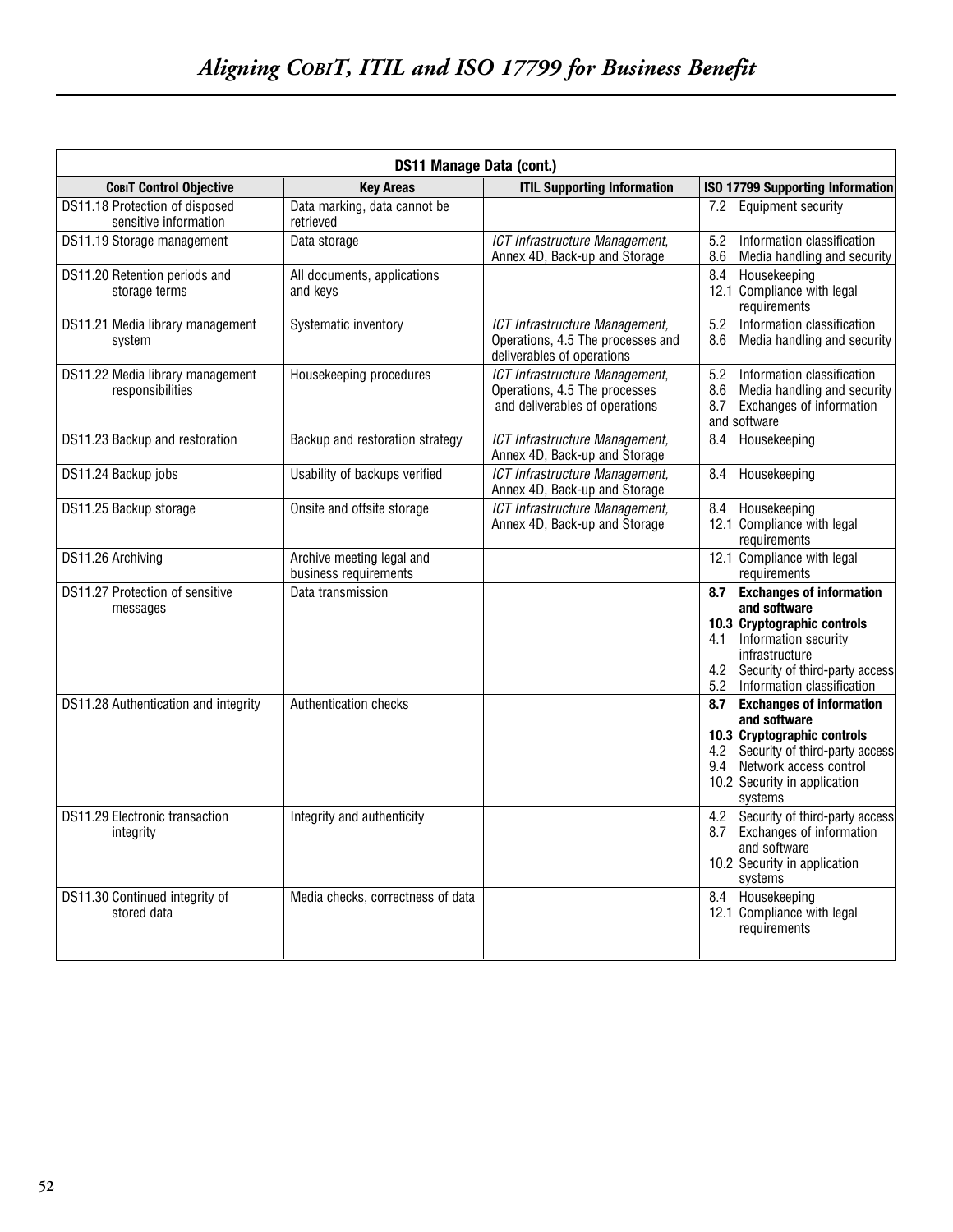|                                                         | DS11 Manage Data (cont.)                           |                                                                                                   |                                                                                                                                                                                                             |  |  |
|---------------------------------------------------------|----------------------------------------------------|---------------------------------------------------------------------------------------------------|-------------------------------------------------------------------------------------------------------------------------------------------------------------------------------------------------------------|--|--|
| <b>СовіТ Control Objective</b>                          | <b>Key Areas</b>                                   | <b>ITIL Supporting Information</b>                                                                | <b>ISO 17799 Supporting Information</b>                                                                                                                                                                     |  |  |
| DS11.18 Protection of disposed<br>sensitive information | Data marking, data cannot be<br>retrieved          |                                                                                                   | 7.2 Equipment security                                                                                                                                                                                      |  |  |
| DS11.19 Storage management                              | Data storage                                       | ICT Infrastructure Management,<br>Annex 4D, Back-up and Storage                                   | Information classification<br>5.2<br>8.6<br>Media handling and security                                                                                                                                     |  |  |
| DS11.20 Retention periods and<br>storage terms          | All documents, applications<br>and kevs            |                                                                                                   | Housekeeping<br>8.4<br>12.1 Compliance with legal<br>requirements                                                                                                                                           |  |  |
| DS11.21 Media library management<br>system              | Systematic inventory                               | ICT Infrastructure Management,<br>Operations, 4.5 The processes and<br>deliverables of operations | Information classification<br>5.2<br>Media handling and security<br>8.6                                                                                                                                     |  |  |
| DS11.22 Media library management<br>responsibilities    | Housekeeping procedures                            | ICT Infrastructure Management.<br>Operations, 4.5 The processes<br>and deliverables of operations | 5.2<br>Information classification<br>8.6 Media handling and security<br>Exchanges of information<br>8.7<br>and software                                                                                     |  |  |
| DS11.23 Backup and restoration                          | Backup and restoration strategy                    | ICT Infrastructure Management,<br>Annex 4D, Back-up and Storage                                   | Housekeeping<br>8.4                                                                                                                                                                                         |  |  |
| DS11.24 Backup jobs                                     | Usability of backups verified                      | ICT Infrastructure Management,<br>Annex 4D, Back-up and Storage                                   | Housekeeping<br>8.4                                                                                                                                                                                         |  |  |
| DS11.25 Backup storage                                  | Onsite and offsite storage                         | ICT Infrastructure Management,<br>Annex 4D, Back-up and Storage                                   | Housekeeping<br>8.4<br>12.1 Compliance with legal<br>requirements                                                                                                                                           |  |  |
| DS11.26 Archiving                                       | Archive meeting legal and<br>business requirements |                                                                                                   | 12.1 Compliance with legal<br>requirements                                                                                                                                                                  |  |  |
| DS11.27 Protection of sensitive<br>messages             | Data transmission                                  |                                                                                                   | <b>Exchanges of information</b><br>8.7<br>and software<br>10.3 Cryptographic controls<br>4.1 Information security<br>infrastructure<br>4.2 Security of third-party access<br>5.2 Information classification |  |  |
| DS11.28 Authentication and integrity                    | Authentication checks                              |                                                                                                   | 8.7<br><b>Exchanges of information</b><br>and software<br>10.3 Cryptographic controls<br>4.2 Security of third-party access<br>9.4 Network access control<br>10.2 Security in application<br>systems        |  |  |
| DS11.29 Electronic transaction<br>integrity             | Integrity and authenticity                         |                                                                                                   | 4.2 Security of third-party access<br>8.7 Exchanges of information<br>and software<br>10.2 Security in application<br>systems                                                                               |  |  |
| DS11.30 Continued integrity of<br>stored data           | Media checks, correctness of data                  |                                                                                                   | 8.4 Housekeeping<br>12.1 Compliance with legal<br>requirements                                                                                                                                              |  |  |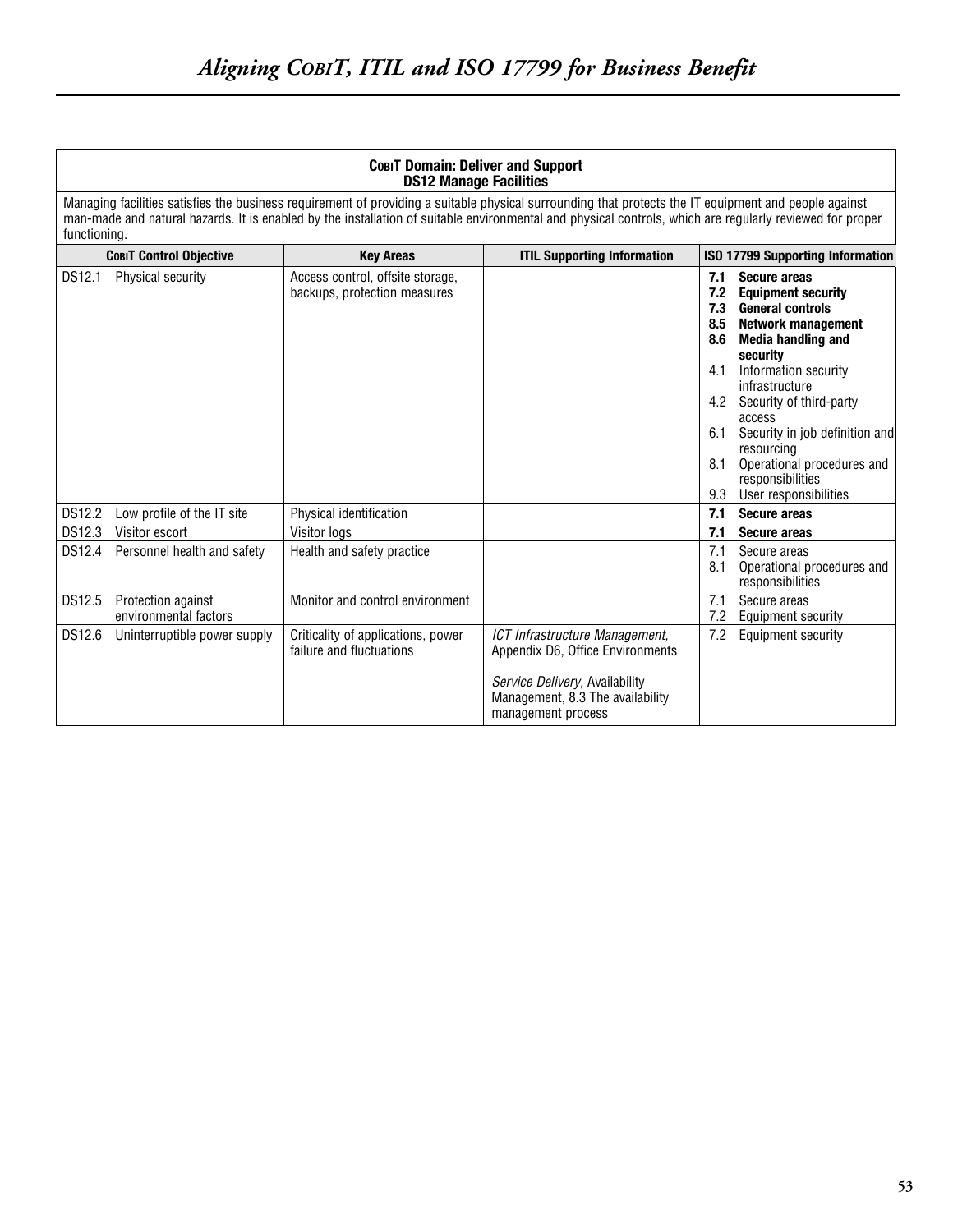| CobiT Domain: Deliver and Support |  |  |
|-----------------------------------|--|--|
| <b>DS12 Manage Facilities</b>     |  |  |

Managing facilities satisfies the business requirement of providing a suitable physical surrounding that protects the IT equipment and people against man-made and natural hazards. It is enabled by the installation of suitable environmental and physical controls, which are regularly reviewed for proper functioning.

|        | <b>СовіТ Control Objective</b>              | <b>Key Areas</b>                                                 | <b>ITIL Supporting Information</b>                                                                                                                             |                                                                    | ISO 17799 Supporting Information                                                                                                                                                                                                                                                                                                                            |
|--------|---------------------------------------------|------------------------------------------------------------------|----------------------------------------------------------------------------------------------------------------------------------------------------------------|--------------------------------------------------------------------|-------------------------------------------------------------------------------------------------------------------------------------------------------------------------------------------------------------------------------------------------------------------------------------------------------------------------------------------------------------|
| DS12.1 | Physical security                           | Access control, offsite storage,<br>backups, protection measures |                                                                                                                                                                | 7.1<br>7.2<br>7.3<br>8.5<br>8.6<br>4.1<br>4.2<br>6.1<br>8.1<br>9.3 | <b>Secure areas</b><br><b>Equipment security</b><br><b>General controls</b><br><b>Network management</b><br><b>Media handling and</b><br>security<br>Information security<br>infrastructure<br>Security of third-party<br>access<br>Security in job definition and<br>resourcing<br>Operational procedures and<br>responsibilities<br>User responsibilities |
| DS12.2 | Low profile of the IT site                  | Physical identification                                          |                                                                                                                                                                | 7.1                                                                | <b>Secure areas</b>                                                                                                                                                                                                                                                                                                                                         |
| DS12.3 | Visitor escort                              | Visitor logs                                                     |                                                                                                                                                                | 7.1                                                                | <b>Secure areas</b>                                                                                                                                                                                                                                                                                                                                         |
| DS12.4 | Personnel health and safety                 | Health and safety practice                                       |                                                                                                                                                                | 7.1<br>8.1                                                         | Secure areas<br>Operational procedures and<br>responsibilities                                                                                                                                                                                                                                                                                              |
| DS12.5 | Protection against<br>environmental factors | Monitor and control environment                                  |                                                                                                                                                                | 7.1<br>7.2                                                         | Secure areas<br><b>Equipment security</b>                                                                                                                                                                                                                                                                                                                   |
| DS12.6 | Uninterruptible power supply                | Criticality of applications, power<br>failure and fluctuations   | ICT Infrastructure Management,<br>Appendix D6, Office Environments<br>Service Delivery, Availability<br>Management, 8.3 The availability<br>management process | 7.2                                                                | <b>Equipment security</b>                                                                                                                                                                                                                                                                                                                                   |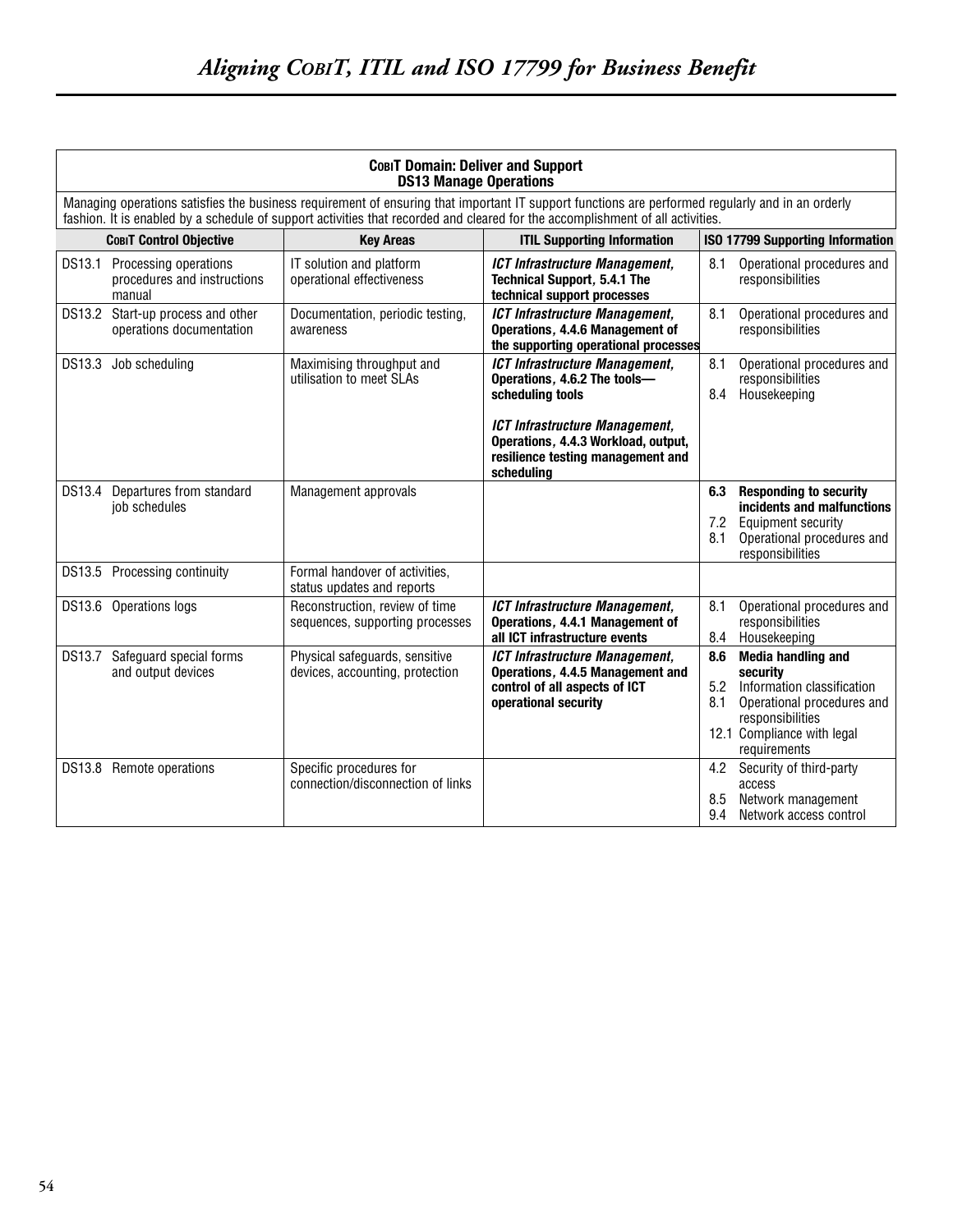| COBIT Domain: Deliver and Support<br><b>DS13 Manage Operations</b>                                                                                                                                                                                                                 |                                                                           |                                                                                              |                                                                                                                                    |                                         |                                                                                                                                                                                                |  |
|------------------------------------------------------------------------------------------------------------------------------------------------------------------------------------------------------------------------------------------------------------------------------------|---------------------------------------------------------------------------|----------------------------------------------------------------------------------------------|------------------------------------------------------------------------------------------------------------------------------------|-----------------------------------------|------------------------------------------------------------------------------------------------------------------------------------------------------------------------------------------------|--|
| Managing operations satisfies the business requirement of ensuring that important IT support functions are performed regularly and in an orderly<br>fashion. It is enabled by a schedule of support activities that recorded and cleared for the accomplishment of all activities. |                                                                           |                                                                                              |                                                                                                                                    |                                         |                                                                                                                                                                                                |  |
| <b>COBIT Control Objective</b><br><b>ITIL Supporting Information</b><br><b>Key Areas</b>                                                                                                                                                                                           |                                                                           |                                                                                              |                                                                                                                                    | <b>ISO 17799 Supporting Information</b> |                                                                                                                                                                                                |  |
|                                                                                                                                                                                                                                                                                    | DS13.1 Processing operations<br>procedures and instructions<br>manual     | IT solution and platform<br>operational effectiveness                                        | <b>ICT Infrastructure Management,</b><br><b>Technical Support, 5.4.1 The</b><br>technical support processes                        | 8.1                                     | Operational procedures and<br>responsibilities                                                                                                                                                 |  |
|                                                                                                                                                                                                                                                                                    | DS13.2 Start-up process and other<br>operations documentation             | Documentation, periodic testing,<br>awareness                                                | <b>ICT Infrastructure Management,</b><br>Operations, 4.4.6 Management of<br>the supporting operational processes                   | 8.1                                     | Operational procedures and<br>responsibilities                                                                                                                                                 |  |
|                                                                                                                                                                                                                                                                                    | DS13.3 Job scheduling                                                     | Maximising throughput and<br>utilisation to meet SLAs                                        | <b>ICT Infrastructure Management,</b><br>Operations, 4.6.2 The tools-<br>scheduling tools                                          | 8.1<br>8.4                              | Operational procedures and<br>responsibilities<br>Housekeeping                                                                                                                                 |  |
|                                                                                                                                                                                                                                                                                    |                                                                           |                                                                                              | ICT Infrastructure Management,<br>Operations, 4.4.3 Workload, output,<br>resilience testing management and<br>scheduling           |                                         |                                                                                                                                                                                                |  |
| DS13.4                                                                                                                                                                                                                                                                             | Departures from standard<br>job schedules                                 | Management approvals                                                                         |                                                                                                                                    | 6.3<br>7.2<br>8.1                       | <b>Responding to security</b><br>incidents and malfunctions<br><b>Equipment security</b><br>Operational procedures and<br>responsibilities                                                     |  |
|                                                                                                                                                                                                                                                                                    | DS13.5 Processing continuity                                              | Formal handover of activities,<br>status updates and reports                                 |                                                                                                                                    |                                         |                                                                                                                                                                                                |  |
|                                                                                                                                                                                                                                                                                    | DS13.6 Operations logs                                                    | Reconstruction, review of time<br>sequences, supporting processes                            | ICT Infrastructure Management,<br>Operations, 4.4.1 Management of<br>all ICT infrastructure events                                 | 8.1<br>8.4                              | Operational procedures and<br>responsibilities<br>Housekeeping                                                                                                                                 |  |
| DS13.7                                                                                                                                                                                                                                                                             | Safeguard special forms<br>and output devices<br>DS13.8 Remote operations | Physical safeguards, sensitive<br>devices, accounting, protection<br>Specific procedures for | <b>ICT Infrastructure Management,</b><br>Operations, 4.4.5 Management and<br>control of all aspects of ICT<br>operational security | 8.6<br>5.2<br>8.1<br>4.2                | <b>Media handling and</b><br>security<br>Information classification<br>Operational procedures and<br>responsibilities<br>12.1 Compliance with legal<br>requirements<br>Security of third-party |  |
|                                                                                                                                                                                                                                                                                    |                                                                           | connection/disconnection of links                                                            |                                                                                                                                    | 8.5<br>9.4                              | access<br>Network management<br>Network access control                                                                                                                                         |  |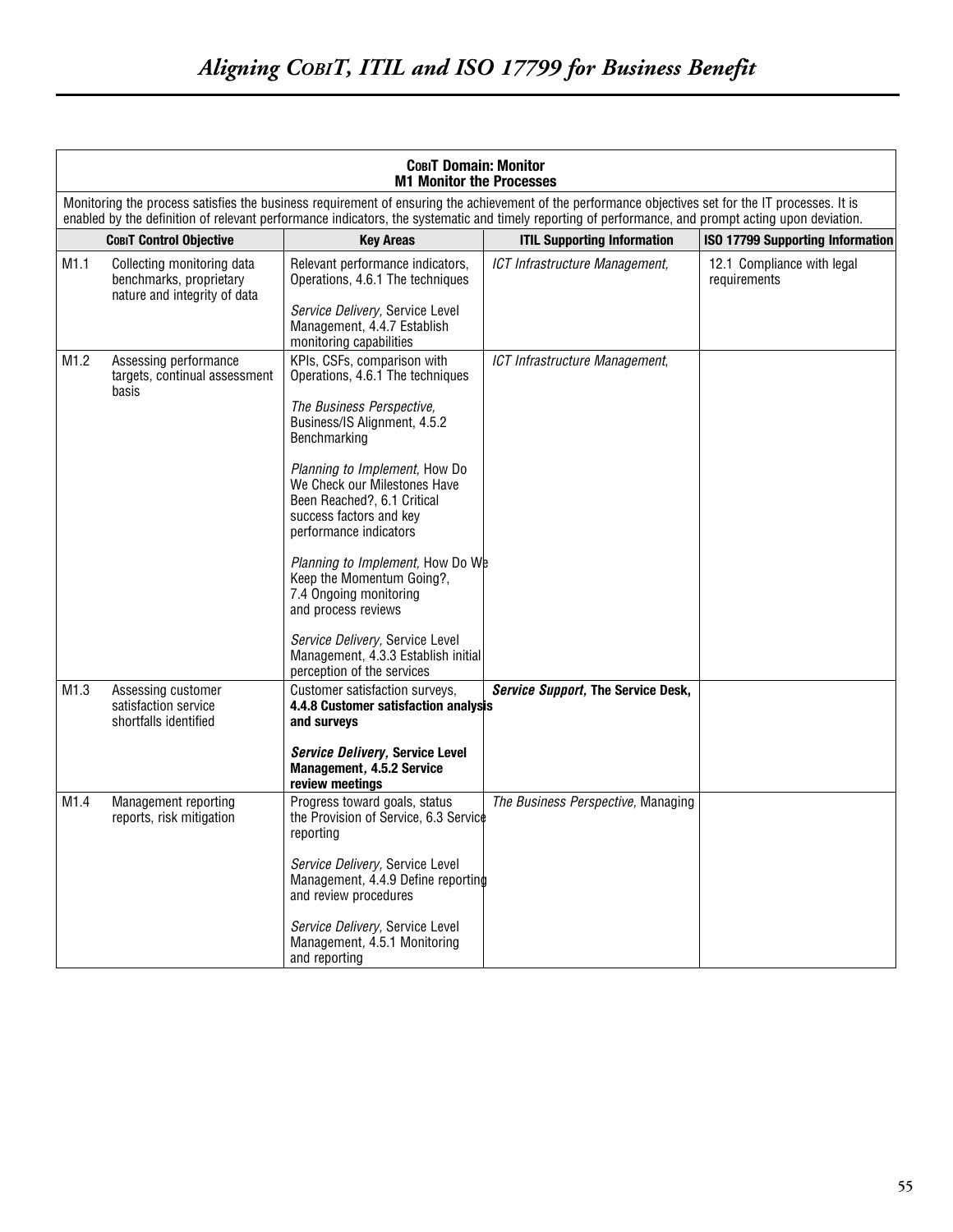|      | <b>СовіТ Domain: Monitor</b><br><b>M1 Monitor the Processes</b>                                                                                                                                                                                                                                            |                                                                                                                                                                                                                                                                                                                                                                                                                                                                                                                                    |                                    |                                            |  |  |
|------|------------------------------------------------------------------------------------------------------------------------------------------------------------------------------------------------------------------------------------------------------------------------------------------------------------|------------------------------------------------------------------------------------------------------------------------------------------------------------------------------------------------------------------------------------------------------------------------------------------------------------------------------------------------------------------------------------------------------------------------------------------------------------------------------------------------------------------------------------|------------------------------------|--------------------------------------------|--|--|
|      | Monitoring the process satisfies the business requirement of ensuring the achievement of the performance objectives set for the IT processes. It is<br>enabled by the definition of relevant performance indicators, the systematic and timely reporting of performance, and prompt acting upon deviation. |                                                                                                                                                                                                                                                                                                                                                                                                                                                                                                                                    |                                    |                                            |  |  |
|      | <b>СовіТ Control Objective</b>                                                                                                                                                                                                                                                                             | <b>Key Areas</b>                                                                                                                                                                                                                                                                                                                                                                                                                                                                                                                   | <b>ITIL Supporting Information</b> | <b>ISO 17799 Supporting Information</b>    |  |  |
| M1.1 | Collecting monitoring data<br>benchmarks, proprietary<br>nature and integrity of data                                                                                                                                                                                                                      | Relevant performance indicators,<br>Operations, 4.6.1 The techniques<br>Service Delivery, Service Level<br>Management, 4.4.7 Establish<br>monitoring capabilities                                                                                                                                                                                                                                                                                                                                                                  | ICT Infrastructure Management,     | 12.1 Compliance with legal<br>requirements |  |  |
| M1.2 | Assessing performance<br>targets, continual assessment<br>basis                                                                                                                                                                                                                                            | KPIs, CSFs, comparison with<br>Operations, 4.6.1 The techniques<br>The Business Perspective,<br>Business/IS Alignment, 4.5.2<br>Benchmarking<br>Planning to Implement, How Do<br>We Check our Milestones Have<br>Been Reached?, 6.1 Critical<br>success factors and key<br>performance indicators<br><i>Planning to Implement, How Do We</i><br>Keep the Momentum Going?,<br>7.4 Ongoing monitoring<br>and process reviews<br>Service Delivery, Service Level<br>Management, 4.3.3 Establish initial<br>perception of the services | ICT Infrastructure Management,     |                                            |  |  |
| M1.3 | Assessing customer<br>satisfaction service<br>shortfalls identified                                                                                                                                                                                                                                        | Customer satisfaction surveys,<br>4.4.8 Customer satisfaction analysis<br>and surveys<br>Service Delivery, Service Level<br>Management, 4.5.2 Service<br>review meetings                                                                                                                                                                                                                                                                                                                                                           | Service Support, The Service Desk, |                                            |  |  |
| M1.4 | Management reporting<br>reports, risk mitigation                                                                                                                                                                                                                                                           | Progress toward goals, status<br>the Provision of Service, 6.3 Service<br>reporting<br>Service Delivery, Service Level<br>Management, 4.4.9 Define reporting<br>and review procedures<br>Service Delivery, Service Level<br>Management, 4.5.1 Monitoring<br>and reporting                                                                                                                                                                                                                                                          | The Business Perspective, Managing |                                            |  |  |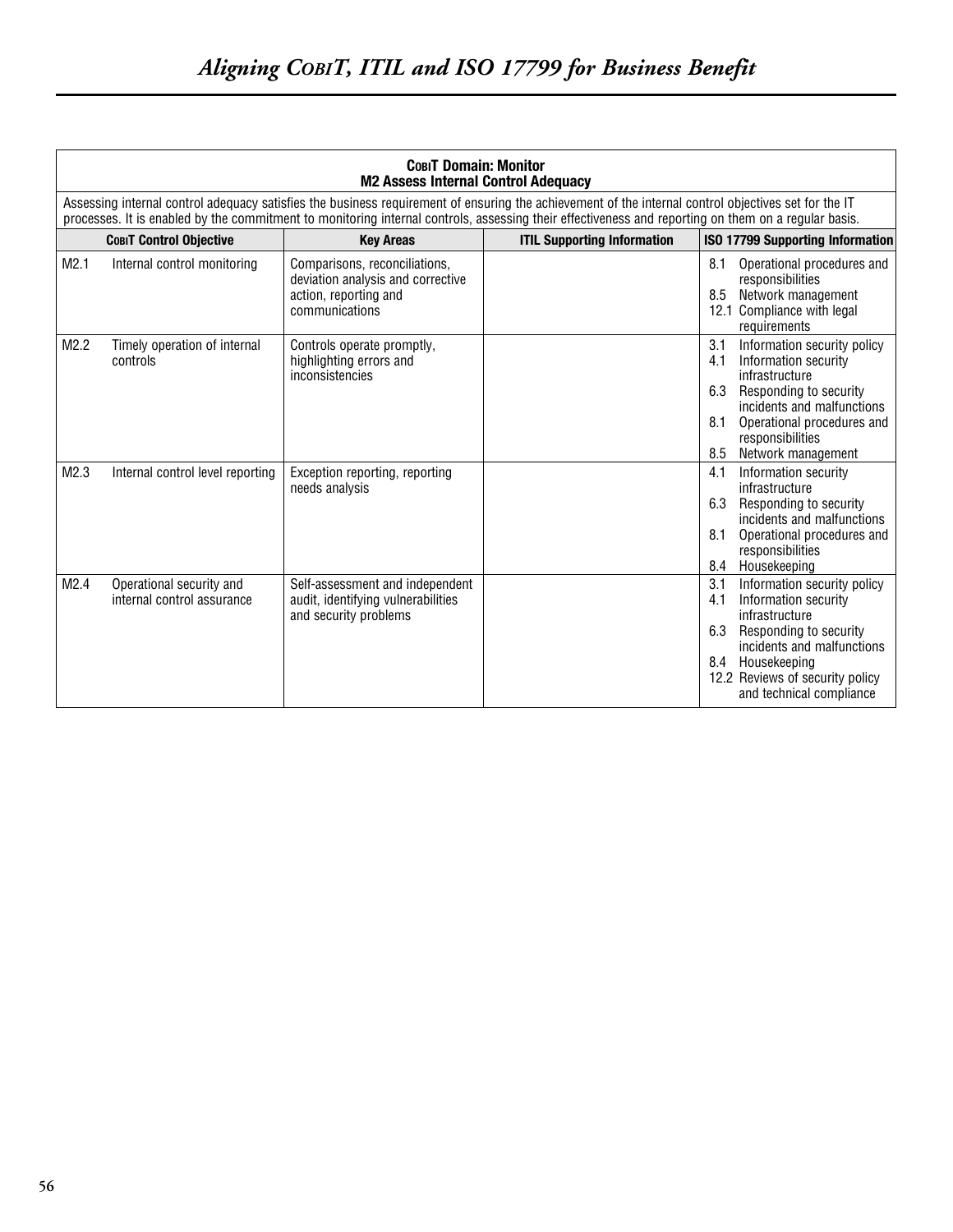| <b>COBIT Domain: Monitor</b><br><b>M2 Assess Internal Control Adequacy</b> |                                                        |                                                                                                               |                                                                                                                                                                                                                                                                                                             |                                                                                                                                                                                                                                          |
|----------------------------------------------------------------------------|--------------------------------------------------------|---------------------------------------------------------------------------------------------------------------|-------------------------------------------------------------------------------------------------------------------------------------------------------------------------------------------------------------------------------------------------------------------------------------------------------------|------------------------------------------------------------------------------------------------------------------------------------------------------------------------------------------------------------------------------------------|
|                                                                            |                                                        |                                                                                                               | Assessing internal control adequacy satisfies the business requirement of ensuring the achievement of the internal control objectives set for the IT<br>processes. It is enabled by the commitment to monitoring internal controls, assessing their effectiveness and reporting on them on a regular basis. |                                                                                                                                                                                                                                          |
|                                                                            | <b>COBIT Control Objective</b>                         | <b>Key Areas</b>                                                                                              | <b>ITIL Supporting Information</b>                                                                                                                                                                                                                                                                          | <b>ISO 17799 Supporting Information</b>                                                                                                                                                                                                  |
| M2.1                                                                       | Internal control monitoring                            | Comparisons, reconciliations,<br>deviation analysis and corrective<br>action, reporting and<br>communications |                                                                                                                                                                                                                                                                                                             | 8.1<br>Operational procedures and<br>responsibilities<br>Network management<br>8.5<br>12.1 Compliance with legal<br>requirements                                                                                                         |
| M2.2                                                                       | Timely operation of internal<br>controls               | Controls operate promptly,<br>highlighting errors and<br>inconsistencies                                      |                                                                                                                                                                                                                                                                                                             | 3.1<br>Information security policy<br>4.1<br>Information security<br>infrastructure<br>6.3<br>Responding to security<br>incidents and malfunctions<br>8.1<br>Operational procedures and<br>responsibilities<br>Network management<br>8.5 |
| M2.3                                                                       | Internal control level reporting                       | Exception reporting, reporting<br>needs analysis                                                              |                                                                                                                                                                                                                                                                                                             | Information security<br>4.1<br>infrastructure<br>6.3<br>Responding to security<br>incidents and malfunctions<br>8.1<br>Operational procedures and<br>responsibilities<br>Housekeeping<br>8.4                                             |
| M2.4                                                                       | Operational security and<br>internal control assurance | Self-assessment and independent<br>audit, identifying vulnerabilities<br>and security problems                |                                                                                                                                                                                                                                                                                                             | 3.1<br>Information security policy<br>Information security<br>4.1<br>infrastructure<br>6.3<br>Responding to security<br>incidents and malfunctions<br>8.4 Housekeeping<br>12.2 Reviews of security policy<br>and technical compliance    |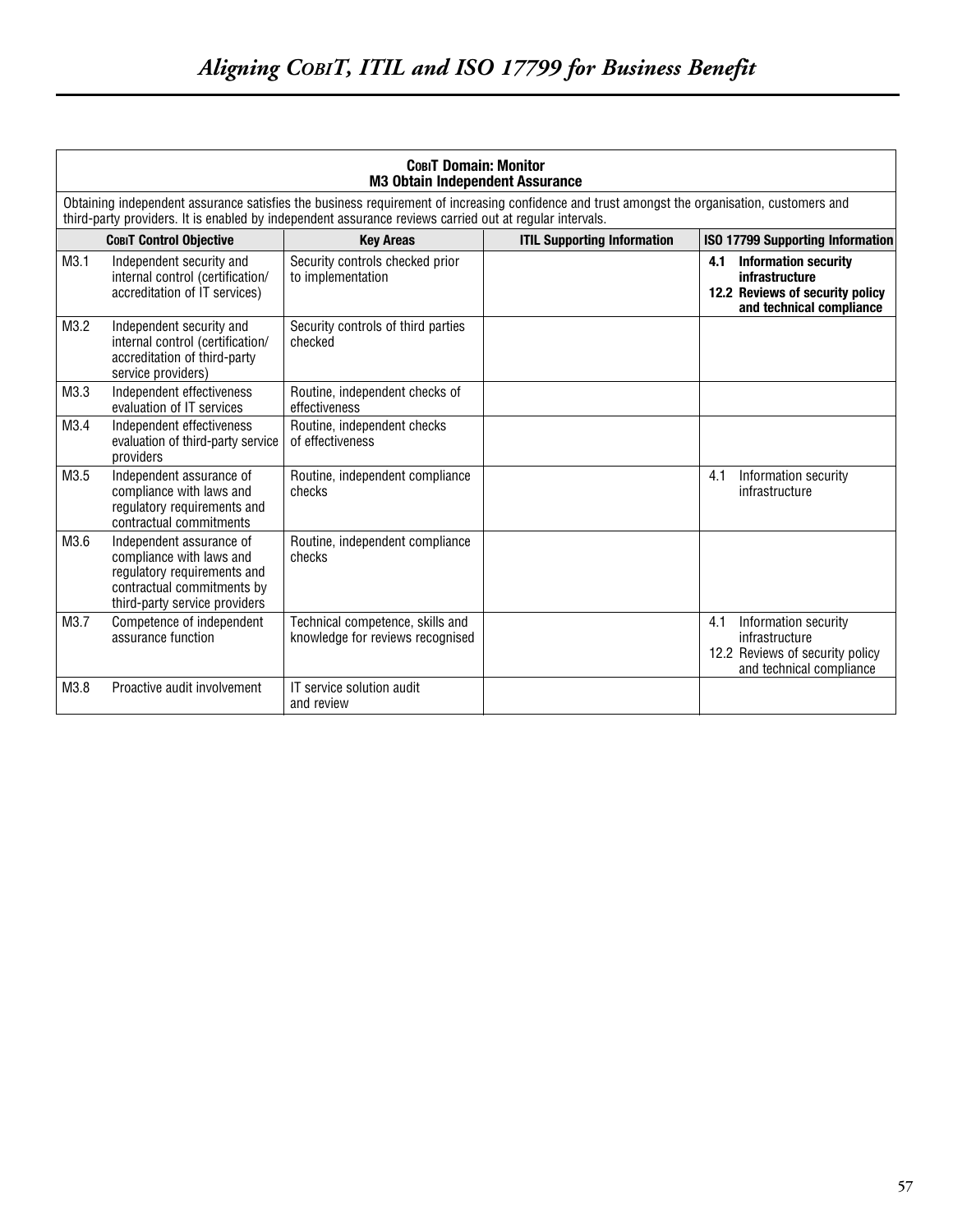| <b>COBIT Domain: Monitor</b><br><b>M3 Obtain Independent Assurance</b>                                                                                                                                                                                   |                                                                                                                                                    |                                                                      |                                    |                                                                                                                     |  |  |
|----------------------------------------------------------------------------------------------------------------------------------------------------------------------------------------------------------------------------------------------------------|----------------------------------------------------------------------------------------------------------------------------------------------------|----------------------------------------------------------------------|------------------------------------|---------------------------------------------------------------------------------------------------------------------|--|--|
| Obtaining independent assurance satisfies the business requirement of increasing confidence and trust amongst the organisation, customers and<br>third-party providers. It is enabled by independent assurance reviews carried out at regular intervals. |                                                                                                                                                    |                                                                      |                                    |                                                                                                                     |  |  |
|                                                                                                                                                                                                                                                          | <b>СовіТ Control Objective</b>                                                                                                                     | <b>Key Areas</b>                                                     | <b>ITIL Supporting Information</b> | ISO 17799 Supporting Information                                                                                    |  |  |
| M3.1                                                                                                                                                                                                                                                     | Independent security and<br>internal control (certification/<br>accreditation of IT services)                                                      | Security controls checked prior<br>to implementation                 |                                    | <b>Information security</b><br>4.1<br>infrastructure<br>12.2 Reviews of security policy<br>and technical compliance |  |  |
| M3.2                                                                                                                                                                                                                                                     | Independent security and<br>internal control (certification/<br>accreditation of third-party<br>service providers)                                 | Security controls of third parties<br>checked                        |                                    |                                                                                                                     |  |  |
| M3.3                                                                                                                                                                                                                                                     | Independent effectiveness<br>evaluation of IT services                                                                                             | Routine, independent checks of<br>effectiveness                      |                                    |                                                                                                                     |  |  |
| M3.4                                                                                                                                                                                                                                                     | Independent effectiveness<br>evaluation of third-party service<br>providers                                                                        | Routine, independent checks<br>of effectiveness                      |                                    |                                                                                                                     |  |  |
| M3.5                                                                                                                                                                                                                                                     | Independent assurance of<br>compliance with laws and<br>regulatory requirements and<br>contractual commitments                                     | Routine, independent compliance<br>checks                            |                                    | Information security<br>4.1<br>infrastructure                                                                       |  |  |
| M3.6                                                                                                                                                                                                                                                     | Independent assurance of<br>compliance with laws and<br>regulatory requirements and<br>contractual commitments by<br>third-party service providers | Routine, independent compliance<br>checks                            |                                    |                                                                                                                     |  |  |
| M3.7                                                                                                                                                                                                                                                     | Competence of independent<br>assurance function                                                                                                    | Technical competence, skills and<br>knowledge for reviews recognised |                                    | Information security<br>4.1<br>infrastructure<br>12.2 Reviews of security policy<br>and technical compliance        |  |  |
| M3.8                                                                                                                                                                                                                                                     | Proactive audit involvement                                                                                                                        | IT service solution audit<br>and review                              |                                    |                                                                                                                     |  |  |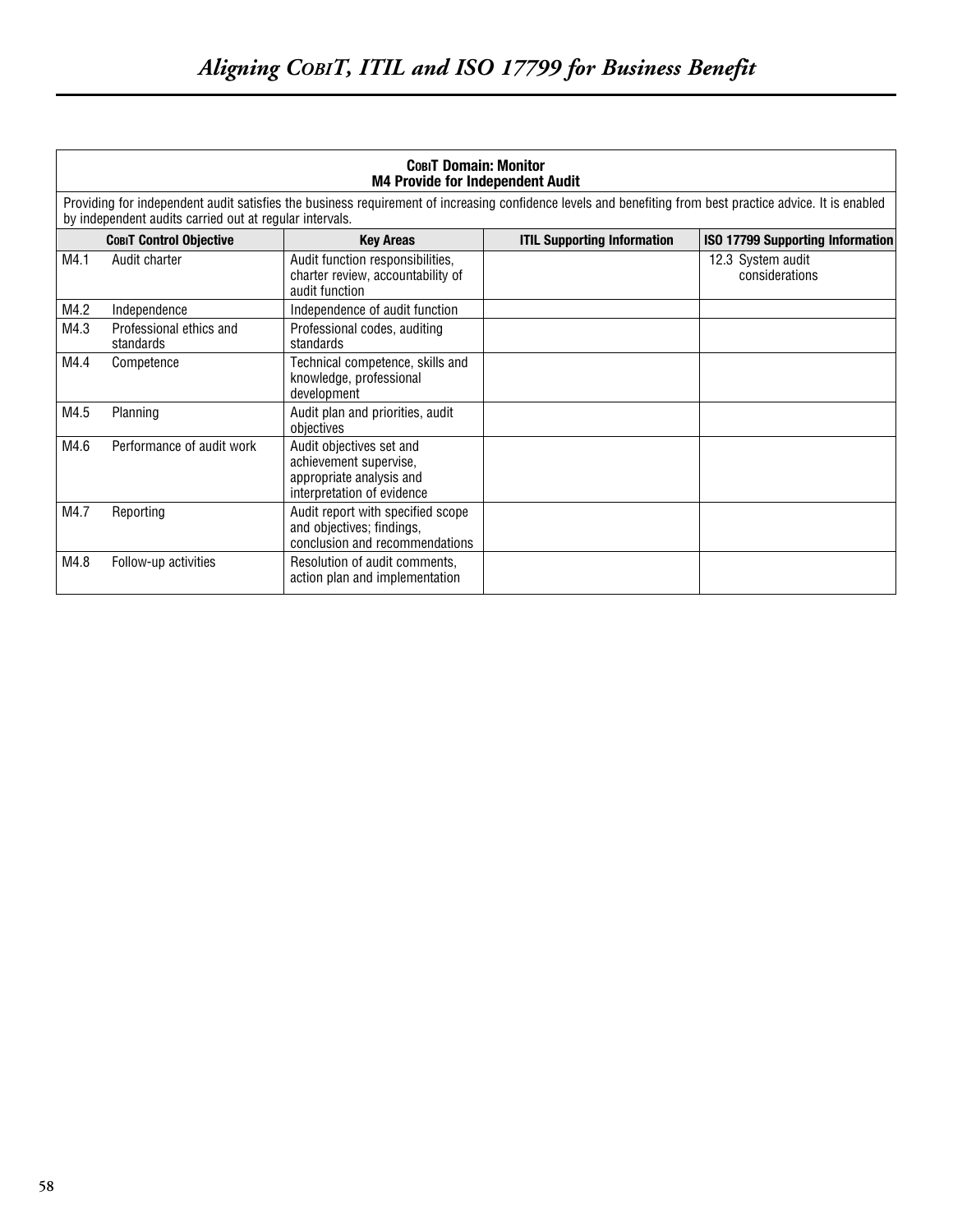| <b>COBIT Domain: Monitor</b><br><b>M4 Provide for Independent Audit</b>                                                                                                                                               |                                      |                                                                                                              |                                    |                                         |  |  |
|-----------------------------------------------------------------------------------------------------------------------------------------------------------------------------------------------------------------------|--------------------------------------|--------------------------------------------------------------------------------------------------------------|------------------------------------|-----------------------------------------|--|--|
| Providing for independent audit satisfies the business requirement of increasing confidence levels and benefiting from best practice advice. It is enabled<br>by independent audits carried out at regular intervals. |                                      |                                                                                                              |                                    |                                         |  |  |
|                                                                                                                                                                                                                       | <b>COBIT Control Objective</b>       | <b>Key Areas</b>                                                                                             | <b>ITIL Supporting Information</b> | <b>ISO 17799 Supporting Information</b> |  |  |
| M4.1                                                                                                                                                                                                                  | Audit charter                        | Audit function responsibilities,<br>charter review, accountability of<br>audit function                      |                                    | 12.3 System audit<br>considerations     |  |  |
| M4.2                                                                                                                                                                                                                  | Independence                         | Independence of audit function                                                                               |                                    |                                         |  |  |
| M4.3                                                                                                                                                                                                                  | Professional ethics and<br>standards | Professional codes, auditing<br>standards                                                                    |                                    |                                         |  |  |
| M4.4                                                                                                                                                                                                                  | Competence                           | Technical competence, skills and<br>knowledge, professional<br>development                                   |                                    |                                         |  |  |
| M4.5                                                                                                                                                                                                                  | Planning                             | Audit plan and priorities, audit<br>objectives                                                               |                                    |                                         |  |  |
| M4.6                                                                                                                                                                                                                  | Performance of audit work            | Audit objectives set and<br>achievement supervise,<br>appropriate analysis and<br>interpretation of evidence |                                    |                                         |  |  |
| M4.7                                                                                                                                                                                                                  | Reporting                            | Audit report with specified scope<br>and objectives; findings,<br>conclusion and recommendations             |                                    |                                         |  |  |
| M4.8                                                                                                                                                                                                                  | Follow-up activities                 | Resolution of audit comments,<br>action plan and implementation                                              |                                    |                                         |  |  |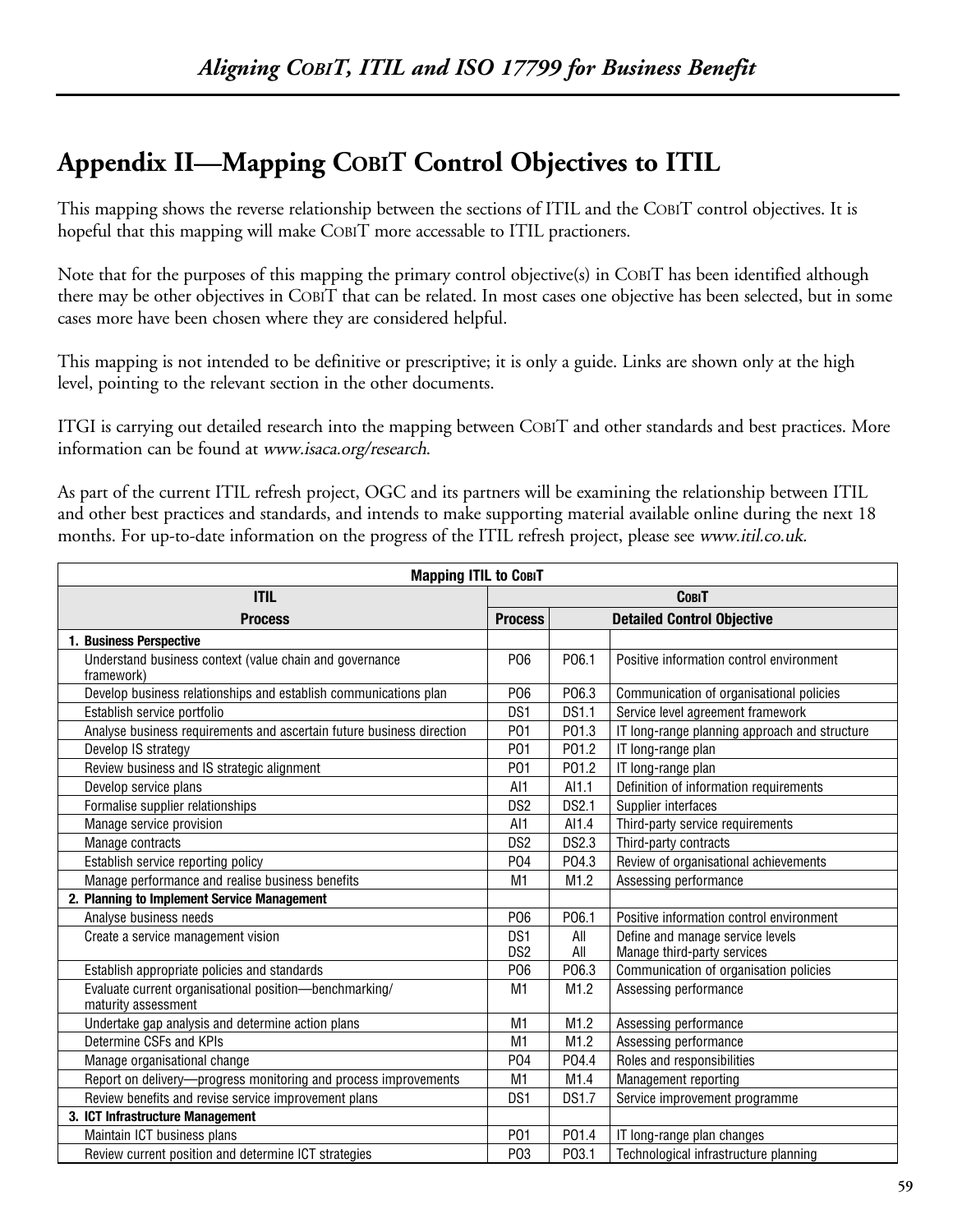# **Appendix II—Mapping COBIT Control Objectives to ITIL**

This mapping shows the reverse relationship between the sections of ITIL and the COBIT control objectives. It is hopeful that this mapping will make COBIT more accessable to ITIL practioners.

Note that for the purposes of this mapping the primary control objective(s) in COBIT has been identified although there may be other objectives in COBIT that can be related. In most cases one objective has been selected, but in some cases more have been chosen where they are considered helpful.

This mapping is not intended to be definitive or prescriptive; it is only a guide. Links are shown only at the high level, pointing to the relevant section in the other documents.

ITGI is carrying out detailed research into the mapping between COBIT and other standards and best practices. More information can be found at www.isaca.org/research.

As part of the current ITIL refresh project, OGC and its partners will be examining the relationship between ITIL and other best practices and standards, and intends to make supporting material available online during the next 18 months. For up-to-date information on the progress of the ITIL refresh project, please see www.*itil.co.uk.* 

| <b>Mapping ITIL to COBIT</b>                                                  |                                    |              |                                                                 |  |
|-------------------------------------------------------------------------------|------------------------------------|--------------|-----------------------------------------------------------------|--|
| <b>ITIL</b>                                                                   | <b>COBIT</b>                       |              |                                                                 |  |
| <b>Process</b><br><b>Process</b>                                              |                                    |              | <b>Detailed Control Objective</b>                               |  |
| 1. Business Perspective                                                       |                                    |              |                                                                 |  |
| Understand business context (value chain and governance<br>framework)         | P06                                | P06.1        | Positive information control environment                        |  |
| Develop business relationships and establish communications plan              | P06                                | P06.3        | Communication of organisational policies                        |  |
| Establish service portfolio                                                   | DS1                                | <b>DS1.1</b> | Service level agreement framework                               |  |
| Analyse business requirements and ascertain future business direction         | P01                                | P01.3        | IT long-range planning approach and structure                   |  |
| Develop IS strategy                                                           | P01                                | P01.2        | IT long-range plan                                              |  |
| Review business and IS strategic alignment                                    | P01                                | P01.2        | IT long-range plan                                              |  |
| Develop service plans                                                         | AI1                                | AI1.1        | Definition of information requirements                          |  |
| Formalise supplier relationships                                              | DS <sub>2</sub>                    | <b>DS2.1</b> | Supplier interfaces                                             |  |
| Manage service provision                                                      | AI <sub>1</sub>                    | AI1.4        | Third-party service requirements                                |  |
| Manage contracts                                                              | DS <sub>2</sub>                    | <b>DS2.3</b> | Third-party contracts                                           |  |
| Establish service reporting policy                                            | P04                                | P04.3        | Review of organisational achievements                           |  |
| Manage performance and realise business benefits                              | M <sub>1</sub>                     | M1.2         | Assessing performance                                           |  |
| 2. Planning to Implement Service Management                                   |                                    |              |                                                                 |  |
| Analyse business needs                                                        | P06                                | P06.1        | Positive information control environment                        |  |
| Create a service management vision                                            | DS <sub>1</sub><br>DS <sub>2</sub> | All<br>All   | Define and manage service levels<br>Manage third-party services |  |
| Establish appropriate policies and standards                                  | P <sub>06</sub>                    | P06.3        | Communication of organisation policies                          |  |
| Evaluate current organisational position-benchmarking/<br>maturity assessment | M <sub>1</sub>                     | M1.2         | Assessing performance                                           |  |
| Undertake gap analysis and determine action plans                             | M1                                 | M1.2         | Assessing performance                                           |  |
| Determine CSFs and KPIs                                                       | M <sub>1</sub>                     | M1.2         | Assessing performance                                           |  |
| Manage organisational change                                                  | P04                                | P04.4        | Roles and responsibilities                                      |  |
| Report on delivery-progress monitoring and process improvements               |                                    | M1.4         | Management reporting                                            |  |
| Review benefits and revise service improvement plans                          | DS <sub>1</sub>                    | <b>DS1.7</b> | Service improvement programme                                   |  |
| 3. ICT Infrastructure Management                                              |                                    |              |                                                                 |  |
| Maintain ICT business plans                                                   | P01                                | P01.4        | IT long-range plan changes                                      |  |
| Review current position and determine ICT strategies                          | P <sub>0</sub> 3                   | P03.1        | Technological infrastructure planning                           |  |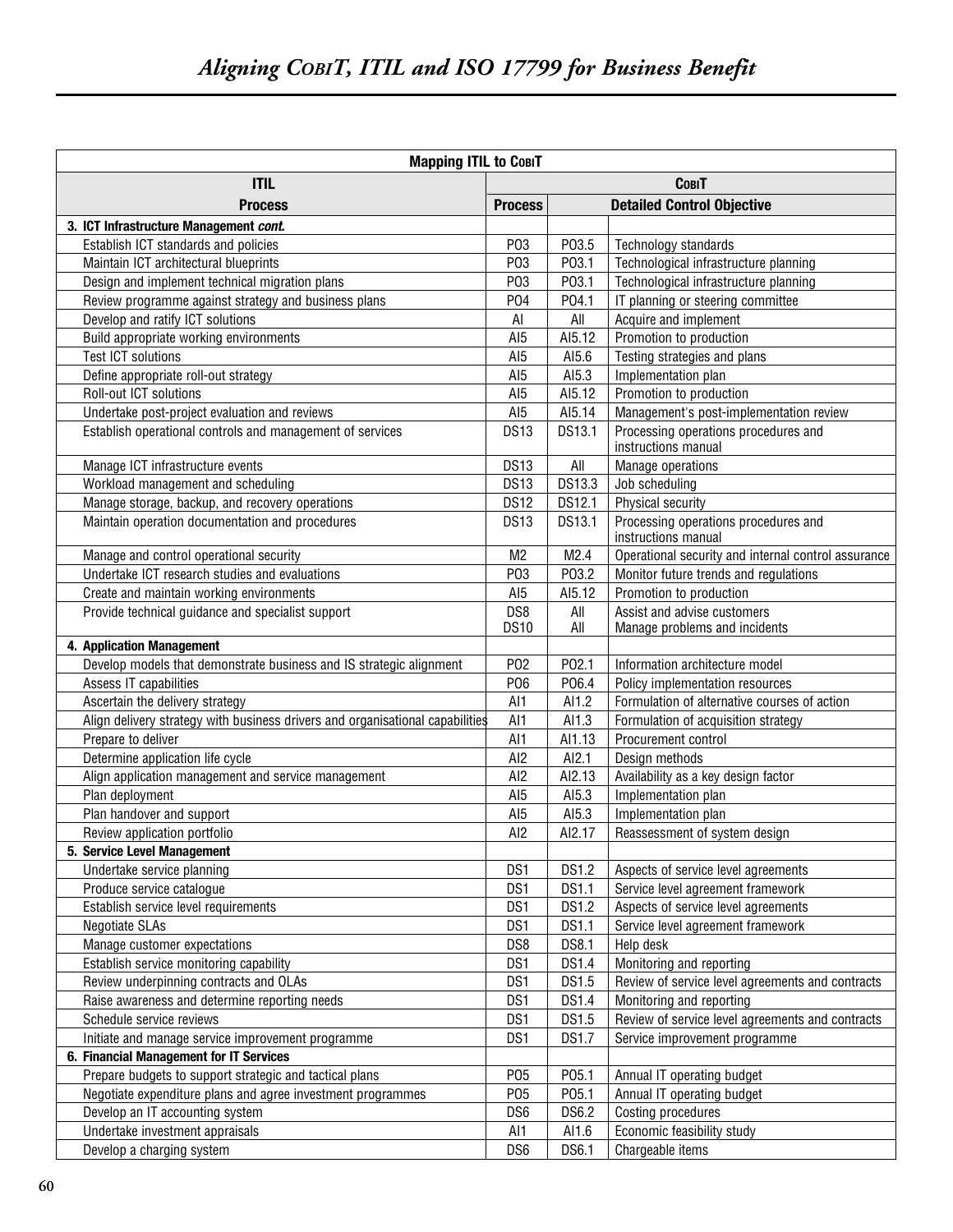| <b>Mapping ITIL to COBIT</b>                                                  |                    |              |                                                              |  |
|-------------------------------------------------------------------------------|--------------------|--------------|--------------------------------------------------------------|--|
| <b>ITIL</b>                                                                   | <b>COBIT</b>       |              |                                                              |  |
| <b>Process</b>                                                                |                    |              | <b>Detailed Control Objective</b>                            |  |
| 3. ICT Infrastructure Management cont.                                        | <b>Process</b>     |              |                                                              |  |
| Establish ICT standards and policies                                          | P <sub>0</sub> 3   | P03.5        | Technology standards                                         |  |
| Maintain ICT architectural blueprints                                         | P03                | P03.1        | Technological infrastructure planning                        |  |
| Design and implement technical migration plans                                | P <sub>0</sub> 3   | P03.1        | Technological infrastructure planning                        |  |
| Review programme against strategy and business plans                          | P04                | P04.1        | IT planning or steering committee                            |  |
| Develop and ratify ICT solutions                                              | AI                 | All          | Acquire and implement                                        |  |
| Build appropriate working environments                                        | AI <sub>5</sub>    | AI5.12       | Promotion to production                                      |  |
| <b>Test ICT solutions</b>                                                     | AI <sub>5</sub>    | AI5.6        | Testing strategies and plans                                 |  |
| Define appropriate roll-out strategy                                          | AI <sub>5</sub>    | AI5.3        | Implementation plan                                          |  |
| Roll-out ICT solutions                                                        | AI <sub>5</sub>    | AI5.12       | Promotion to production                                      |  |
| Undertake post-project evaluation and reviews                                 | AI <sub>5</sub>    | AI5.14       | Management's post-implementation review                      |  |
| Establish operational controls and management of services                     | <b>DS13</b>        | DS13.1       | Processing operations procedures and                         |  |
|                                                                               |                    |              | instructions manual                                          |  |
| Manage ICT infrastructure events                                              | <b>DS13</b>        | All          | Manage operations                                            |  |
| Workload management and scheduling                                            | <b>DS13</b>        | DS13.3       | Job scheduling                                               |  |
| Manage storage, backup, and recovery operations                               | <b>DS12</b>        | DS12.1       | Physical security                                            |  |
| Maintain operation documentation and procedures                               | <b>DS13</b>        | DS13.1       | Processing operations procedures and<br>instructions manual  |  |
| Manage and control operational security                                       | M <sub>2</sub>     | M2.4         | Operational security and internal control assurance          |  |
| Undertake ICT research studies and evaluations                                | P03                | P03.2        | Monitor future trends and regulations                        |  |
| Create and maintain working environments                                      | AI <sub>5</sub>    | AI5.12       | Promotion to production                                      |  |
| Provide technical guidance and specialist support                             | DS8<br><b>DS10</b> | All<br>All   | Assist and advise customers<br>Manage problems and incidents |  |
| 4. Application Management                                                     |                    |              |                                                              |  |
| Develop models that demonstrate business and IS strategic alignment           | P <sub>02</sub>    | P02.1        | Information architecture model                               |  |
| Assess IT capabilities                                                        | P06                | P06.4        | Policy implementation resources                              |  |
| Ascertain the delivery strategy                                               | AI1                | AI1.2        | Formulation of alternative courses of action                 |  |
| Align delivery strategy with business drivers and organisational capabilities | AI1                | AI1.3        | Formulation of acquisition strategy                          |  |
| Prepare to deliver                                                            | AI1                | AI1.13       | Procurement control                                          |  |
| Determine application life cycle                                              | AI <sub>2</sub>    | Al2.1        | Design methods                                               |  |
| Align application management and service management                           | AI <sub>2</sub>    | AI2.13       | Availability as a key design factor                          |  |
| Plan deployment                                                               | AI <sub>5</sub>    | AI5.3        | Implementation plan                                          |  |
| Plan handover and support                                                     | AI <sub>5</sub>    | AI5.3        | Implementation plan                                          |  |
| Review application portfolio                                                  | AI <sub>2</sub>    | AI2.17       | Reassessment of system design                                |  |
| 5. Service Level Management                                                   |                    |              |                                                              |  |
| Undertake service planning                                                    | DS1                | <b>DS1.2</b> | Aspects of service level agreements                          |  |
| Produce service catalogue                                                     | DS1                | <b>DS1.1</b> | Service level agreement framework                            |  |
| Establish service level requirements                                          | DS1                | <b>DS1.2</b> | Aspects of service level agreements                          |  |
| <b>Negotiate SLAs</b>                                                         | DS1                | DS1.1        | Service level agreement framework                            |  |
| Manage customer expectations                                                  | DS8                | <b>DS8.1</b> | Help desk                                                    |  |
| Establish service monitoring capability                                       | DS1                | <b>DS1.4</b> | Monitoring and reporting                                     |  |
| Review underpinning contracts and OLAs                                        | DS1                | DS1.5        | Review of service level agreements and contracts             |  |
| Raise awareness and determine reporting needs                                 | DS1                | <b>DS1.4</b> | Monitoring and reporting                                     |  |
| Schedule service reviews                                                      | DS1                | DS1.5        | Review of service level agreements and contracts             |  |
| Initiate and manage service improvement programme                             | DS1                | <b>DS1.7</b> | Service improvement programme                                |  |
| 6. Financial Management for IT Services                                       |                    |              |                                                              |  |
| Prepare budgets to support strategic and tactical plans                       | P05                | P05.1        | Annual IT operating budget                                   |  |
| Negotiate expenditure plans and agree investment programmes                   | P05                | P05.1        | Annual IT operating budget                                   |  |
| Develop an IT accounting system                                               | DS6                | DS6.2        | Costing procedures                                           |  |
| Undertake investment appraisals                                               | Al1                | Al1.6        | Economic feasibility study                                   |  |
| Develop a charging system                                                     | DS6                | DS6.1        | Chargeable items                                             |  |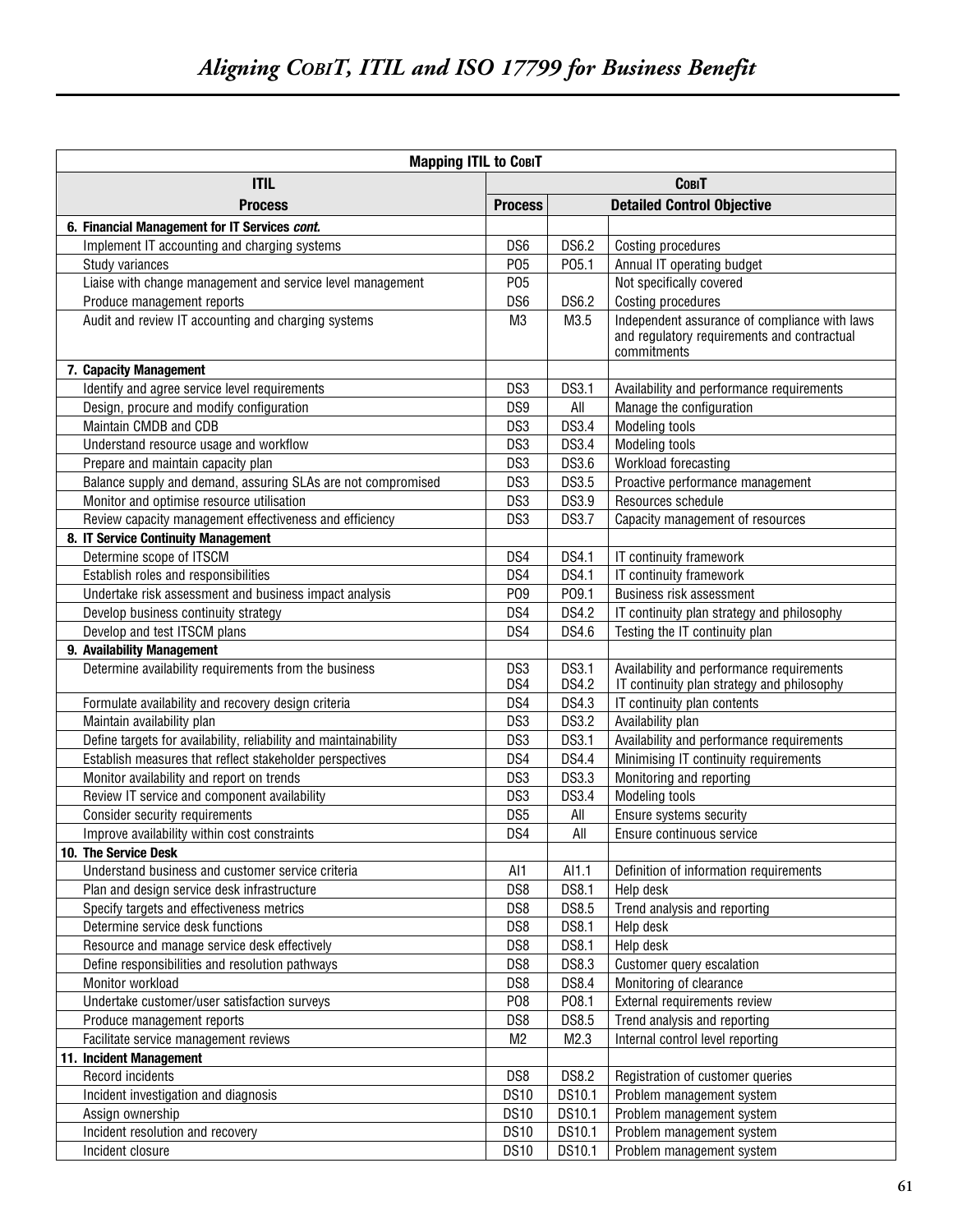| <b>Mapping ITIL to COBIT</b>                                     |                 |                       |                                                                                                             |  |  |
|------------------------------------------------------------------|-----------------|-----------------------|-------------------------------------------------------------------------------------------------------------|--|--|
| <b>ITIL</b>                                                      |                 |                       | <b>COBIT</b>                                                                                                |  |  |
| <b>Process</b>                                                   |                 |                       | <b>Detailed Control Objective</b>                                                                           |  |  |
| 6. Financial Management for IT Services cont.                    | <b>Process</b>  |                       |                                                                                                             |  |  |
| Implement IT accounting and charging systems                     | DS <sub>6</sub> | <b>DS6.2</b>          | Costing procedures                                                                                          |  |  |
| Study variances                                                  | P05             | P05.1                 | Annual IT operating budget                                                                                  |  |  |
| Liaise with change management and service level management       | P05             |                       | Not specifically covered                                                                                    |  |  |
| Produce management reports                                       | DS <sub>6</sub> | <b>DS6.2</b>          | Costing procedures                                                                                          |  |  |
| Audit and review IT accounting and charging systems              | M <sub>3</sub>  | M3.5                  | Independent assurance of compliance with laws<br>and regulatory requirements and contractual<br>commitments |  |  |
| 7. Capacity Management                                           |                 |                       |                                                                                                             |  |  |
| Identify and agree service level requirements                    | DS3             | <b>DS3.1</b>          | Availability and performance requirements                                                                   |  |  |
| Design, procure and modify configuration                         | DS9             | All                   | Manage the configuration                                                                                    |  |  |
| Maintain CMDB and CDB                                            | DS3             | DS3.4                 | Modeling tools                                                                                              |  |  |
| Understand resource usage and workflow                           | DS3             | DS3.4                 | <b>Modeling tools</b>                                                                                       |  |  |
| Prepare and maintain capacity plan                               | DS3             | DS3.6                 | Workload forecasting                                                                                        |  |  |
| Balance supply and demand, assuring SLAs are not compromised     | DS3             | DS3.5                 | Proactive performance management                                                                            |  |  |
| Monitor and optimise resource utilisation                        | DS3             | DS3.9                 | Resources schedule                                                                                          |  |  |
| Review capacity management effectiveness and efficiency          | DS3             | <b>DS3.7</b>          | Capacity management of resources                                                                            |  |  |
| 8. IT Service Continuity Management                              |                 |                       |                                                                                                             |  |  |
| Determine scope of ITSCM                                         | DS4             | DS4.1                 | IT continuity framework                                                                                     |  |  |
| Establish roles and responsibilities                             | DS4             | DS4.1                 | IT continuity framework                                                                                     |  |  |
| Undertake risk assessment and business impact analysis           | P09             | P09.1                 | Business risk assessment                                                                                    |  |  |
| Develop business continuity strategy                             | DS4             | DS4.2                 | IT continuity plan strategy and philosophy                                                                  |  |  |
| Develop and test ITSCM plans                                     | DS4             | DS4.6                 | Testing the IT continuity plan                                                                              |  |  |
| 9. Availability Management                                       |                 |                       |                                                                                                             |  |  |
| Determine availability requirements from the business            | DS3<br>DS4      | DS3.1<br><b>DS4.2</b> | Availability and performance requirements<br>IT continuity plan strategy and philosophy                     |  |  |
| Formulate availability and recovery design criteria              | DS4             | DS4.3                 | IT continuity plan contents                                                                                 |  |  |
| Maintain availability plan                                       | DS3             | <b>DS3.2</b>          | Availability plan                                                                                           |  |  |
| Define targets for availability, reliability and maintainability | DS3             | <b>DS3.1</b>          | Availability and performance requirements                                                                   |  |  |
| Establish measures that reflect stakeholder perspectives         | DS4             | <b>DS4.4</b>          | Minimising IT continuity requirements                                                                       |  |  |
| Monitor availability and report on trends                        | DS3             | DS3.3                 | Monitoring and reporting                                                                                    |  |  |
| Review IT service and component availability                     | DS3             | <b>DS3.4</b>          | Modeling tools                                                                                              |  |  |
| Consider security requirements                                   | DS <sub>5</sub> | All                   | Ensure systems security                                                                                     |  |  |
| Improve availability within cost constraints                     | DS4             | All                   | Ensure continuous service                                                                                   |  |  |
| 10. The Service Desk                                             |                 |                       |                                                                                                             |  |  |
| Understand business and customer service criteria                | AI1             | AI1.1                 | Definition of information requirements                                                                      |  |  |
| Plan and design service desk infrastructure                      | DS8             | <b>DS8.1</b>          | Help desk                                                                                                   |  |  |
| Specify targets and effectiveness metrics                        | DS8             | DS8.5                 | Trend analysis and reporting                                                                                |  |  |
| Determine service desk functions                                 | DS8             | <b>DS8.1</b>          | Help desk                                                                                                   |  |  |
| Resource and manage service desk effectively                     | DS8             | <b>DS8.1</b>          | Help desk                                                                                                   |  |  |
| Define responsibilities and resolution pathways                  | DS8             | DS8.3                 | Customer query escalation                                                                                   |  |  |
| Monitor workload                                                 | DS8             | <b>DS8.4</b>          | Monitoring of clearance                                                                                     |  |  |
| Undertake customer/user satisfaction surveys                     | P08             | P08.1                 | External requirements review                                                                                |  |  |
| Produce management reports                                       | DS8             | DS8.5                 | Trend analysis and reporting                                                                                |  |  |
| Facilitate service management reviews                            | M <sub>2</sub>  | M2.3                  | Internal control level reporting                                                                            |  |  |
| 11. Incident Management                                          |                 |                       |                                                                                                             |  |  |
| Record incidents                                                 | DS8             | <b>DS8.2</b>          | Registration of customer queries                                                                            |  |  |
| Incident investigation and diagnosis                             | <b>DS10</b>     | DS10.1                | Problem management system                                                                                   |  |  |
| Assign ownership                                                 | <b>DS10</b>     | DS10.1                | Problem management system                                                                                   |  |  |
| Incident resolution and recovery                                 | <b>DS10</b>     | DS10.1                | Problem management system                                                                                   |  |  |
| Incident closure                                                 | <b>DS10</b>     | DS10.1                | Problem management system                                                                                   |  |  |